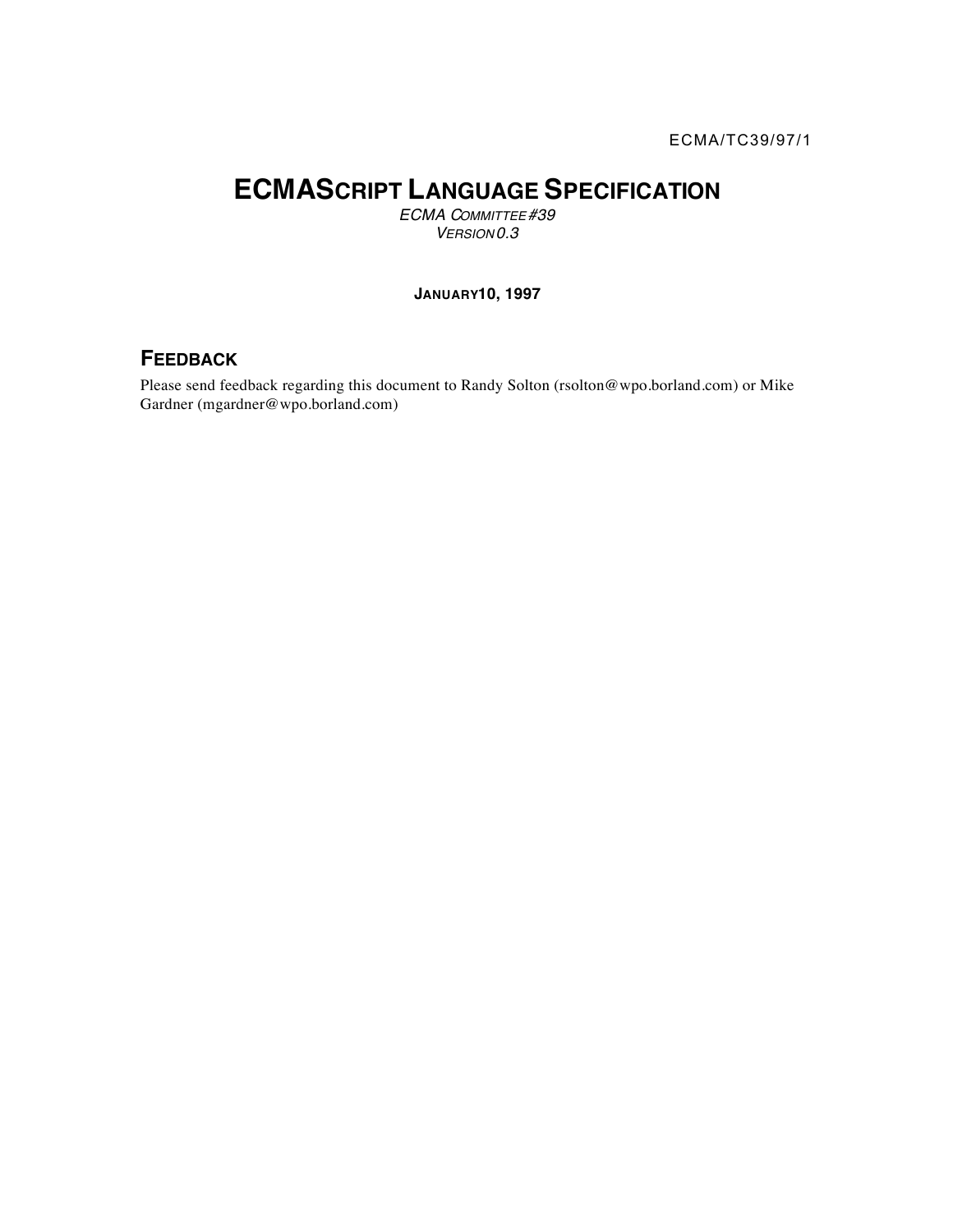# **ECMASCRIPT LANGUAGE SPECIFICATION**

*ECMA COMMITTEE #39 VERSION 0.3*

#### **JANUARY 10, 1997**

## **FEEDBACK**

Please send feedback regarding this document to Randy Solton (rsolton@wpo.borland.com) or Mike Gardner (mgardner@wpo.borland.com)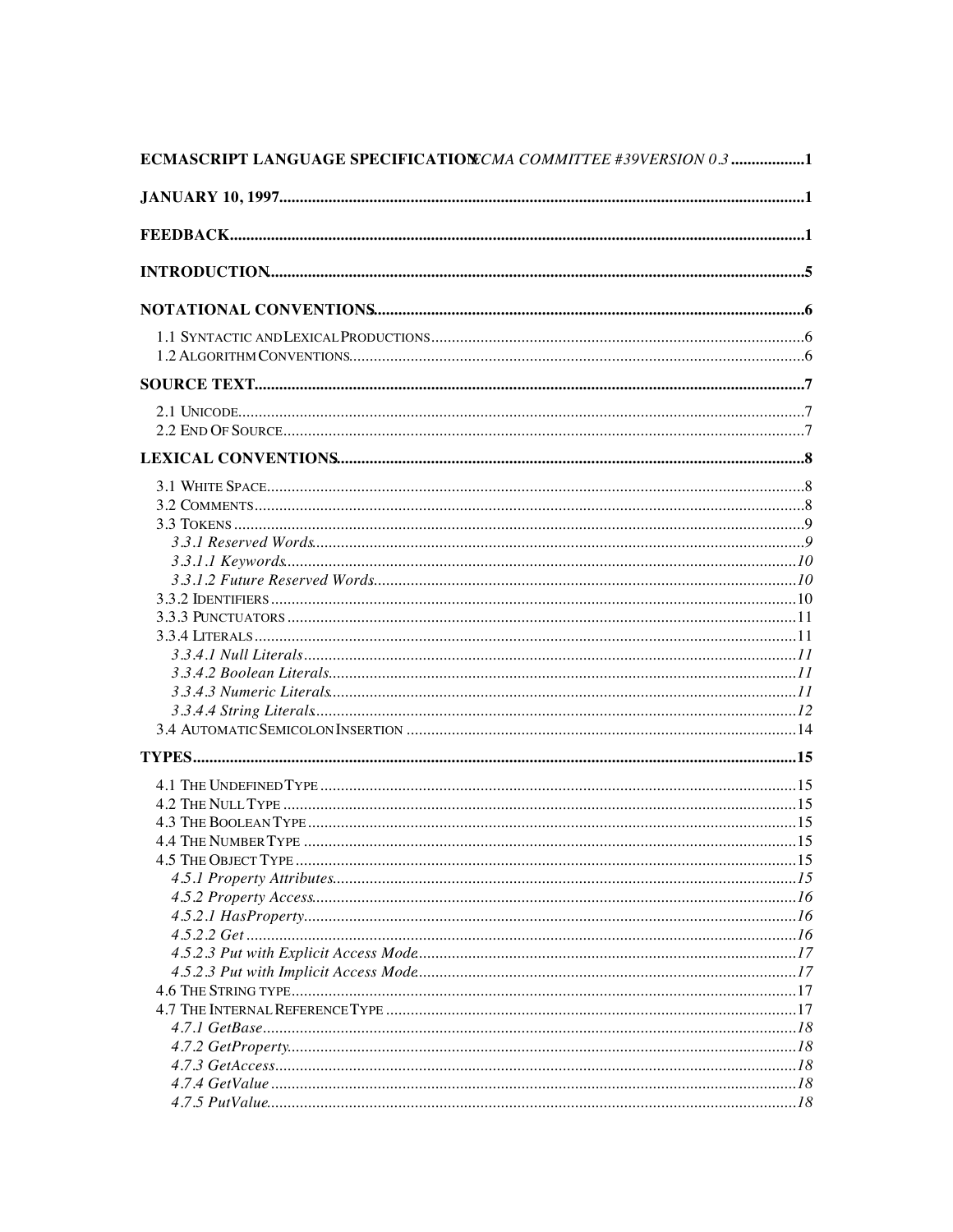| ECMASCRIPT LANGUAGE SPECIFICATION COMMITTEE #39VERSION 0.3 1 |  |
|--------------------------------------------------------------|--|
|                                                              |  |
|                                                              |  |
|                                                              |  |
|                                                              |  |
|                                                              |  |
|                                                              |  |
|                                                              |  |
|                                                              |  |
|                                                              |  |
|                                                              |  |
|                                                              |  |
|                                                              |  |
|                                                              |  |
|                                                              |  |
|                                                              |  |
|                                                              |  |
|                                                              |  |
|                                                              |  |
|                                                              |  |
|                                                              |  |
|                                                              |  |
|                                                              |  |
|                                                              |  |
|                                                              |  |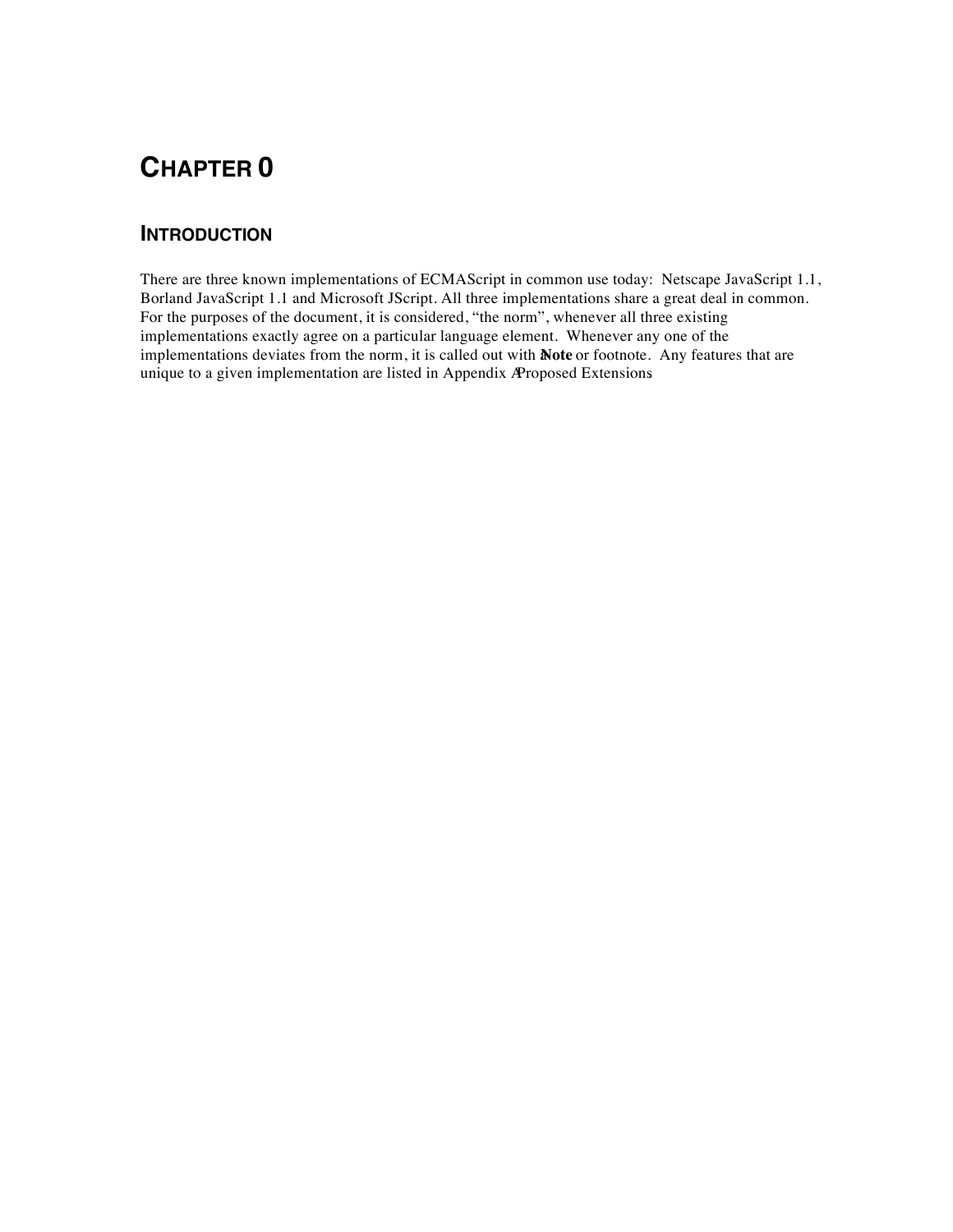## **INTRODUCTION**

There are three known implementations of ECMAScript in common use today: Netscape JavaScript 1.1, Borland JavaScript 1.1 and Microsoft JScript. All three implementations share a great deal in common. For the purposes of the document, it is considered, "the norm", whenever all three existing implementations exactly agree on a particular language element. Whenever any one of the implementations deviates from the norm, it is called out with **Note** or footnote. Any features that are unique to a given implementation are listed in Appendix A Proposed Extensions.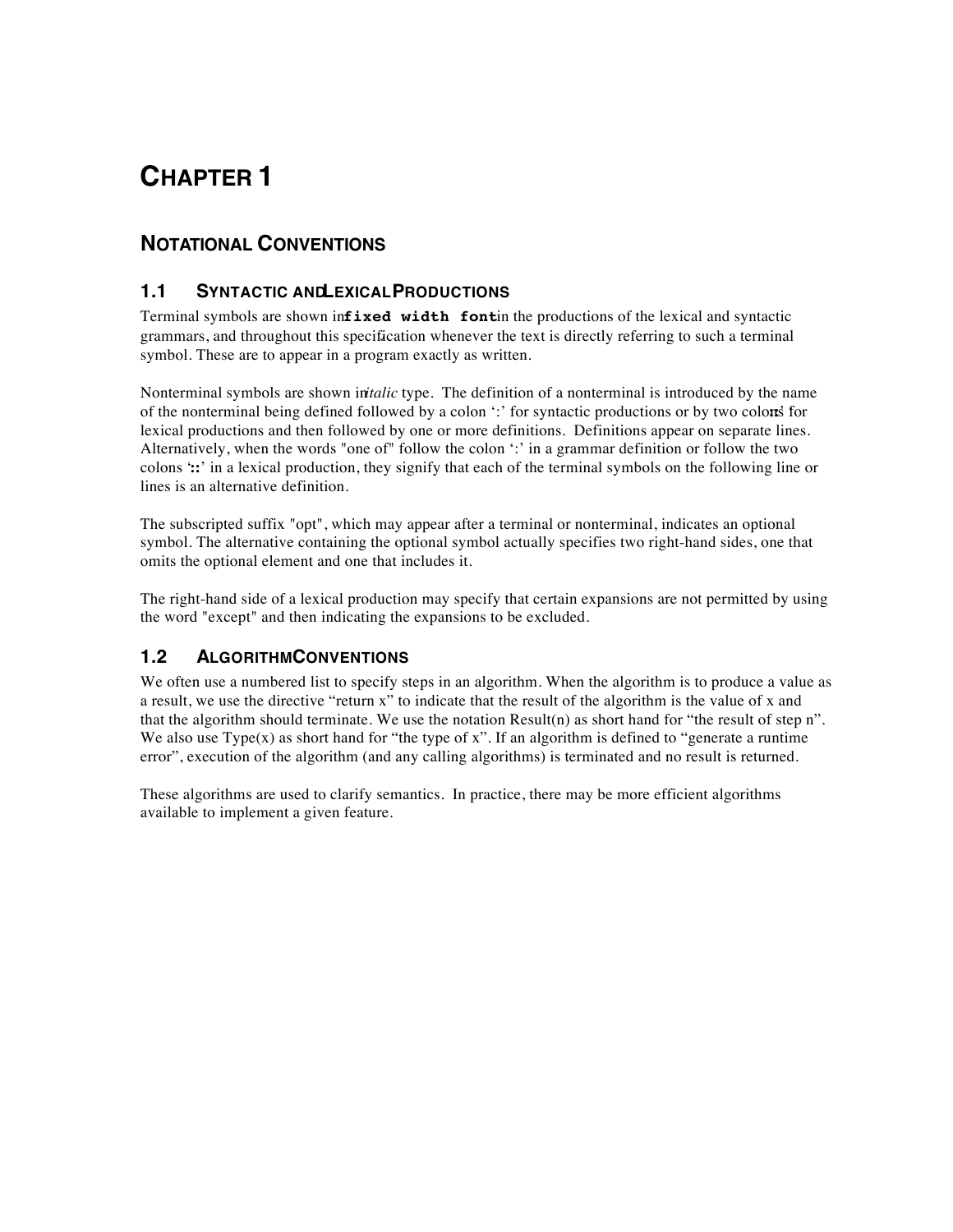## **NOTATIONAL CONVENTIONS**

## **1.1 SYNTACTIC AND LEXICAL PRODUCTIONS**

Terminal symbols are shown in**fixed width font**in the productions of the lexical and syntactic grammars, and throughout this specification whenever the text is directly referring to such a terminal symbol. These are to appear in a program exactly as written.

Nonterminal symbols are shown *initalic* type. The definition of a nonterminal is introduced by the name of the nonterminal being defined followed by a colon ':' for syntactic productions or by two colons for lexical productions and then followed by one or more definitions. Definitions appear on separate lines. Alternatively, when the words "one of" follow the colon ':' in a grammar definition or follow the two colons '**::**' in a lexical production, they signify that each of the terminal symbols on the following line or lines is an alternative definition.

The subscripted suffix "opt", which may appear after a terminal or nonterminal, indicates an optional symbol. The alternative containing the optional symbol actually specifies two right-hand sides, one that omits the optional element and one that includes it.

The right-hand side of a lexical production may specify that certain expansions are not permitted by using the word "except" and then indicating the expansions to be excluded.

## **1.2 ALGORITHM CONVENTIONS**

We often use a numbered list to specify steps in an algorithm. When the algorithm is to produce a value as a result, we use the directive "return x" to indicate that the result of the algorithm is the value of x and that the algorithm should terminate. We use the notation Result(n) as short hand for "the result of step n". We also use  $Type(x)$  as short hand for "the type of x". If an algorithm is defined to "generate a runtime" error", execution of the algorithm (and any calling algorithms) is terminated and no result is returned.

These algorithms are used to clarify semantics. In practice, there may be more efficient algorithms available to implement a given feature.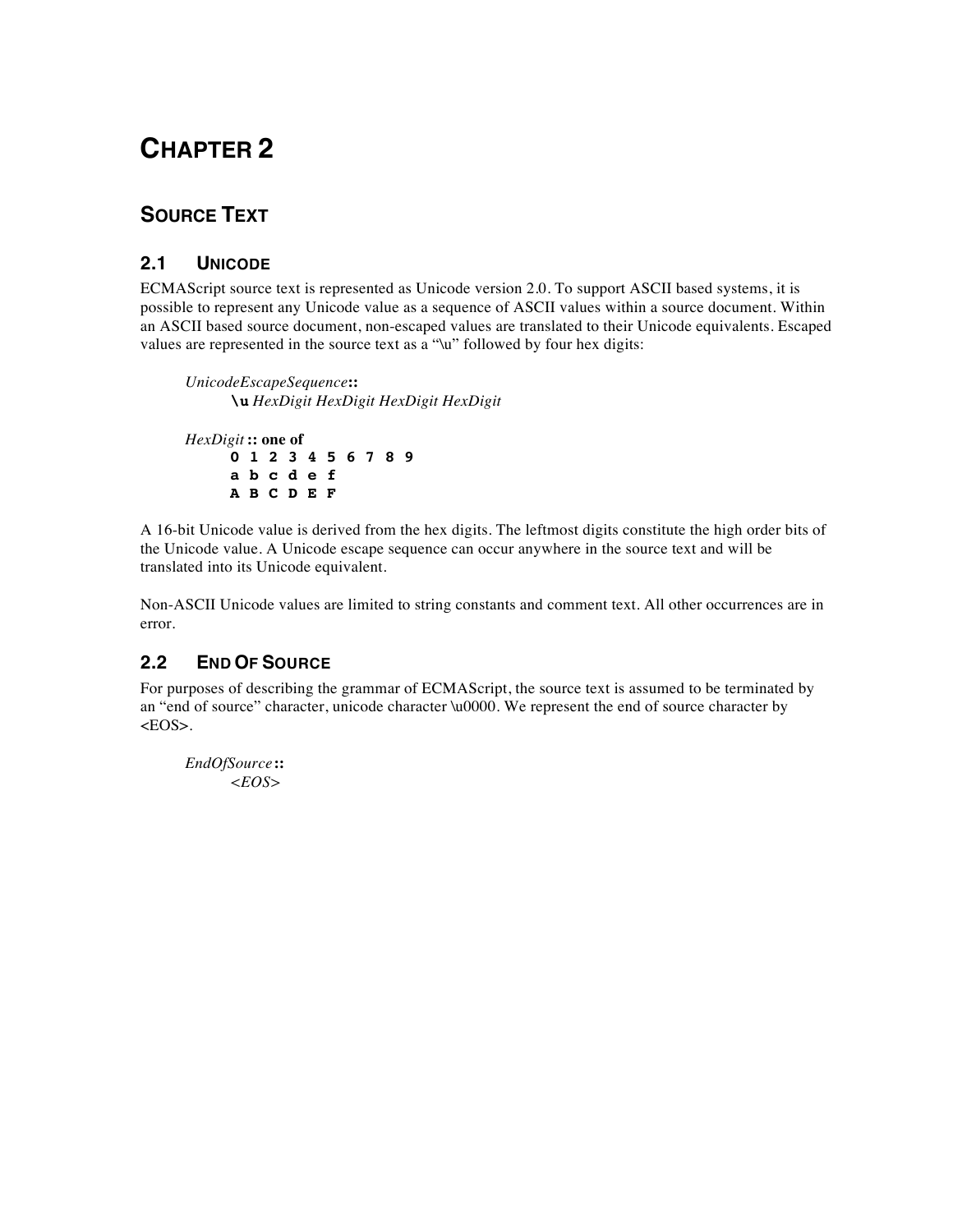## **SOURCE TEXT**

## **2.1 UNICODE**

ECMAScript source text is represented as Unicode version 2.0. To support ASCII based systems, it is possible to represent any Unicode value as a sequence of ASCII values within a source document. Within an ASCII based source document, non-escaped values are translated to their Unicode equivalents. Escaped values are represented in the source text as a "\u" followed by four hex digits:

*UnicodeEscapeSequence* **:: \u** *HexDigit HexDigit HexDigit HexDigit HexDigit* **:: one of 0 1 2 3 4 5 6 7 8 9 a b c d e f**

**A B C D E F**

A 16-bit Unicode value is derived from the hex digits. The leftmost digits constitute the high order bits of the Unicode value. A Unicode escape sequence can occur anywhere in the source text and will be translated into its Unicode equivalent.

Non-ASCII Unicode values are limited to string constants and comment text. All other occurrences are in error.

## **2.2 END OF SOURCE**

For purposes of describing the grammar of ECMAScript, the source text is assumed to be terminated by an "end of source" character, unicode character \u0000. We represent the end of source character by  $<$ EOS $>$ .

*EndOfSource* **::** *<EOS>*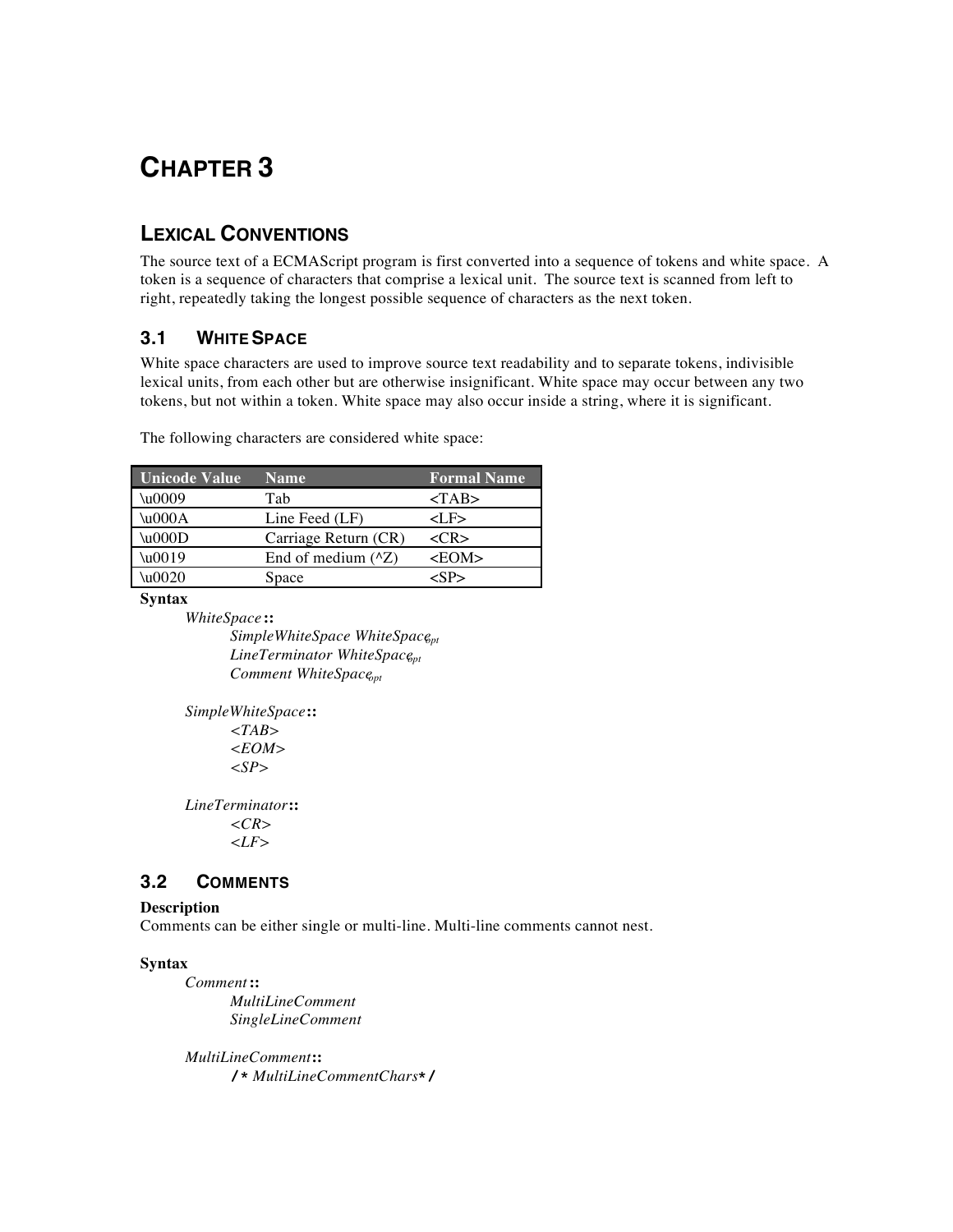## **LEXICAL CONVENTIONS**

The source text of a ECMAScript program is first converted into a sequence of tokens and white space. A token is a sequence of characters that comprise a lexical unit. The source text is scanned from left to right, repeatedly taking the longest possible sequence of characters as the next token.

## **3.1 WHITE SPACE**

White space characters are used to improve source text readability and to separate tokens, indivisible lexical units, from each other but are otherwise insignificant. White space may occur between any two tokens, but not within a token. White space may also occur inside a string, where it is significant.

The following characters are considered white space:

| <b>Unicode Value</b> | <b>Name</b>             | <b>Formal Name</b> |
|----------------------|-------------------------|--------------------|
| \u0009               | Tab                     | $<$ TAB $>$        |
| $\u000A$             | Line Feed $(LF)$        | <lf></lf>          |
| $\u000D$             | Carriage Return (CR)    | $C$ R>             |
| $\u0019$             | End of medium $(^{x}Z)$ | $<$ EOM $>$        |
| \u0020               | Space                   |                    |

**Syntax**

*WhiteSpace* **::**

*SimpleWhiteSpace WhiteSpaceopt LineTerminator WhiteSpace*<sub>pt</sub> *Comment WhiteSpaceopt*

*SimpleWhiteSpace* **::** *<TAB> <EOM> <SP>*

*LineTerminator* **::** *<CR> <LF>*

## **3.2 COMMENTS**

#### **Description**

Comments can be either single or multi-line. Multi-line comments cannot nest.

#### **Syntax**

*Comment* **::** *MultiLineComment SingleLineComment*

*MultiLineComment* **:: /\*** *MultiLineCommentChars* **\*/**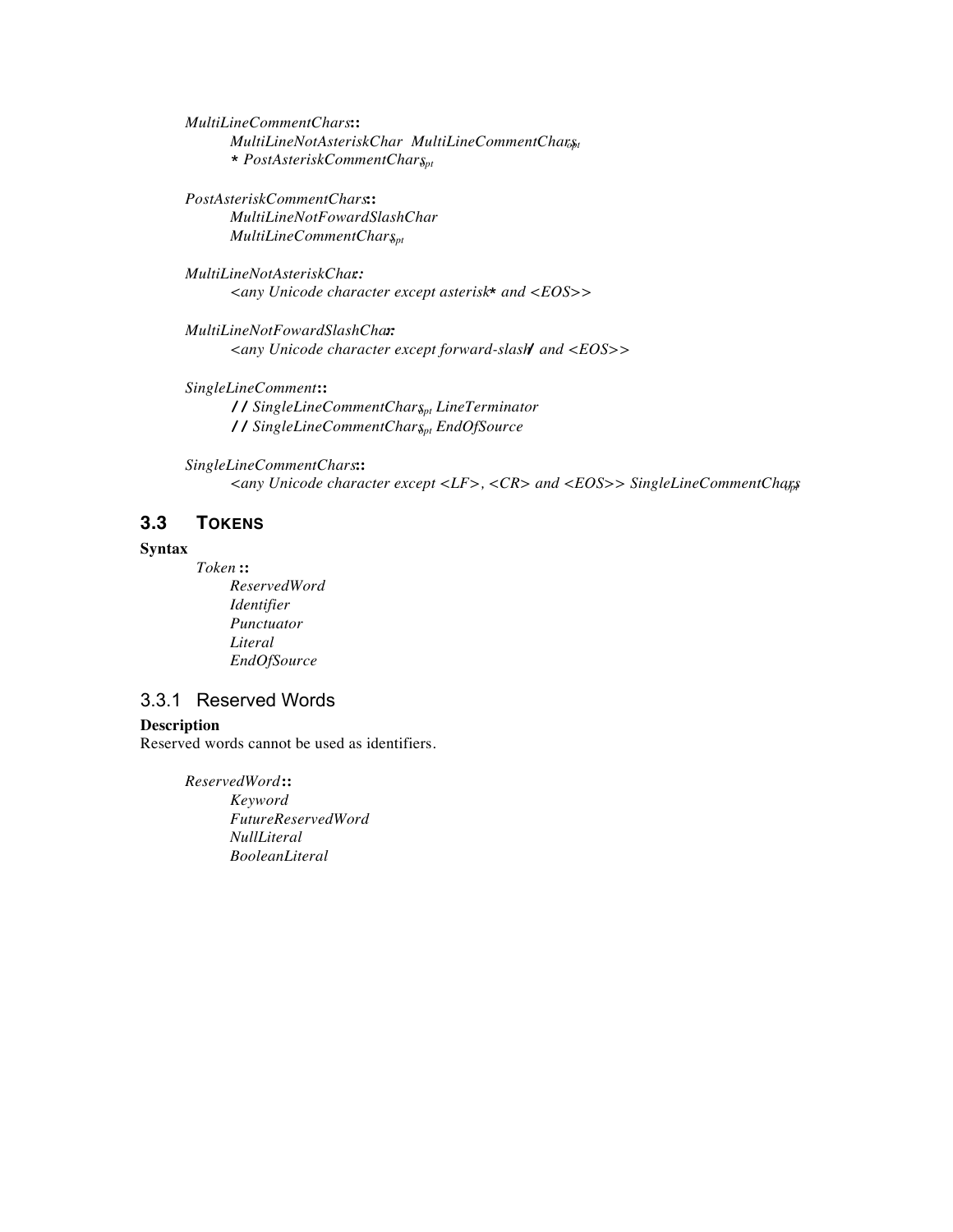*MultiLineCommentChars* **::** *MultiLineNotAsteriskChar MultiLineCommentCharsht* **\*** *PostAsteriskCommentCharsopt*

*PostAsteriskCommentChars* **::** *MultiLineNotFowardSlashChar*  $MultiLineCommentChar_{8pt}$ 

*MultiLineNotAsteriskChar:: <any Unicode character except asterisk* **\*** *and <EOS>>*

*MultiLineNotFowardSlashChar:: <any Unicode character except forward-slash* **/** *and <EOS>>*

*SingleLineComment* **:: //** *SingleLineCommentCharsopt LineTerminator* // SingleLineCommentChar<sub>Spt</sub> EndOfSource

*SingleLineCommentChars* **::** *<any Unicode character except <LF>, <CR> and <EOS>> SingleLineCommentChars opt*

### **3.3 TOKENS**

#### **Syntax**

*Token* **::** *ReservedWord Identifier Punctuator Literal EndOfSource*

#### 3.3.1 Reserved Words

#### **Description**

Reserved words cannot be used as identifiers.

*ReservedWord* **::** *Keyword FutureReservedWord NullLiteral BooleanLiteral*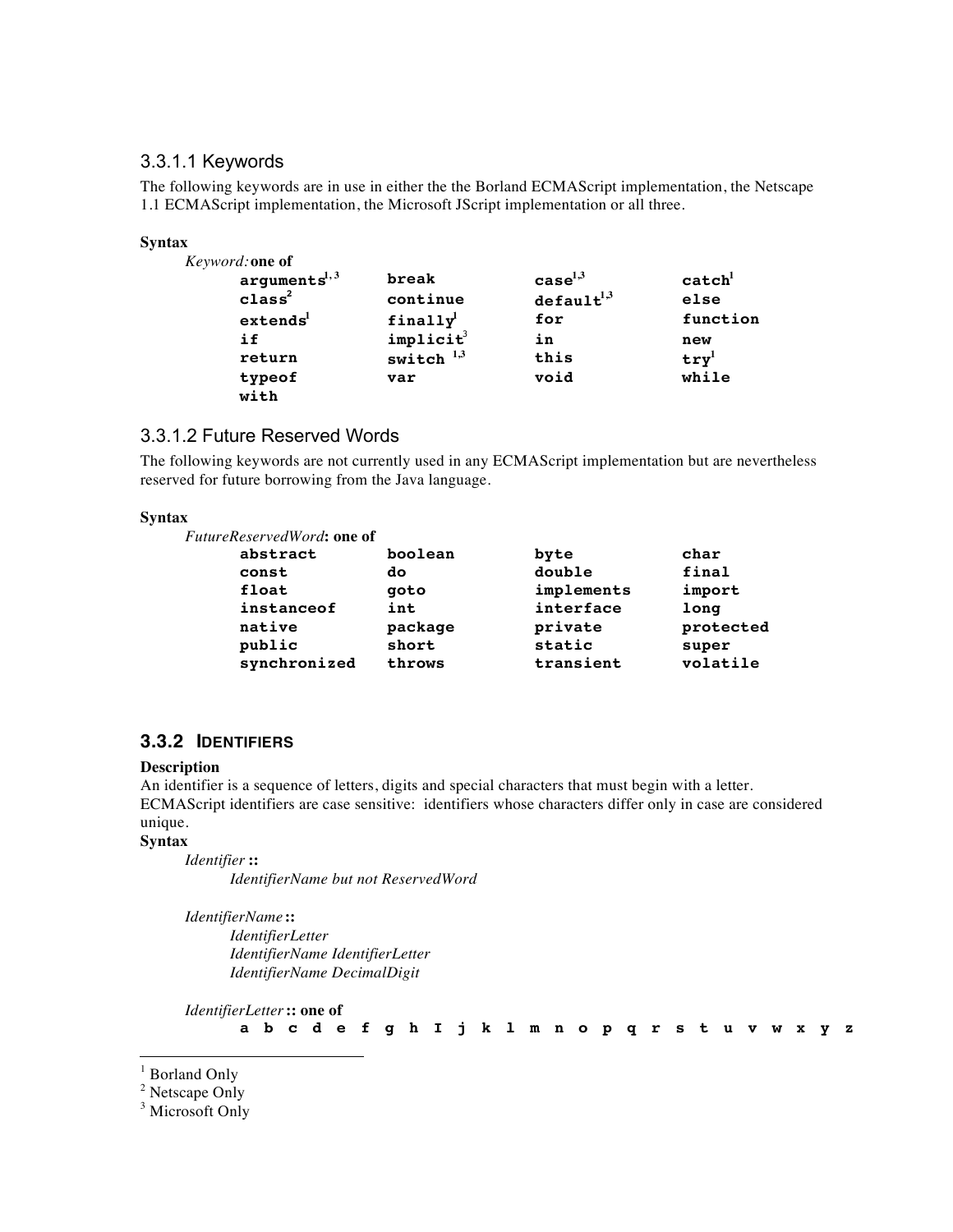#### 3.3.1.1 Keywords

The following keywords are in use in either the the Borland ECMAScript implementation, the Netscape 1.1 ECMAScript implementation, the Microsoft JScript implementation or all three.

| <b>Syntax</b>        |                       |                        |                    |
|----------------------|-----------------------|------------------------|--------------------|
| Keyword: one of      |                       |                        |                    |
| $arguments^{1,3}$    | break                 | case <sup>1,3</sup>    | $\texttt{catch}^1$ |
| class <sup>2</sup>   | continue              | default <sup>1,3</sup> | else               |
| extends <sup>1</sup> | finally <sup>1</sup>  | for                    | function           |
| if                   | implicit <sup>3</sup> | in                     | new                |
| return               | switch $1,3$          | this                   | $try^1$            |
| typeof<br>with       | var                   | void                   | while              |

#### 3.3.1.2 Future Reserved Words

The following keywords are not currently used in any ECMAScript implementation but are nevertheless reserved for future borrowing from the Java language.

#### **Syntax**

| <i>FutureReservedWord</i> : one of |         |            |           |
|------------------------------------|---------|------------|-----------|
| abstract                           | boolean | byte       | char      |
| const                              | do      | double     | final     |
| float                              | qoto    | implements | import    |
| instanceof                         | int     | interface  | long      |
| native                             | package | private    | protected |
| public                             | short   | static     | super     |
| synchronized                       | throws  | transient  | volatile  |

#### **3.3.2 IDENTIFIERS**

#### **Description**

An identifier is a sequence of letters, digits and special characters that must begin with a letter. ECMAScript identifiers are case sensitive: identifiers whose characters differ only in case are considered unique.

#### **Syntax**

*Identifier* **::**

*IdentifierName but not ReservedWord*

*IdentifierName* **::**

*IdentifierLetter IdentifierName IdentifierLetter IdentifierName DecimalDigit*

*IdentifierLetter* **:: one of** a b c d e f g h I j k 1 m n o p q r s t u v w x y z

<sup>|&</sup>lt;br>|<br>| <sup>1</sup> Borland Only

<sup>&</sup>lt;sup>2</sup> Netscape Only

<sup>&</sup>lt;sup>3</sup> Microsoft Only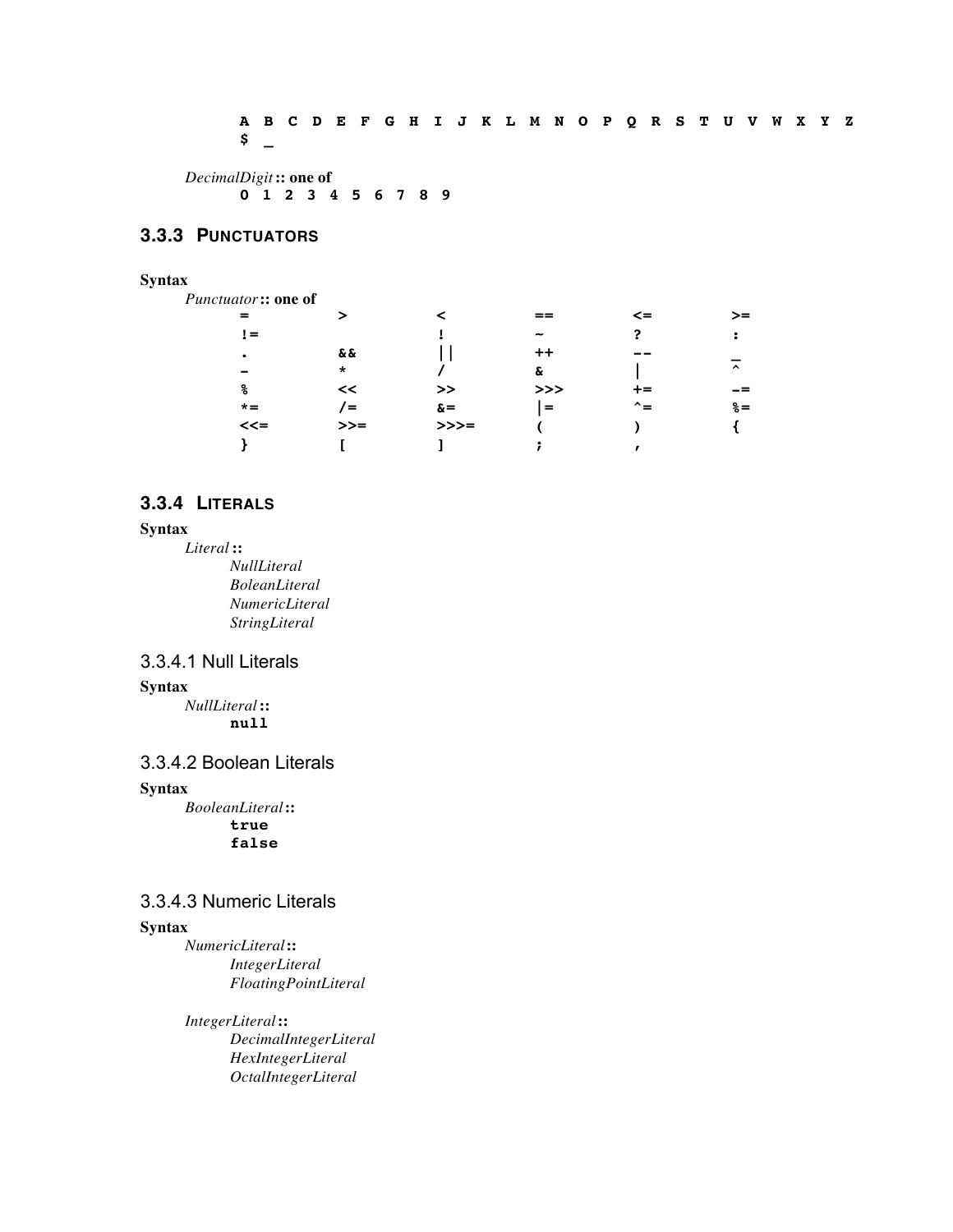A B C D E F G H I J K L M N O P Q R S T U V W X Y Z **\$ \_**

*DecimalDigit* **:: one of 0 1 2 3 4 5 6 7 8 9**

#### **3.3.3 PUNCTUATORS**

# **Syntax**

| Punctuator:: one of |          |            |                                                 |        |                     |
|---------------------|----------|------------|-------------------------------------------------|--------|---------------------|
|                     | ⋗        | ≺          | $==$                                            | $\leq$ | >=                  |
| $!=$                |          |            |                                                 | ?      | :                   |
| $\bullet$           | & &      |            |                                                 |        |                     |
|                     | $\star$  |            | &                                               |        | $\hat{\phantom{a}}$ |
| နွ                  | <<       | >>         | >>                                              | +=     |                     |
| $* =$               | $\equiv$ | $\delta =$ | $\displaystyle \qquad \qquad =\qquad \qquad \,$ | ^=     | $\delta =$          |
| $<<=$               | $>>=$    | $>>>=$     |                                                 |        |                     |
|                     |          |            |                                                 |        |                     |
|                     |          |            |                                                 |        |                     |

#### **3.3.4 LITERALS**

#### **Syntax**

*Literal* **::** *NullLiteral BoleanLiteral NumericLiteral StringLiteral*

## 3.3.4.1 Null Literals

#### **Syntax**

*NullLiteral* **:: null**

#### 3.3.4.2 Boolean Literals

#### **Syntax**

*BooleanLiteral* **::**

**true false**

#### 3.3.4.3 Numeric Literals

#### **Syntax**

*NumericLiteral* **::** *IntegerLiteral FloatingPointLiteral*

*IntegerLiteral* **::** *DecimalIntegerLiteral HexIntegerLiteral OctalIntegerLiteral*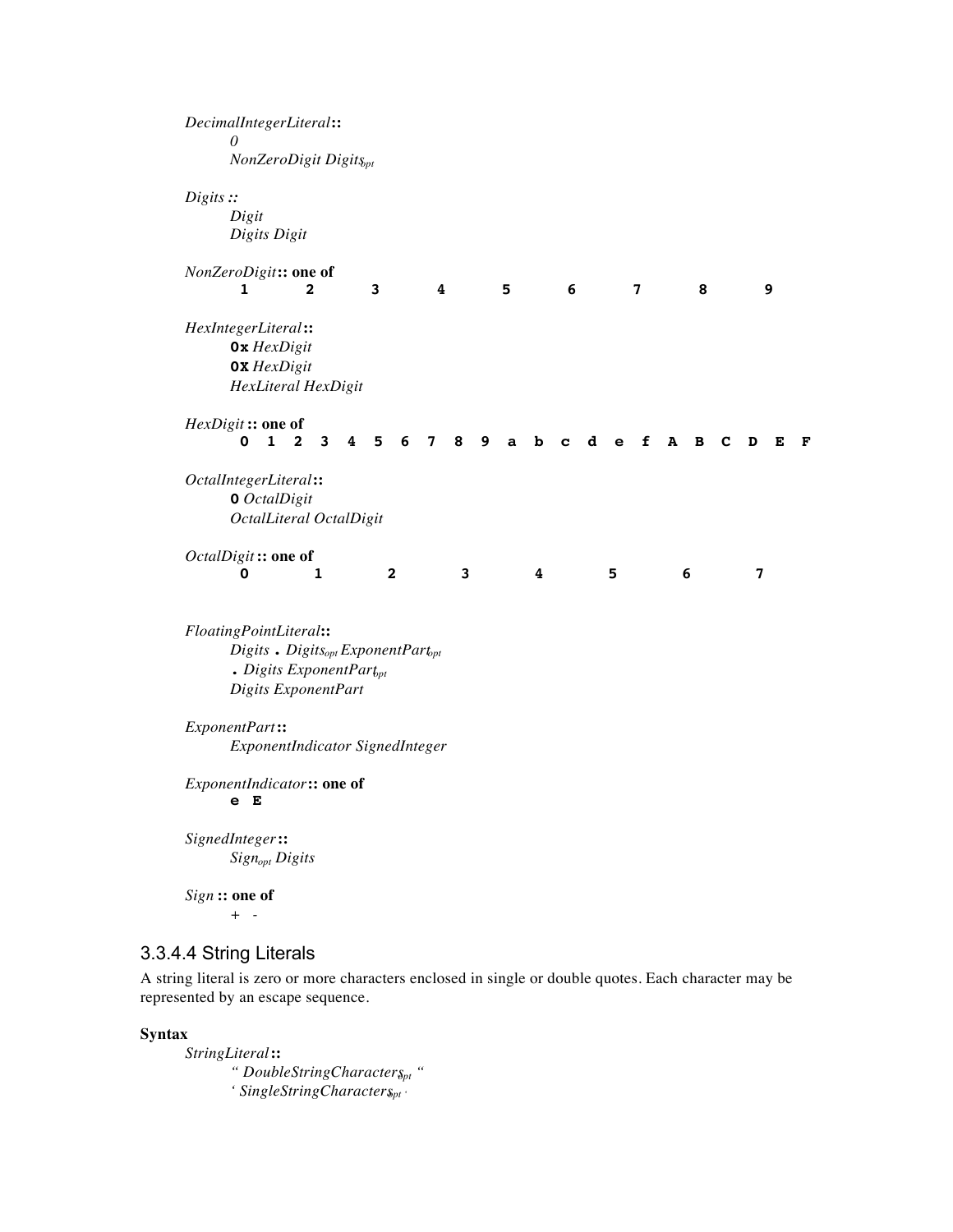| 0                                                                                                                                                      |              |                            | DecimalIntegerLiteral::           |   |                |                |                |                         |   |   |   |   |   |             |   |           |   |   |   |   |   |
|--------------------------------------------------------------------------------------------------------------------------------------------------------|--------------|----------------------------|-----------------------------------|---|----------------|----------------|----------------|-------------------------|---|---|---|---|---|-------------|---|-----------|---|---|---|---|---|
|                                                                                                                                                        |              |                            | NonZeroDigit Digits <sub>pt</sub> |   |                |                |                |                         |   |   |   |   |   |             |   |           |   |   |   |   |   |
| Digits ::<br>Digit<br>Digits Digit                                                                                                                     |              |                            |                                   |   |                |                |                |                         |   |   |   |   |   |             |   |           |   |   |   |   |   |
| NonZeroDigit:: one of<br>ı                                                                                                                             |              | 2                          |                                   |   | 3              |                |                | 4                       |   | 5 |   | 6 |   |             | 7 |           | 8 |   |   | 9 |   |
| HexIntegerLiteral:<br>$0x$ HexDigit<br><b>0X</b> HexDigit<br>HexLiteral HexDigit                                                                       |              |                            |                                   |   |                |                |                |                         |   |   |   |   |   |             |   |           |   |   |   |   |   |
| HexDigit: one of<br>0                                                                                                                                  | $\mathbf{1}$ | $\mathbf{2}$               | $\mathbf{3}$                      | 4 | 5 <sub>1</sub> | 6              | $7\phantom{.}$ | 8                       | 9 | a | b | c | d | $\mathbf e$ | f | ${\bf A}$ | В | C | D | Е | F |
| OctalIntegerLiteral::<br><b>0</b> OctalDigit<br>OctalLiteral OctalDigit                                                                                |              |                            |                                   |   |                |                |                |                         |   |   |   |   |   |             |   |           |   |   |   |   |   |
| OctalDigit: one of<br>0                                                                                                                                |              |                            | 1                                 |   |                | $\overline{2}$ |                | $\overline{\mathbf{3}}$ |   |   | 4 |   |   | 5           |   |           | 6 |   | 7 |   |   |
| FloatingPointLiteral::<br>$Digits$ . Digits <sub>opt</sub> ExponentPart <sub>opt</sub><br>$\bullet$ Digits ExponentPart $_{pt}$<br>Digits ExponentPart |              |                            |                                   |   |                |                |                |                         |   |   |   |   |   |             |   |           |   |   |   |   |   |
| ExponentPart:<br>ExponentIndicator SignedInteger                                                                                                       |              |                            |                                   |   |                |                |                |                         |   |   |   |   |   |             |   |           |   |   |   |   |   |
| ExponentIndicator:: one of<br>Е<br>е                                                                                                                   |              |                            |                                   |   |                |                |                |                         |   |   |   |   |   |             |   |           |   |   |   |   |   |
| SignedInteger::                                                                                                                                        |              | Sign <sub>opt</sub> Digits |                                   |   |                |                |                |                         |   |   |   |   |   |             |   |           |   |   |   |   |   |
|                                                                                                                                                        |              |                            |                                   |   |                |                |                |                         |   |   |   |   |   |             |   |           |   |   |   |   |   |

A string literal is zero or more characters enclosed in single or double quotes. Each character may be represented by an escape sequence.

**Syntax**

*StringLiteral* **::** *" DoubleStringCharactersopt " '* SingleStringCharacter<sub>Spt</sub>  $\cdot$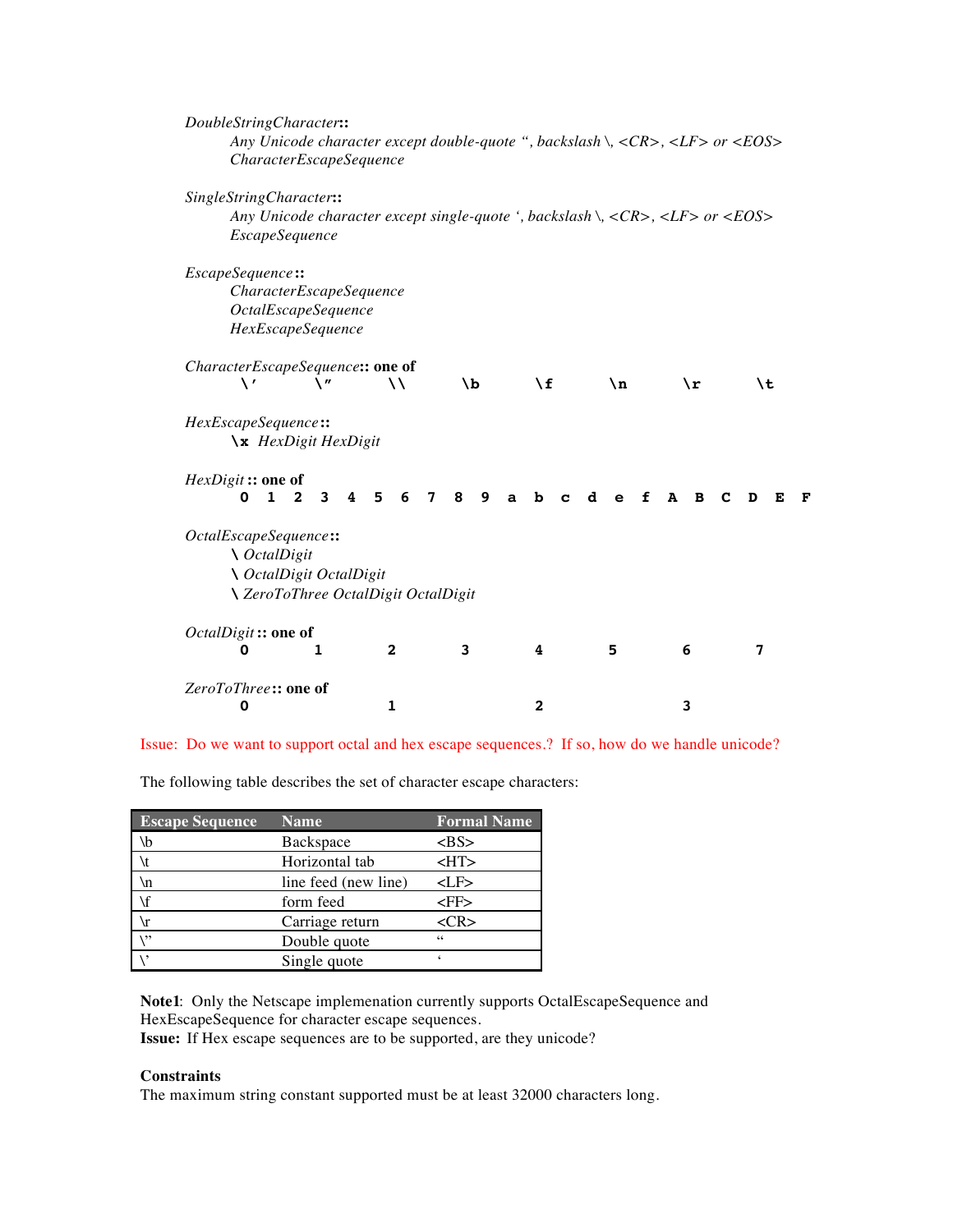| DoubleStringCharacter::          |                                            |                |                        |                        |                                                                                                                                |             |              |
|----------------------------------|--------------------------------------------|----------------|------------------------|------------------------|--------------------------------------------------------------------------------------------------------------------------------|-------------|--------------|
|                                  |                                            |                |                        |                        | Any Unicode character except double-quote ", backslash \, $\langle CR \rangle$ , $\langle LR \rangle$ or $\langle EOS \rangle$ |             |              |
|                                  | CharacterEscapeSequence                    |                |                        |                        |                                                                                                                                |             |              |
| SingleStringCharacter::          |                                            |                |                        |                        |                                                                                                                                |             |              |
|                                  |                                            |                |                        |                        | Any Unicode character except single-quote ', backslash \, $\langle CR \rangle$ , $\langle LF \rangle$ or $\langle EOS \rangle$ |             |              |
| <i>EscapeSequence</i>            |                                            |                |                        |                        |                                                                                                                                |             |              |
|                                  |                                            |                |                        |                        |                                                                                                                                |             |              |
| EscapeSequence::                 |                                            |                |                        |                        |                                                                                                                                |             |              |
|                                  | <i>CharacterEscapeSequence</i>             |                |                        |                        |                                                                                                                                |             |              |
|                                  | <i><b>OctalEscapeSequence</b></i>          |                |                        |                        |                                                                                                                                |             |              |
|                                  | HexEscapeSequence                          |                |                        |                        |                                                                                                                                |             |              |
| CharacterEscapeSequence:: one of |                                            |                |                        |                        |                                                                                                                                |             |              |
| \ '                              | \"                                         | $\lambda$      | ١b                     | ١f                     | $\mathbf{n}$                                                                                                                   | $\chi$ r    | \t           |
|                                  |                                            |                |                        |                        |                                                                                                                                |             |              |
| HexEscapeSequence::              |                                            |                |                        |                        |                                                                                                                                |             |              |
|                                  | \x HexDigit HexDigit                       |                |                        |                        |                                                                                                                                |             |              |
| HexDigit :: one of               |                                            |                |                        |                        |                                                                                                                                |             |              |
| $\mathbf{1}$<br>0                | 3<br>$\overline{2}$<br>4                   | 5<br>6         | 8<br>9<br>$\mathbf{7}$ | b<br>$\mathbf{a}$<br>C | d<br>f<br>$\mathbf e$                                                                                                          | A<br>в<br>С | D<br>F.<br>F |
|                                  |                                            |                |                        |                        |                                                                                                                                |             |              |
| OctalEscapeSequence::            |                                            |                |                        |                        |                                                                                                                                |             |              |
| <i>∖ OctalDigit</i>              |                                            |                |                        |                        |                                                                                                                                |             |              |
|                                  | ∖ OctalDigit OctalDigit                    |                |                        |                        |                                                                                                                                |             |              |
|                                  | <b>∖ ZeroToThree OctalDigit OctalDigit</b> |                |                        |                        |                                                                                                                                |             |              |
| OctalDigit: one of               |                                            |                |                        |                        |                                                                                                                                |             |              |
| 0                                | 1                                          | $\overline{2}$ | 3                      | 4                      | 5                                                                                                                              | 6           | 7            |
| ZeroToThree:: one of             |                                            |                |                        |                        |                                                                                                                                |             |              |
| 0                                |                                            | 1              |                        | $\mathbf{2}$           |                                                                                                                                | 3           |              |

Issue: Do we want to support octal and hex escape sequences.? If so, how do we handle unicode?

The following table describes the set of character escape characters:

| <b>Escape Sequence</b> | <b>Name</b>          | <b>Formal Name</b> |
|------------------------|----------------------|--------------------|
| $\mathbf{b}$           | Backspace            | >BS>               |
|                        | Horizontal tab       | $H$ T>             |
| ۱n                     | line feed (new line) | <lf></lf>          |
|                        | form feed            | <ff></ff>          |
|                        | Carriage return      | $<$ CR>            |
| $\ddotsc$              | Double quote         | 66                 |
|                        | Single quote         |                    |

**Note1**: Only the Netscape implemenation currently supports OctalEscapeSequence and HexEscapeSequence for character escape sequences.

**Issue:** If Hex escape sequences are to be supported, are they unicode?

#### **Constraints**

The maximum string constant supported must be at least 32000 characters long.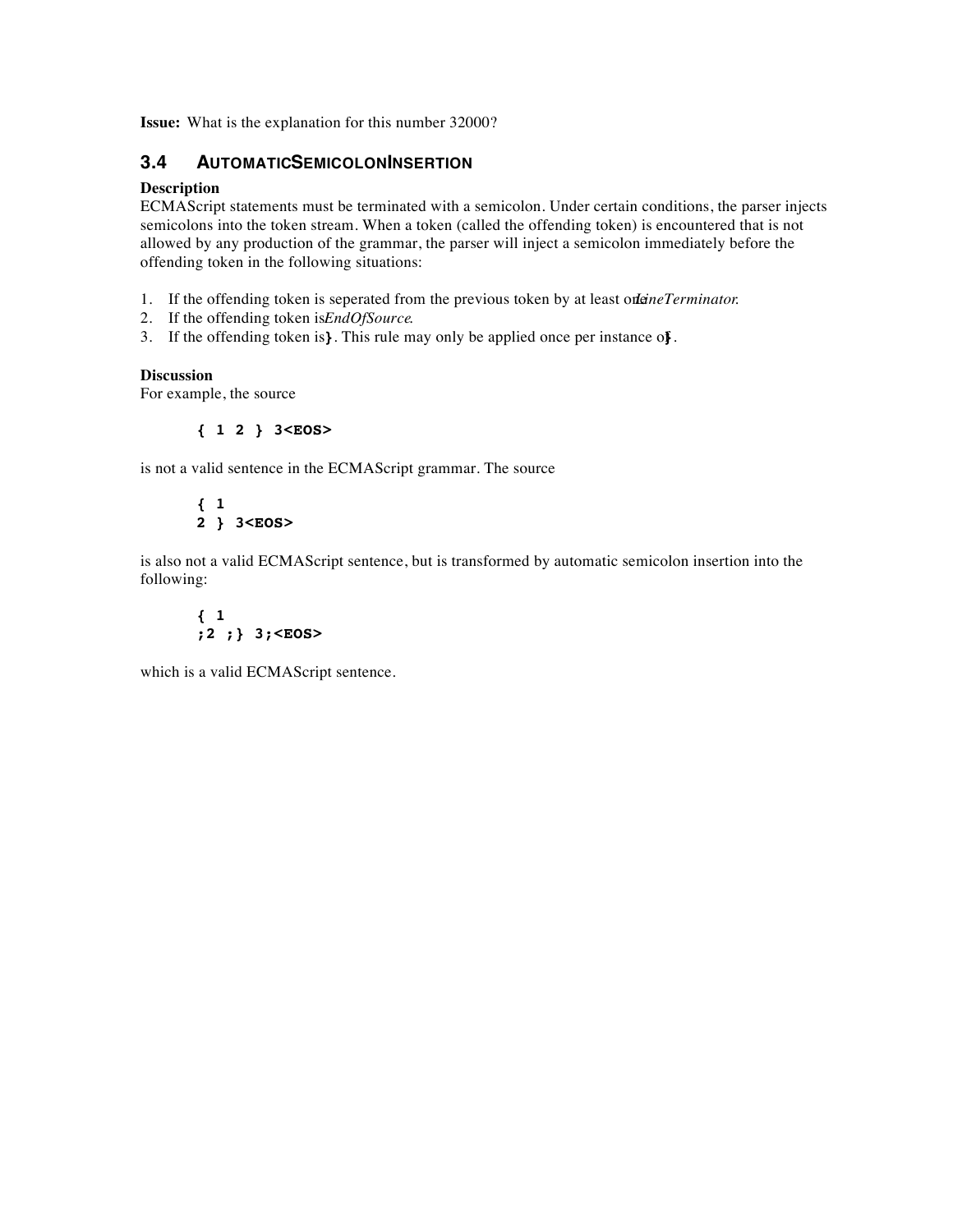**Issue:** What is the explanation for this number 32000?

#### **3.4 AUTOMATICSEMICOLONINSERTION**

#### **Description**

ECMAScript statements must be terminated with a semicolon. Under certain conditions, the parser injects semicolons into the token stream. When a token (called the offending token) is encountered that is not allowed by any production of the grammar, the parser will inject a semicolon immediately before the offending token in the following situations:

- 1. If the offending token is seperated from the previous token by at least one *Terminator*.
- 2. If the offending token is *EndOfSource*.
- 3. If the offending token is **}**. This rule may only be applied once per instance of **}**.

#### **Discussion**

For example, the source

**{ 1 2 } 3<EOS>**

is not a valid sentence in the ECMAScript grammar. The source

**{ 1 2 } 3<EOS>**

is also not a valid ECMAScript sentence, but is transformed by automatic semicolon insertion into the following:

**{ 1 ;2 ;} 3;<EOS>**

which is a valid ECMAScript sentence.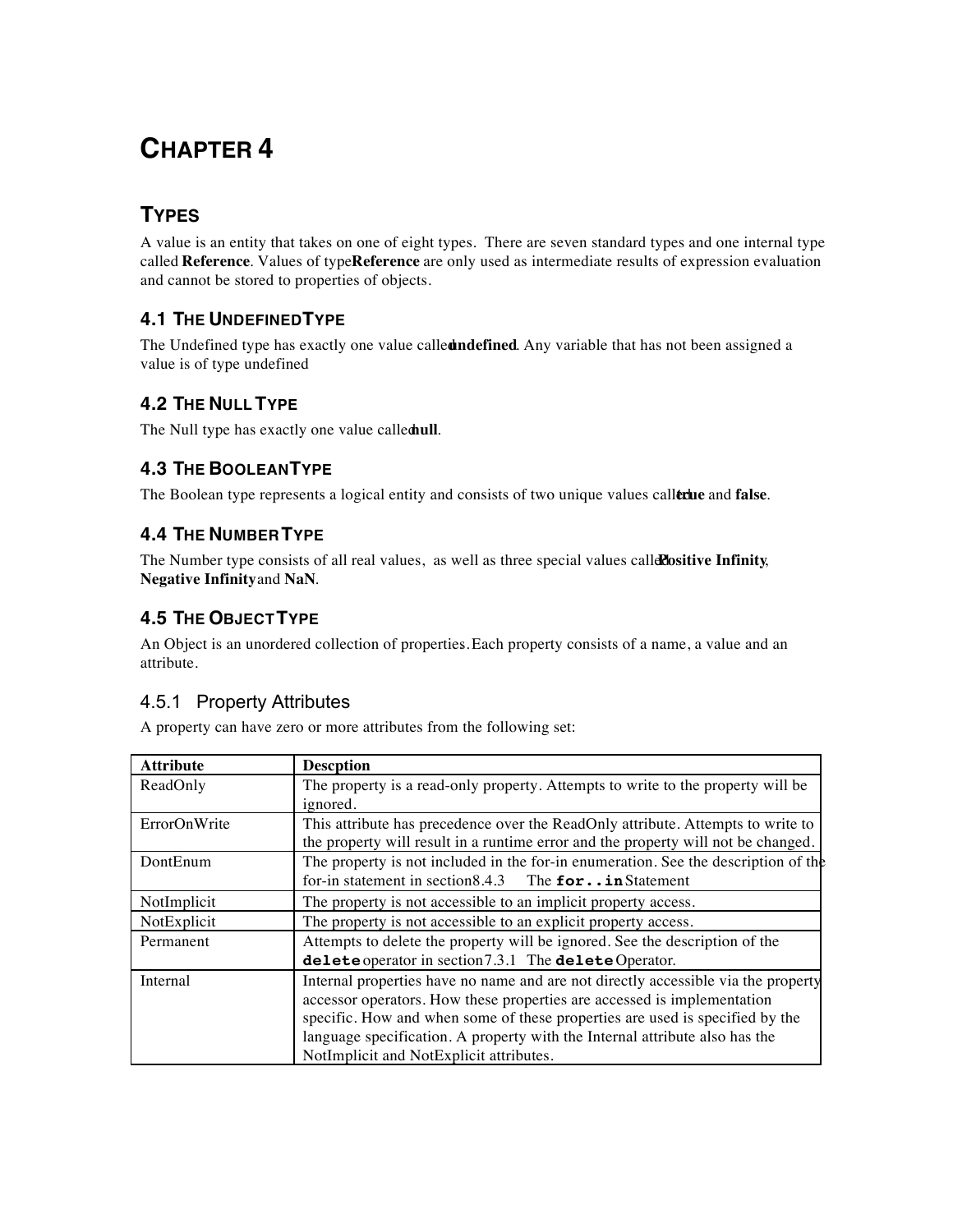## **TYPES**

A value is an entity that takes on one of eight types. There are seven standard types and one internal type called **Reference**. Values of type **Reference** are only used as intermediate results of expression evaluation and cannot be stored to properties of objects.

## **4.1 THE UNDEFINED TYPE**

The Undefined type has exactly one value called **undefined***.* Any variable that has not been assigned a value is of type undefined

## **4.2 THE NULL TYPE**

The Null type has exactly one value called ull.

## **4.3 THE BOOLEAN TYPE**

The Boolean type represents a logical entity and consists of two unique values caller the and false.

## **4.4 THE NUMBER TYPE**

The Number type consists of all real values, as well as three special values callerestive Infinity, **Negative Infinity** and **NaN**.

## **4.5 THE OBJECT TYPE**

An Object is an unordered collection of properties. *.* Each property consists of a name, a value and an attribute.

## 4.5.1 Property Attributes

A property can have zero or more attributes from the following set:

| <b>Attribute</b> | <b>Descption</b>                                                                   |
|------------------|------------------------------------------------------------------------------------|
| ReadOnly         | The property is a read-only property. Attempts to write to the property will be    |
|                  | ignored.                                                                           |
| ErrorOnWrite     | This attribute has precedence over the ReadOnly attribute. Attempts to write to    |
|                  | the property will result in a runtime error and the property will not be changed.  |
| DontEnum         | The property is not included in the for-in enumeration. See the description of the |
|                  | for-in statement in section 8.4.3 The $for \dots in$ Statement                     |
| NotImplicit      | The property is not accessible to an implicit property access.                     |
| NotExplicit      | The property is not accessible to an explicit property access.                     |
| Permanent        | Attempts to delete the property will be ignored. See the description of the        |
|                  | delete operator in section 7.3.1 The delete Operator.                              |
| Internal         | Internal properties have no name and are not directly accessible via the property  |
|                  | accessor operators. How these properties are accessed is implementation            |
|                  | specific. How and when some of these properties are used is specified by the       |
|                  | language specification. A property with the Internal attribute also has the        |
|                  | NotImplicit and NotExplicit attributes.                                            |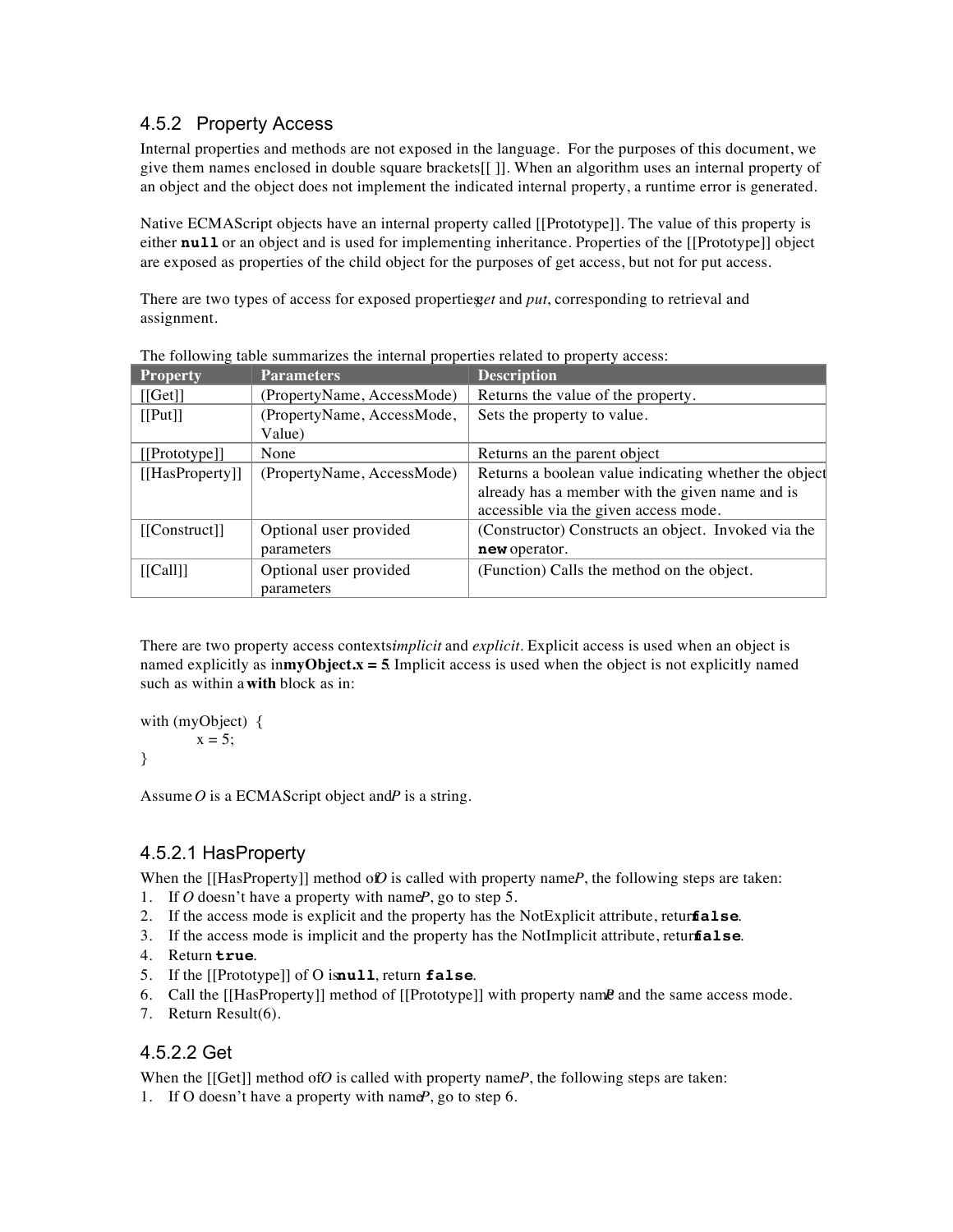## 4.5.2 Property Access

Internal properties and methods are not exposed in the language. For the purposes of this document, we give them names enclosed in double square brackets[[ ]]. When an algorithm uses an internal property of an object and the object does not implement the indicated internal property, a runtime error is generated.

Native ECMAScript objects have an internal property called [[Prototype]]. The value of this property is either **null** or an object and is used for implementing inheritance. Properties of the [[Prototype]] object are exposed as properties of the child object for the purposes of get access, but not for put access.

There are two types of access for exposed properties *get* and *put*, corresponding to retrieval and assignment.

|                    | The following thois building theories internal properties feature to property assessor |                                                       |
|--------------------|----------------------------------------------------------------------------------------|-------------------------------------------------------|
| <b>Property</b>    | <b>Parameters</b>                                                                      | <b>Description</b>                                    |
| [[Get]]            | (PropertyName, AccessMode)                                                             | Returns the value of the property.                    |
| [[Put]]            | (PropertyName, AccessMode,                                                             | Sets the property to value.                           |
|                    | Value)                                                                                 |                                                       |
| [[Prototype]]      | None                                                                                   | Returns an the parent object                          |
| $[$ [HasProperty]] | (PropertyName, AccessMode)                                                             | Returns a boolean value indicating whether the object |
|                    |                                                                                        | already has a member with the given name and is       |
|                    |                                                                                        | accessible via the given access mode.                 |
| $[$ [Construct]]   | Optional user provided                                                                 | (Constructor) Constructs an object. Invoked via the   |
|                    | parameters                                                                             | new operator.                                         |
| [[Call]]           | Optional user provided                                                                 | (Function) Calls the method on the object.            |
|                    | parameters                                                                             |                                                       |

The following table summarizes the internal properties related to property access:

There are two property access contextsimplicit and *explicit*. Explicit access is used when an object is named explicitly as  $\mathbf{im}\mathbf{y}$ **Object.x = 5**. Implicit access is used when the object is not explicitly named such as within a **with** block as in:

```
with (myObject) {
        x = 5:
}
```
Assume  $O$  is a ECMAS cript object and  $P$  is a string.

## 4.5.2.1 HasProperty

When the [[HasProperty]] method of *O* is called with property name *P*, the following steps are taken:

- 1. If  $O$  doesn't have a property with name  $P$ , go to step 5.
- 2. If the access mode is explicit and the property has the NotExplicit attribute, retur**false**.
- 3. If the access mode is implicit and the property has the NotImplicit attribute, retur**fialse**.
- 4. Return **true**.
- 5. If the [[Prototype]] of O isnull, return **false**.
- 6. Call the [[HasProperty]] method of [[Prototype]] with property name and the same access mode.
- 7. Return Result(6).

#### 4.5.2.2 Get

When the  $[[Get]]$  method of *O* is called with property name *P*, the following steps are taken: 1. If O doesn't have a property with name *P*, go to step 6.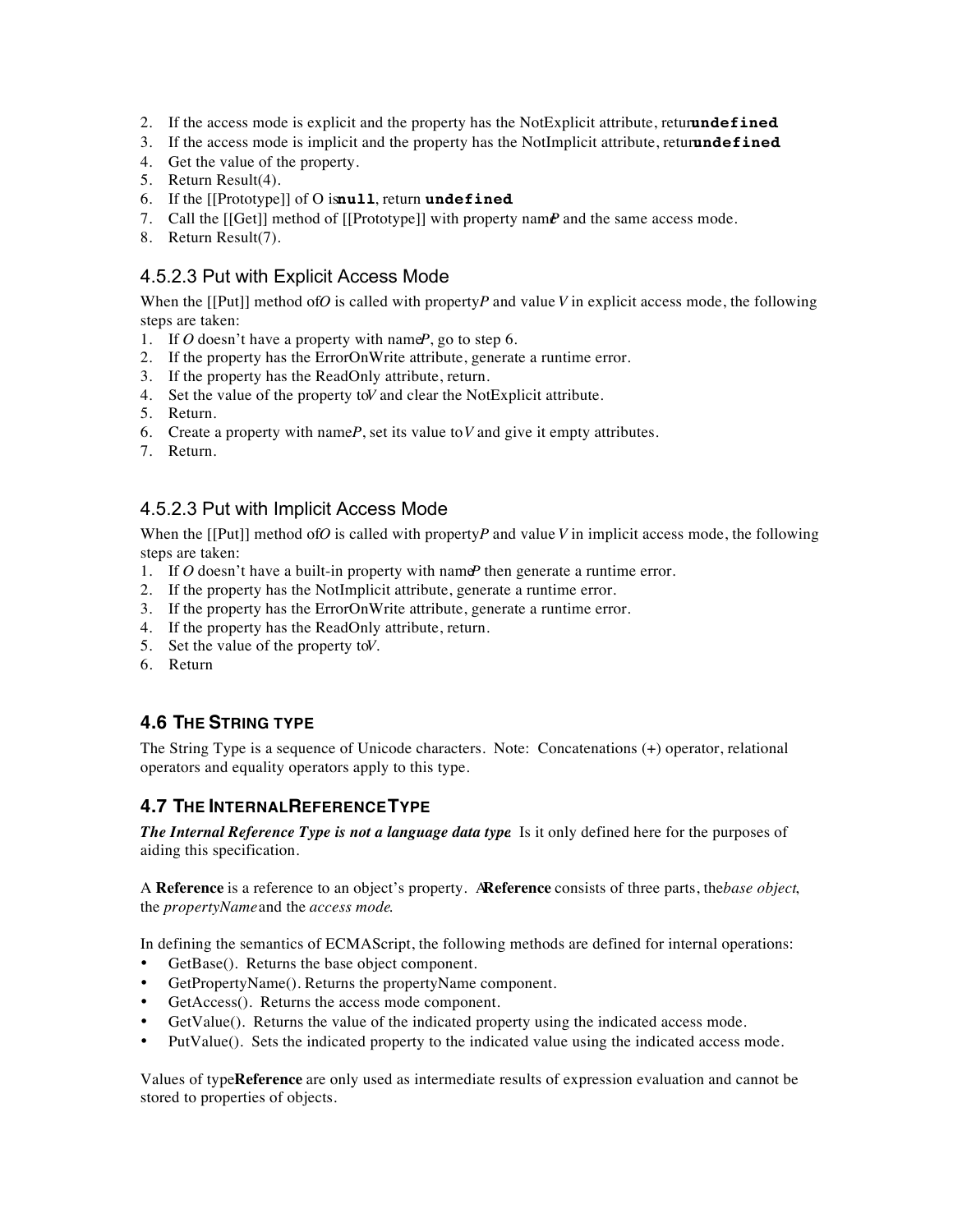- 2. If the access mode is explicit and the property has the NotExplicit attribute, return **undefined**.
- 3. If the access mode is implicit and the property has the NotImplicit attribute, return **undefined**.
- 4. Get the value of the property.
- 5. Return Result(4).
- 6. If the [[Prototype]] of O isnull, return undefined.
- 7. Call the  $\lfloor \lceil \text{Get} \rceil \rfloor$  method of  $\lfloor \lceil \text{Prototype} \rceil \rfloor$  with property name *P* and the same access mode.
- 8. Return Result(7).

### 4.5.2.3 Put with Explicit Access Mode

When the  $[[Put]]$  method of *O* is called with property *P* and value *V* in explicit access mode, the following steps are taken:

- 1. If  $O$  doesn't have a property with name *P*, go to step 6.
- 2. If the property has the ErrorOnWrite attribute, generate a runtime error.
- 3. If the property has the ReadOnly attribute, return.
- 4. Set the value of the property to *V* and clear the NotExplicit attribute.
- 5. Return.
- 6. Create a property with name $P$ , set its value to  $V$  and give it empty attributes.
- 7. Return.

### 4.5.2.3 Put with Implicit Access Mode

When the  $[[Put]]$  method of *O* is called with property *P* and value *V* in implicit access mode, the following steps are taken:

- 1. If  $O$  doesn't have a built-in property with name  $P$  then generate a runtime error.
- 2. If the property has the NotImplicit attribute, generate a runtime error.
- 3. If the property has the ErrorOnWrite attribute, generate a runtime error.
- 4. If the property has the ReadOnly attribute, return.
- 5. Set the value of the property to *V*.
- 6. Return

## **4.6 THE STRING TYPE**

The String Type is a sequence of Unicode characters. Note: Concatenations (+) operator, relational operators and equality operators apply to this type.

## **4.7 THE INTERNAL REFERENCE TYPE**

*The Internal Reference Type is not a language data type*. Is it only defined here for the purposes of aiding this specification.

A **Reference** is a reference to an object's property. A **Reference** consists of three parts, the *base object*, the *propertyName* and the *access mode*.

In defining the semantics of ECMAScript, the following methods are defined for internal operations:

- GetBase(). Returns the base object component.
- GetPropertyName(). Returns the propertyName component.
- GetAccess(). Returns the access mode component.
- GetValue(). Returns the value of the indicated property using the indicated access mode.
- PutValue(). Sets the indicated property to the indicated value using the indicated access mode.

Values of type **Reference** are only used as intermediate results of expression evaluation and cannot be stored to properties of objects.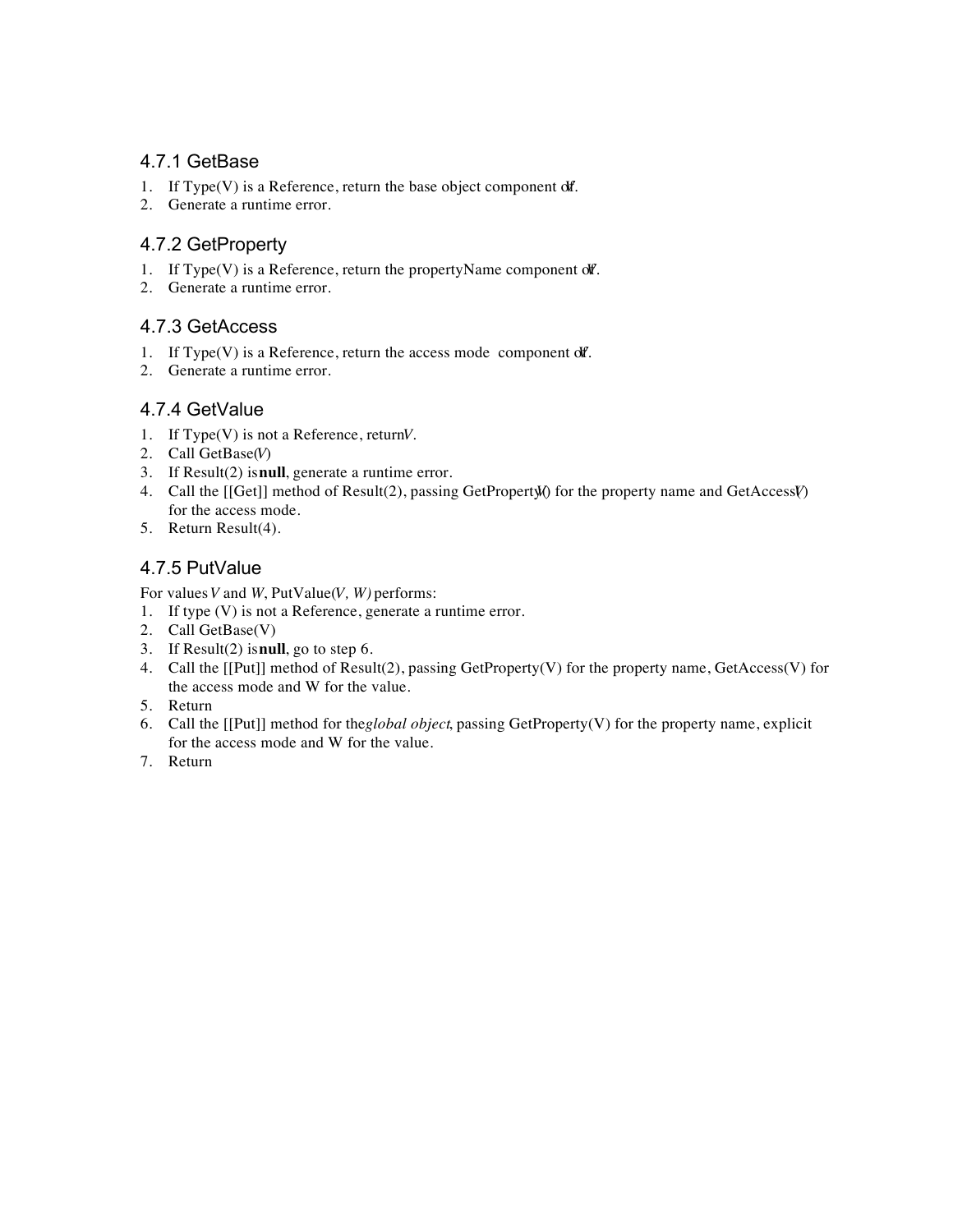## 4.7.1 GetBase

- 1. If Type(V) is a Reference, return the base object component off.
- 2. Generate a runtime error.

## 4.7.2 GetProperty

- 1. If Type(V) is a Reference, return the propertyName component of *Y*.
- 2. Generate a runtime error.

## 4.7.3 GetAccess

- 1. If Type(V) is a Reference, return the access mode component of *I*.
- 2. Generate a runtime error.

## 4.7.4 GetValue

- 1. If Type(V) is not a Reference, return *V*.
- 2. Call GetBase(*V*)
- 3. If Result(2) is **null**, generate a runtime error.
- 4. Call the [[Get]] method of Result(2), passing GetProperty(*V*) for the property name and GetAccess(*V*) for the access mode.
- 5. Return Result(4).

## 4.7.5 PutValue

For values *V* and *W*, PutValue(*V, W)* performs:

- 1. If type (V) is not a Reference, generate a runtime error.
- 2. Call GetBase(V)
- 3. If Result(2) is **null**, go to step 6.
- 4. Call the [[Put]] method of Result(2), passing GetProperty(V) for the property name, GetAccess(V) for the access mode and W for the value.
- 5. Return
- 6. Call the [[Put]] method for the *global object*, passing GetProperty(V) for the property name, explicit for the access mode and W for the value.
- 7. Return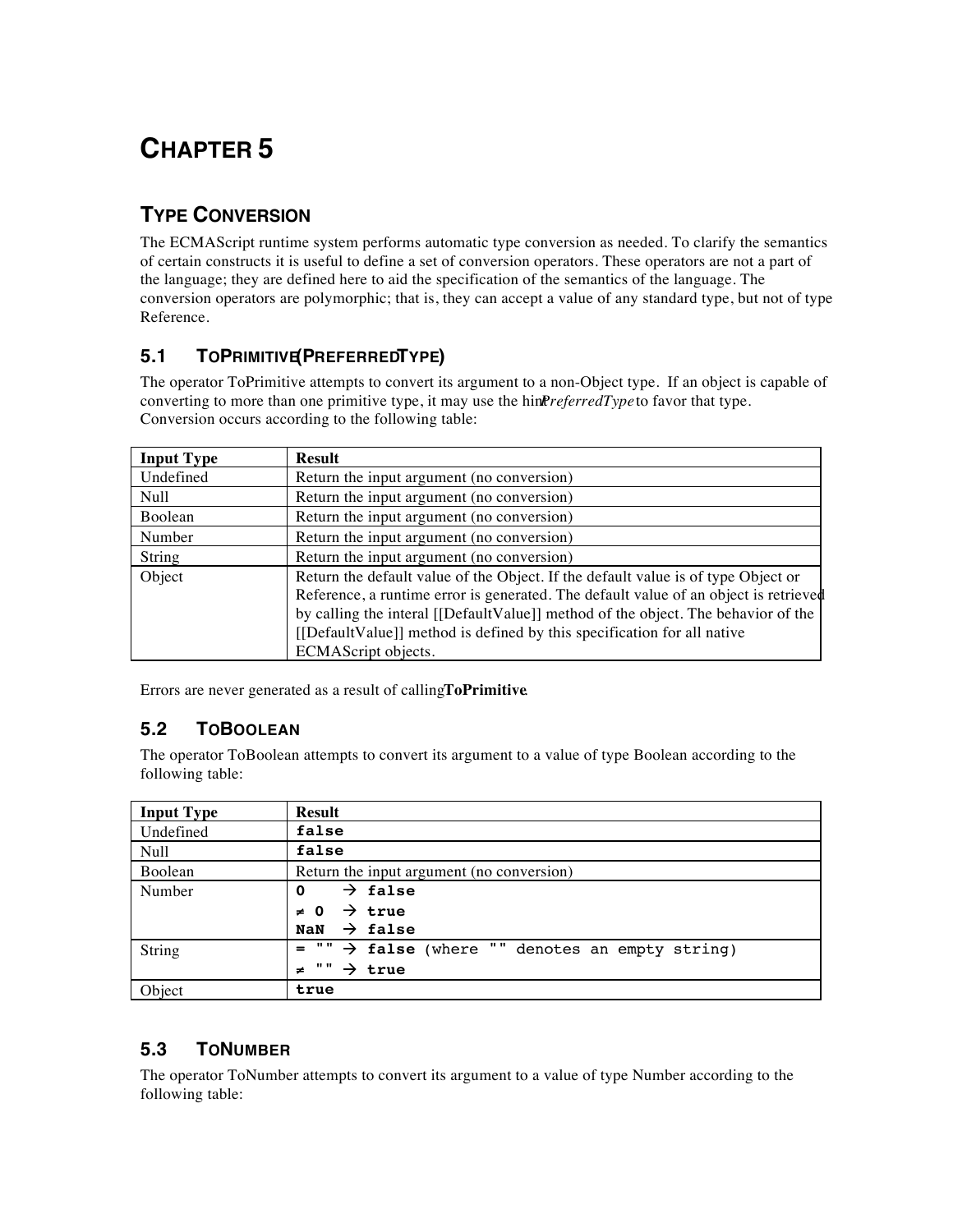## **TYPE CONVERSION**

The ECMAScript runtime system performs automatic type conversion as needed. To clarify the semantics of certain constructs it is useful to define a set of conversion operators. These operators are not a part of the language; they are defined here to aid the specification of the semantics of the language. The conversion operators are polymorphic; that is, they can accept a value of any standard type, but not of type Reference.

## **5.1 TOPRIMITIVE(PREFERREDTYPE)**

The operator ToPrimitive attempts to convert its argument to a non-Object type. If an object is capable of converting to more than one primitive type, it may use the hinter *PreferredType* to favor that type. Conversion occurs according to the following table:

| <b>Input Type</b> | <b>Result</b>                                                                        |
|-------------------|--------------------------------------------------------------------------------------|
| Undefined         | Return the input argument (no conversion)                                            |
| Null              | Return the input argument (no conversion)                                            |
| Boolean           | Return the input argument (no conversion)                                            |
| Number            | Return the input argument (no conversion)                                            |
| String            | Return the input argument (no conversion)                                            |
| Object            | Return the default value of the Object. If the default value is of type Object or    |
|                   | Reference, a runtime error is generated. The default value of an object is retrieved |
|                   | by calling the interal [[DefaultValue]] method of the object. The behavior of the    |
|                   | [[DefaultValue]] method is defined by this specification for all native              |
|                   | ECMAScript objects.                                                                  |

Errors are never generated as a result of calling **ToPrimitive**.

## **5.2 TOBOOLEAN**

The operator ToBoolean attempts to convert its argument to a value of type Boolean according to the following table:

| <b>Input Type</b> | <b>Result</b>                                                                              |
|-------------------|--------------------------------------------------------------------------------------------|
| Undefined         | false                                                                                      |
| Null              | false                                                                                      |
| Boolean           | Return the input argument (no conversion)                                                  |
| Number            | $\rightarrow$ false<br>$\mathbf 0$                                                         |
|                   | $\rightarrow$ true<br>$\neq 0$                                                             |
|                   | $\rightarrow$ false<br><b>NaN</b>                                                          |
| String            | $\mathbf{u}$ $\mathbf{u}$<br>$\rightarrow$ false (where "" denotes an empty string)<br>$=$ |
|                   | . .<br>$\rightarrow$ true<br>≠                                                             |
| Object            | true                                                                                       |

## **5.3 TONUMBER**

The operator ToNumber attempts to convert its argument to a value of type Number according to the following table: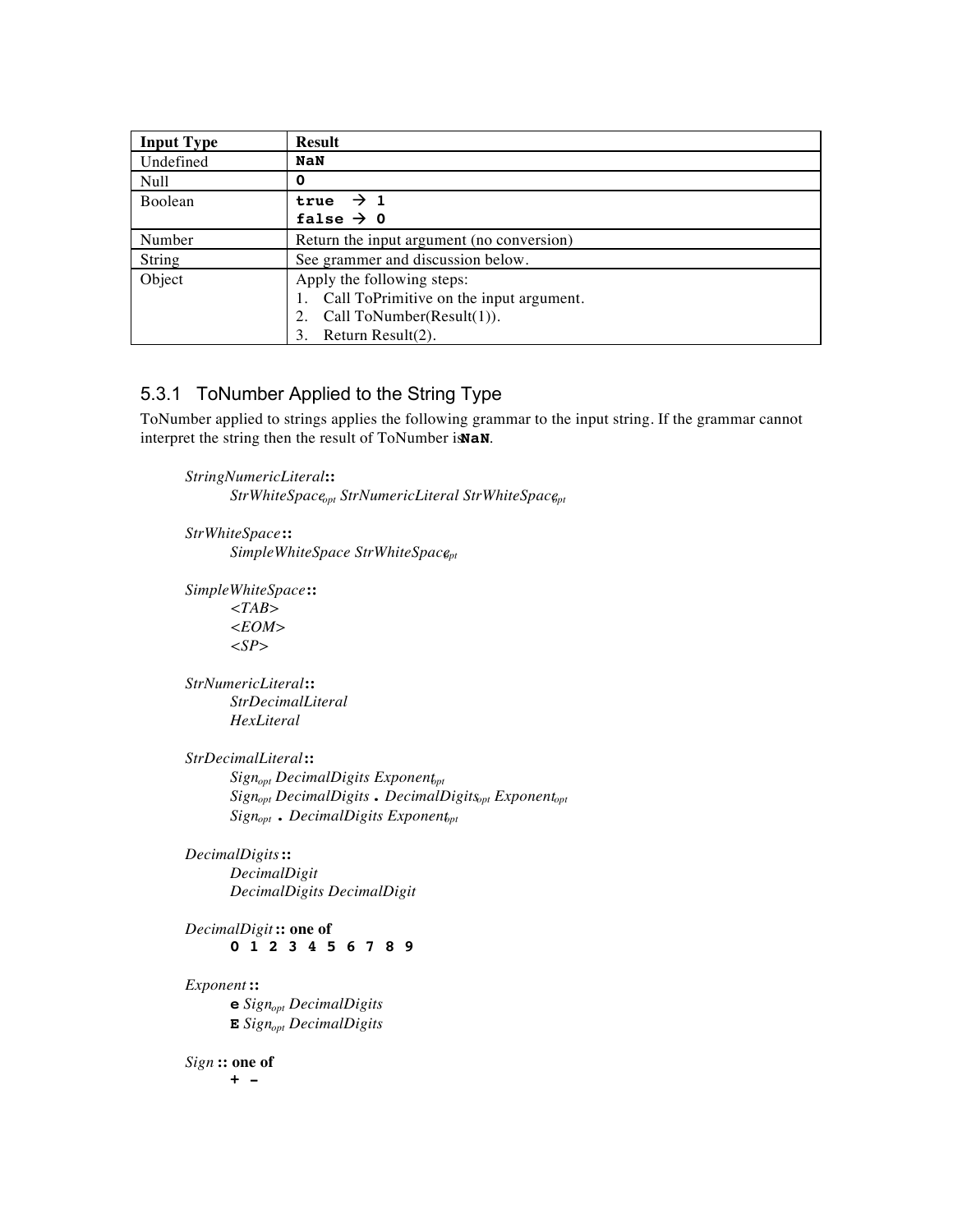| <b>Input Type</b> | <b>Result</b>                             |
|-------------------|-------------------------------------------|
| Undefined         | <b>NaN</b>                                |
| Null              | 0                                         |
| Boolean           | true $\rightarrow$ 1                      |
|                   | false $\rightarrow$ 0                     |
| Number            | Return the input argument (no conversion) |
| String            | See grammer and discussion below.         |
| Object            | Apply the following steps:                |
|                   | Call ToPrimitive on the input argument.   |
|                   | Call ToNumber( $Result(1)$ ).<br>2.       |
|                   | 3.<br>Return Result(2).                   |

#### 5.3.1 ToNumber Applied to the String Type

ToNumber applied to strings applies the following grammar to the input string. If the grammar cannot interpret the string then the result of ToNumber is **NaN**.

*StringNumericLiteral* **::**  $StrWhiteSpace_{opt} StrNumeric Literal StrWhiteSpace_{pt}$ 

*StrWhiteSpace* **::** *SimpleWhiteSpace StrWhiteSpace<sub>pt</sub>* 

*SimpleWhiteSpace* **::** *<TAB> <EOM> <SP>*

*StrNumericLiteral* **::** *StrDecimalLiteral HexLiteral*

*StrDecimalLiteral* **::**  $Sign_{opt}$  DecimalDigits Exponent<sub>pt</sub> *Signopt DecimalDigits* **.** *DecimalDigitsopt Exponentopt*  $Sign_{opt}$  **.** DecimalDigits Exponent<sub>pt</sub>

*DecimalDigits* **::** *DecimalDigit DecimalDigits DecimalDigit*

*DecimalDigit* **:: one of 0 1 2 3 4 5 6 7 8 9**

*Exponent* **:: e** *Signopt DecimalDigits* **E** *Signopt DecimalDigits*

*Sign* **:: one of**

**+ -**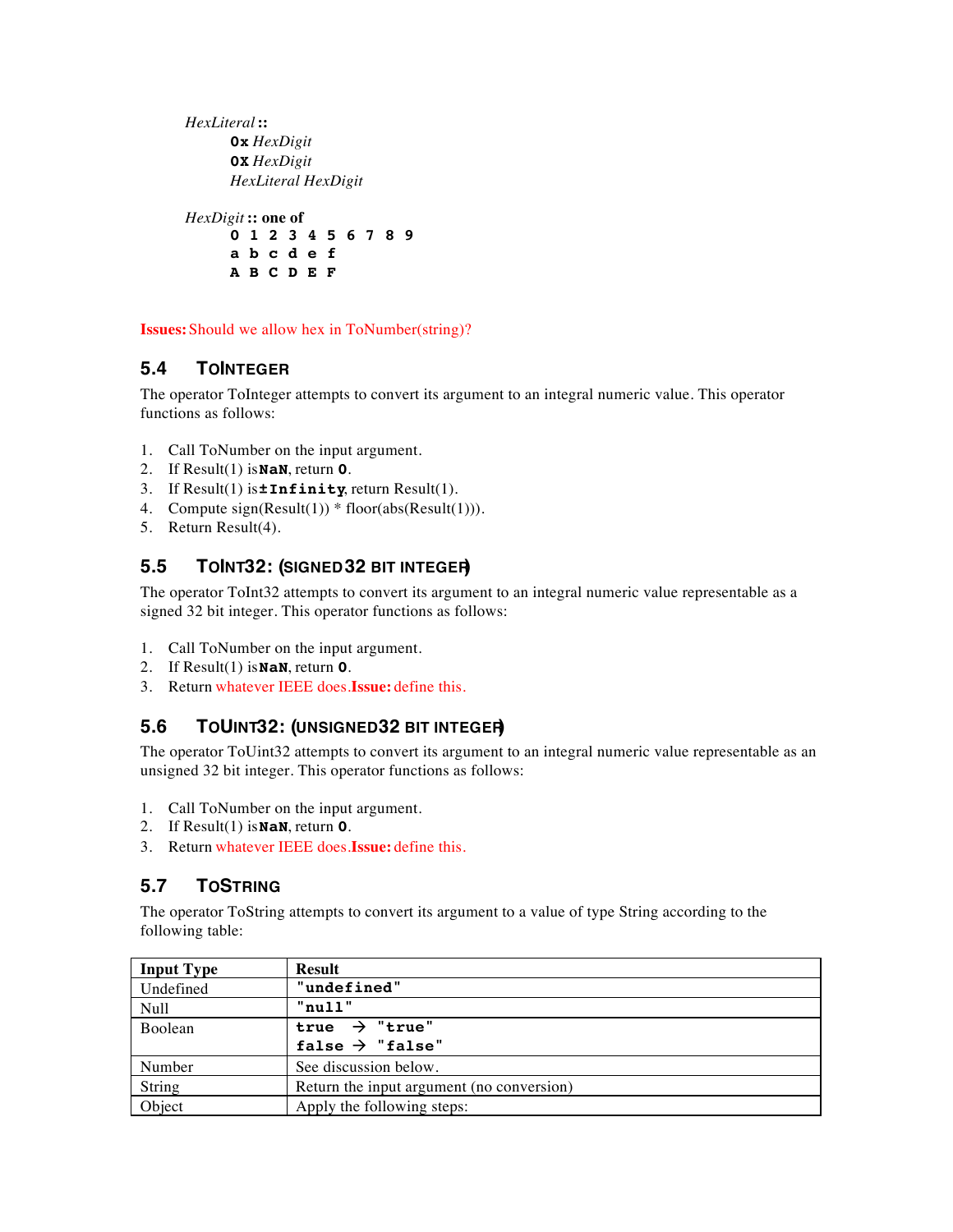*HexLiteral* **:: 0x** *HexDigit* **0X** *HexDigit HexLiteral HexDigit*

*HexDigit* **:: one of 0 1 2 3 4 5 6 7 8 9 a b c d e f A B C D E F**

**Issues:** Should we allow hex in ToNumber(string)?

## **5.4 TOINTEGER**

The operator ToInteger attempts to convert its argument to an integral numeric value. This operator functions as follows:

- 1. Call ToNumber on the input argument.
- 2. If Result(1) is **NaN**, return **0**.
- 3. If Result(1) is **±Infinity**, return Result(1).
- 4. Compute  $sign(Result(1))^*$  floor( $abs(Result(1)))$ .
- 5. Return Result(4).

### **5.5 TOINT32: (SIGNED 32 BIT INTEGER)**

The operator ToInt32 attempts to convert its argument to an integral numeric value representable as a signed 32 bit integer. This operator functions as follows:

- 1. Call ToNumber on the input argument.
- 2. If Result(1) is **NaN**, return **0**.
- 3. Return whatever IEEE does. **Issue:** define this.

## **5.6 TOUINT32: (UNSIGNED 32 BIT INTEGER)**

The operator ToUint32 attempts to convert its argument to an integral numeric value representable as an unsigned 32 bit integer. This operator functions as follows:

- 1. Call ToNumber on the input argument.
- 2. If Result(1) is **NaN**, return **0**.
- 3. Return whatever IEEE does. **Issue:** define this.

## **5.7 TOSTRING**

The operator ToString attempts to convert its argument to a value of type String according to the following table:

| <b>Input Type</b> | <b>Result</b>                             |
|-------------------|-------------------------------------------|
| Undefined         | "undefined"                               |
| Null              | "null"                                    |
| Boolean           | true $\rightarrow$ "true"                 |
|                   | false $\rightarrow$ "false"               |
| Number            | See discussion below.                     |
| String            | Return the input argument (no conversion) |
| Object            | Apply the following steps:                |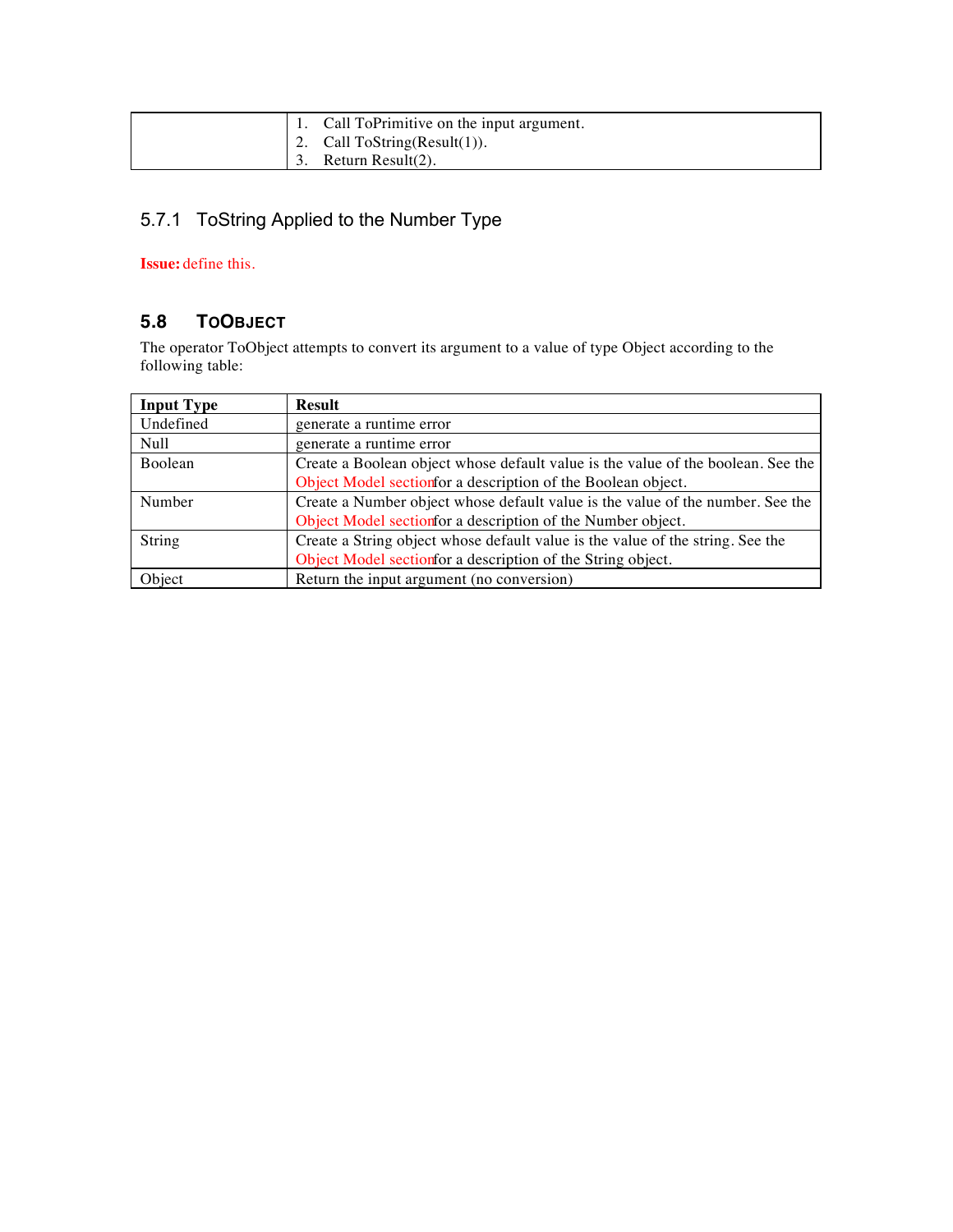|  | Call ToPrimitive on the input argument. |
|--|-----------------------------------------|
|  | 2. Call $T\circ String(Result(1))$ .    |
|  | Return Result(2).                       |

## 5.7.1 ToString Applied to the Number Type

#### **Issue:** define this.

## **5.8 TOOBJECT**

The operator ToObject attempts to convert its argument to a value of type Object according to the following table:

| <b>Input Type</b> | <b>Result</b>                                                                    |
|-------------------|----------------------------------------------------------------------------------|
| Undefined         | generate a runtime error                                                         |
| Null              | generate a runtime error                                                         |
| <b>Boolean</b>    | Create a Boolean object whose default value is the value of the boolean. See the |
|                   | Object Model section for a description of the Boolean object.                    |
| Number            | Create a Number object whose default value is the value of the number. See the   |
|                   | Object Model section for a description of the Number object.                     |
| String            | Create a String object whose default value is the value of the string. See the   |
|                   | Object Model section for a description of the String object.                     |
| Object            | Return the input argument (no conversion)                                        |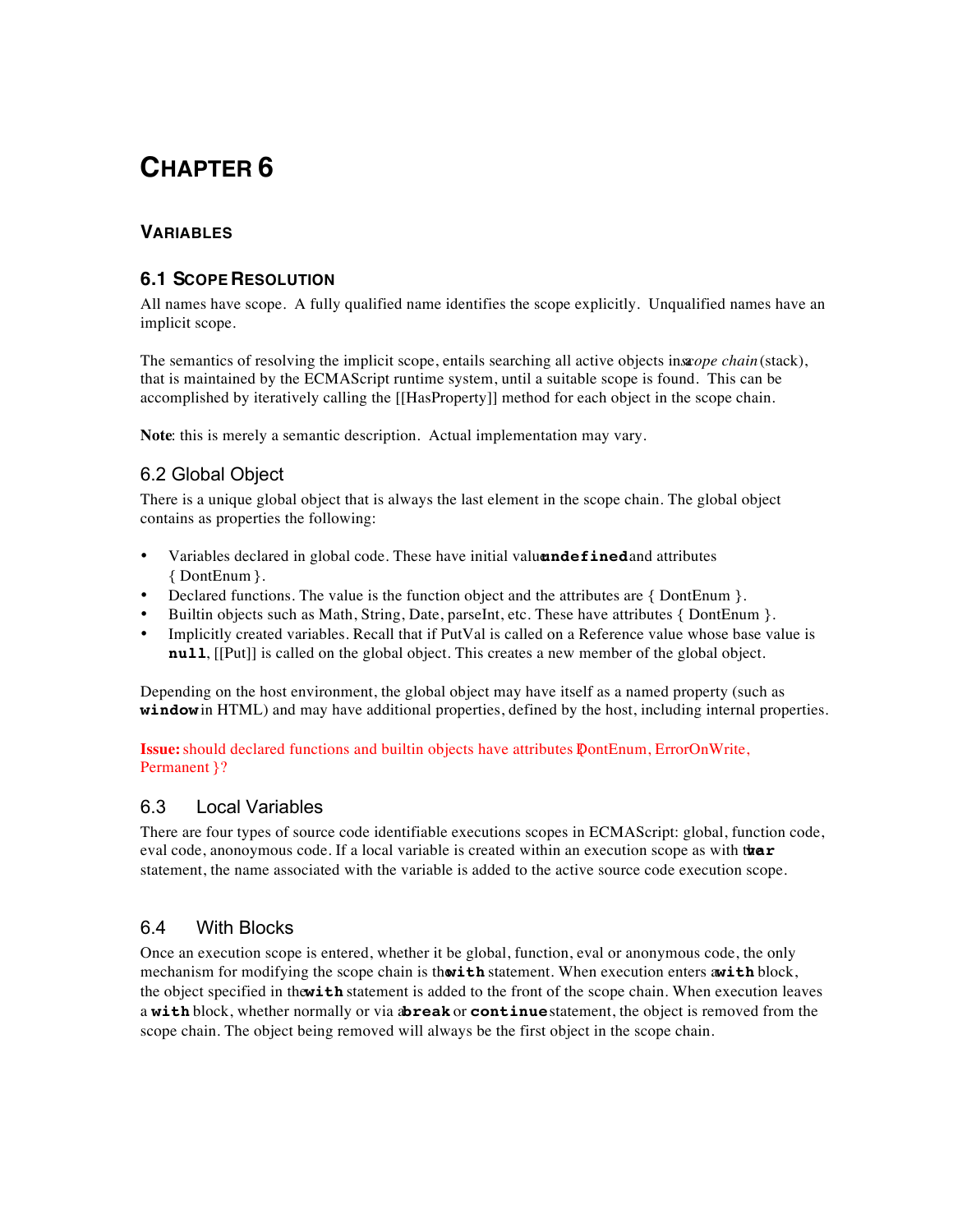### **VARIABLES**

#### **6.1 SCOPE RESOLUTION**

All names have scope. A fully qualified name identifies the scope explicitly. Unqualified names have an implicit scope.

The semantics of resolving the implicit scope, entails searching all active objects insa*cope chain* (stack), that is maintained by the ECMAScript runtime system, until a suitable scope is found. This can be accomplished by iteratively calling the [[HasProperty]] method for each object in the scope chain.

**Note**: this is merely a semantic description. Actual implementation may vary.

### 6.2 Global Object

There is a unique global object that is always the last element in the scope chain. The global object contains as properties the following:

- Variables declared in global code. These have initial valuandefined and attributes { DontEnum }.
- Declared functions. The value is the function object and the attributes are { DontEnum }.
- Builtin objects such as Math, String, Date, parseInt, etc. These have attributes { DontEnum }.
- Implicitly created variables. Recall that if PutVal is called on a Reference value whose base value is **null**, [[Put]] is called on the global object. This creates a new member of the global object.

Depending on the host environment, the global object may have itself as a named property (such as **window** in HTML) and may have additional properties, defined by the host, including internal properties.

**Issue:** should declared functions and builtin objects have attributes { DontEnum, ErrorOnWrite, Permanent }?

#### 6.3 Local Variables

There are four types of source code identifiable executions scopes in ECMAScript: global, function code, eval code, anonoymous code. If a local variable is created within an execution scope as with t**heir** statement, the name associated with the variable is added to the active source code execution scope.

#### 6.4 With Blocks

Once an execution scope is entered, whether it be global, function, eval or anonymous code, the only mechanism for modifying the scope chain is thosith statement. When execution enters awith block, the object specified in the with statement is added to the front of the scope chain. When execution leaves a **with** block, whether normally or via abreak or **continue** statement, the object is removed from the scope chain. The object being removed will always be the first object in the scope chain.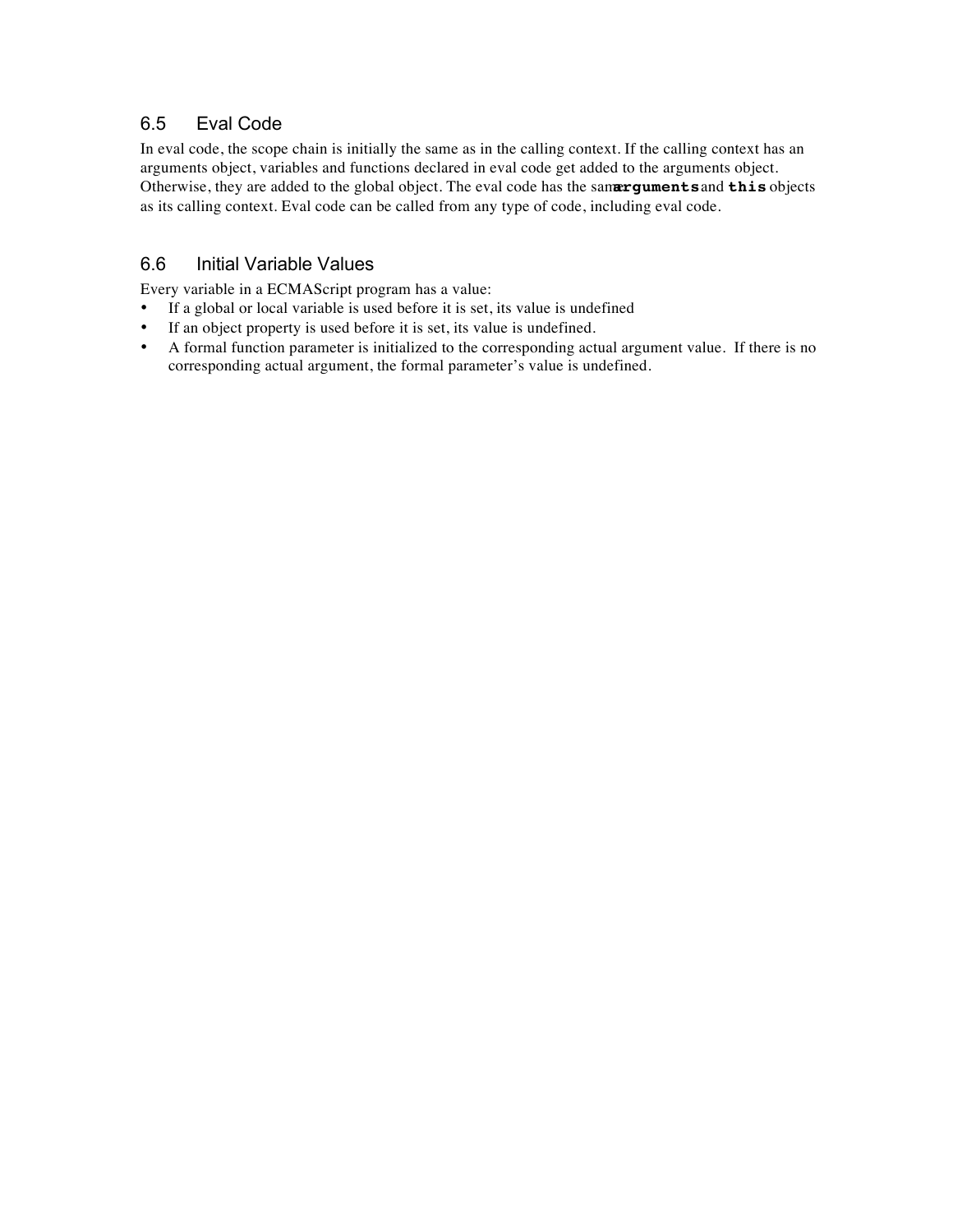## 6.5 Eval Code

In eval code, the scope chain is initially the same as in the calling context. If the calling context has an arguments object, variables and functions declared in eval code get added to the arguments object. Otherwise, they are added to the global object. The eval code has the sanarguments and this objects as its calling context. Eval code can be called from any type of code, including eval code.

## 6.6 Initial Variable Values

Every variable in a ECMAScript program has a value:

- If a global or local variable is used before it is set, its value is undefined
- If an object property is used before it is set, its value is undefined.
- A formal function parameter is initialized to the corresponding actual argument value. If there is no corresponding actual argument, the formal parameter's value is undefined.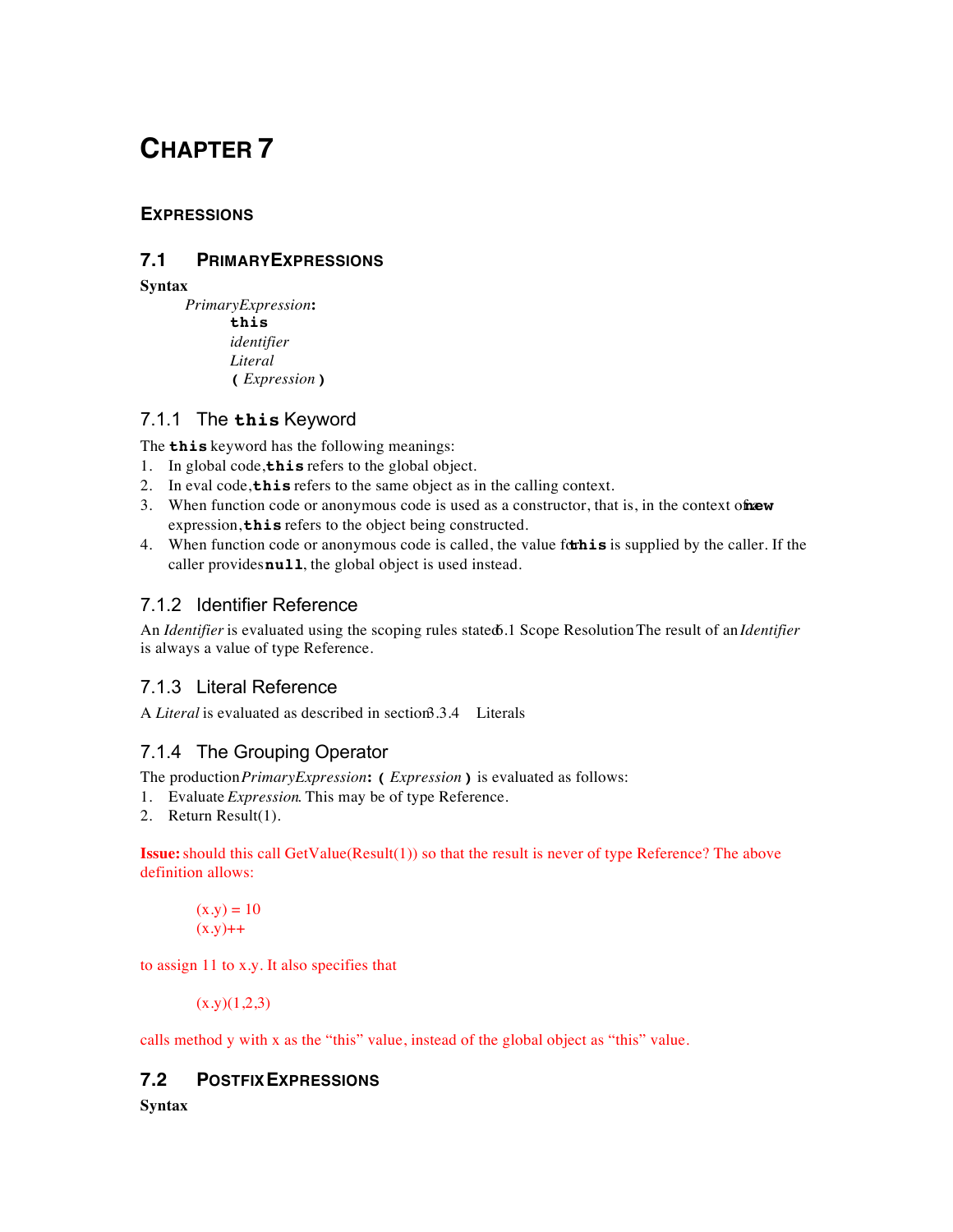## **EXPRESSIONS**

### **7.1 PRIMARY EXPRESSIONS**

**Syntax**

*PrimaryExpression* **: this** *identifier Literal* **(** *Expression* **)**

### 7.1.1 The **this** Keyword

The **this** keyword has the following meanings:

- 1. In global code, **this** refers to the global object.
- 2. In eval code, **this** refers to the same object as in the calling context.
- 3. When function code or anonymous code is used as a constructor, that is, in the context of **new** expression, **this** refers to the object being constructed.
- 4. When function code or anonymous code is called, the value forthis is supplied by the caller. If the caller provides **null**, the global object is used instead.

## 7.1.2 Identifier Reference

An *Identifier* is evaluated using the scoping rules stated 6.1 Scope Resolution The result of an *Identifier* is always a value of type Reference.

## 7.1.3 Literal Reference

A *Literal* is evaluated as described in section 3.4 Literals

## 7.1.4 The Grouping Operator

The production *PrimaryExpression* **: (** *Expression***)** is evaluated as follows:

- 1. Evaluate *Expression*. This may be of type Reference.
- 2. Return Result(1).

**Issue:** should this call GetValue(Result(1)) so that the result is never of type Reference? The above definition allows:

$$
(x.y) = 10
$$

$$
(x.y) + +
$$

to assign 11 to x.y. It also specifies that

 $(x,y)(1,2,3)$ 

calls method y with x as the "this" value, instead of the global object as "this" value.

#### **7.2 POSTFIX EXPRESSIONS**

**Syntax**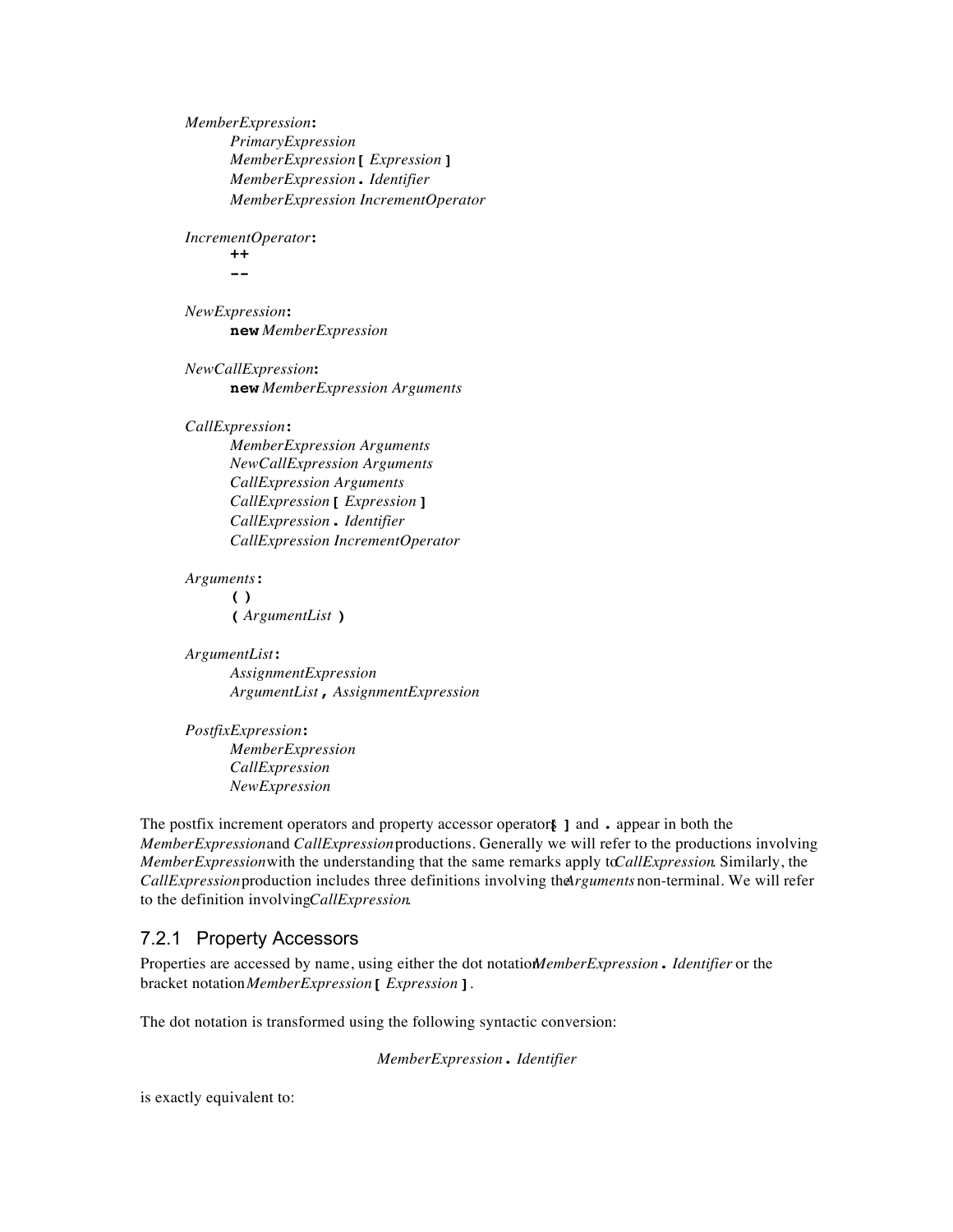*MemberExpression* **:** *PrimaryExpression MemberExpression* **[** *Expression* **]** *MemberExpression* **.** *Identifier MemberExpression IncrementOperator*

*IncrementOperator* **:**

**++ --**

*NewExpression* **: new** *MemberExpression*

*NewCallExpression* **: new** *MemberExpression Arguments*

*CallExpression* **:**

*MemberExpression Arguments NewCallExpression Arguments CallExpression Arguments CallExpression* **[** *Expression* **]** *CallExpression* **.** *Identifier CallExpression IncrementOperator*

*Arguments* **: ( ) (** *ArgumentList* **)**

*ArgumentList* **:** *AssignmentExpression ArgumentList* **,** *AssignmentExpression*

*PostfixExpression* **:** *MemberExpression CallExpression NewExpression*

The postfix increment operators and property accessor operators **[ ]** and **.** appear in both the *MemberExpression* and *CallExpression* productions. Generally we will refer to the productions involving *MemberExpression* with the understanding that the same remarks apply to *CallExpression*. Similarly, the *CallExpression* production includes three definitions involving the *Arguments* non-terminal. We will refer to the definition involving *CallExpression*.

## 7.2.1 Property Accessors

Properties are accessed by name, using either the dot notation *MemberExpression***.** *Identifier* or the bracket notation *MemberExpression***[** *Expression* **]**.

The dot notation is transformed using the following syntactic conversion:

*MemberExpression* **.** *Identifier*

is exactly equivalent to: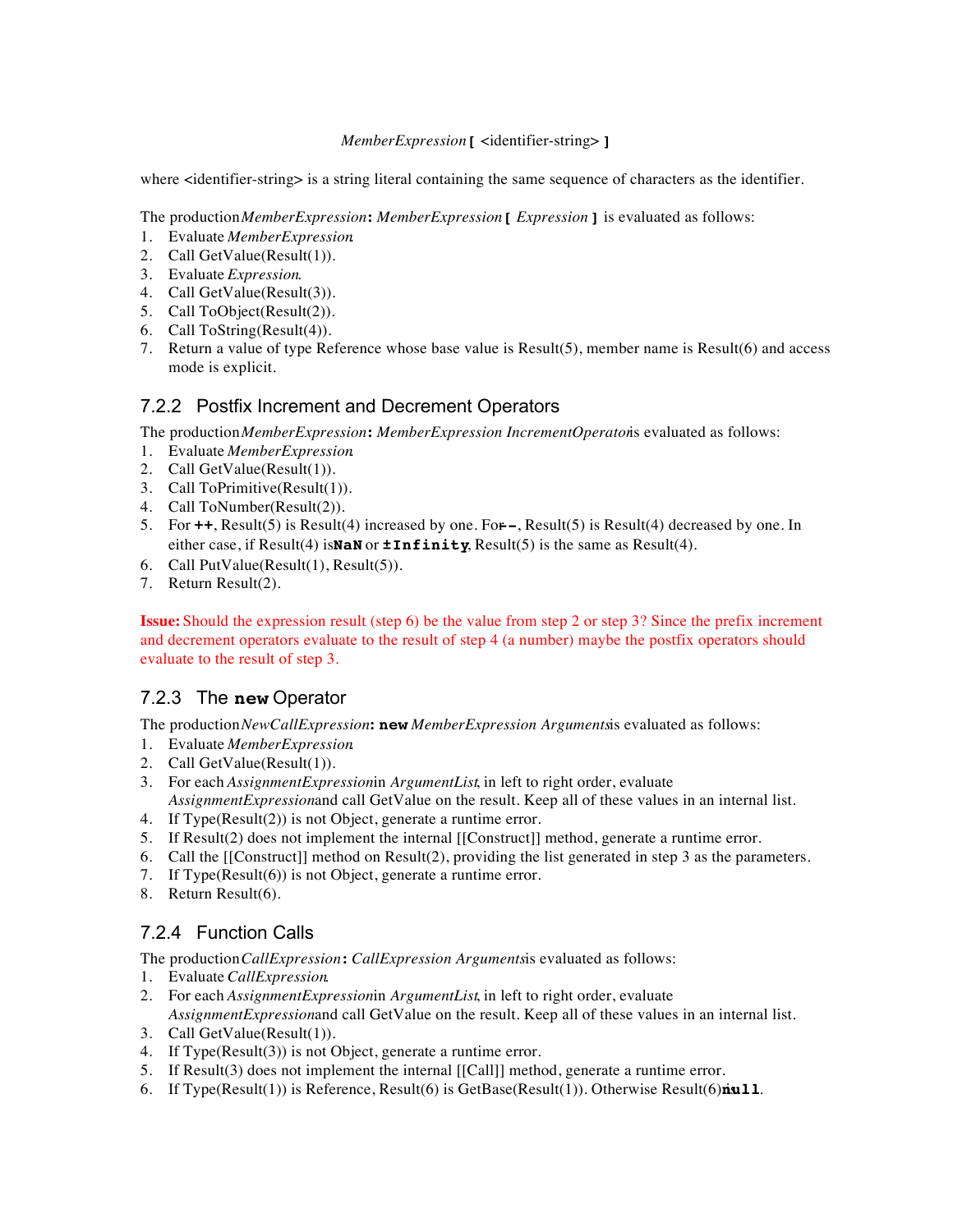#### *MemberExpression***[** <identifier-string> **]**

where <identifier-string> is a string literal containing the same sequence of characters as the identifier.

The production *MemberExpression* **:** *MemberExpression* **[** *Expression* **]** is evaluated as follows:

- 1. Evaluate *MemberExpression*.
- 2. Call GetValue(Result(1)).
- 3. Evaluate *Expression*.
- 4. Call GetValue(Result(3)).
- 5. Call ToObject(Result(2)).
- 6. Call ToString(Result(4)).
- 7. Return a value of type Reference whose base value is Result(5), member name is Result(6) and access mode is explicit.

#### 7.2.2 Postfix Increment and Decrement Operators

The production *MemberExpression* **:** *MemberExpression IncrementOperator* is evaluated as follows:

- 1. Evaluate *MemberExpression*.
- 2. Call GetValue(Result(1)).
- 3. Call ToPrimitive(Result(1)).
- 4. Call ToNumber(Result(2)).
- 5. For **++**, Result(5) is Result(4) increased by one. For **--**, Result(5) is Result(4) decreased by one. In either case, if Result(4) is **NaN** or **±Infinity**, Result(5) is the same as Result(4).
- 6. Call PutValue(Result(1), Result(5)).
- 7. Return Result(2).

**Issue:** Should the expression result (step 6) be the value from step 2 or step 3? Since the prefix increment and decrement operators evaluate to the result of step 4 (a number) maybe the postfix operators should evaluate to the result of step 3.

#### 7.2.3 The **new** Operator

The production *NewCallExpression* **: new** *MemberExpression Arguments* is evaluated as follows:

- 1. Evaluate *MemberExpression*.
- 2. Call GetValue(Result(1)).
- 3. For each *AssignmentExpression* in *ArgumentList*, in left to right order, evaluate AssignmentExpressionand call GetValue on the result. Keep all of these values in an internal list.
- 4. If Type(Result(2)) is not Object, generate a runtime error.
- 5. If Result(2) does not implement the internal [[Construct]] method, generate a runtime error.
- 6. Call the [[Construct]] method on Result(2), providing the list generated in step 3 as the parameters.
- 7. If Type(Result(6)) is not Object, generate a runtime error.
- 8. Return Result(6).

## 7.2.4 Function Calls

The production *CallExpression*: *CallExpression Argumentsis* evaluated as follows:

- 1. Evaluate *CallExpression*.
- 2. For each *AssignmentExpression* in *ArgumentList*, in left to right order, evaluate AssignmentExpressionand call GetValue on the result. Keep all of these values in an internal list.
- 3. Call GetValue(Result(1)).
- 4. If Type(Result(3)) is not Object, generate a runtime error.
- 5. If Result(3) does not implement the internal [[Call]] method, generate a runtime error.
- 6. If Type(Result(1)) is Reference, Result(6) is GetBase(Result(1)). Otherwise Result(6) is **null**.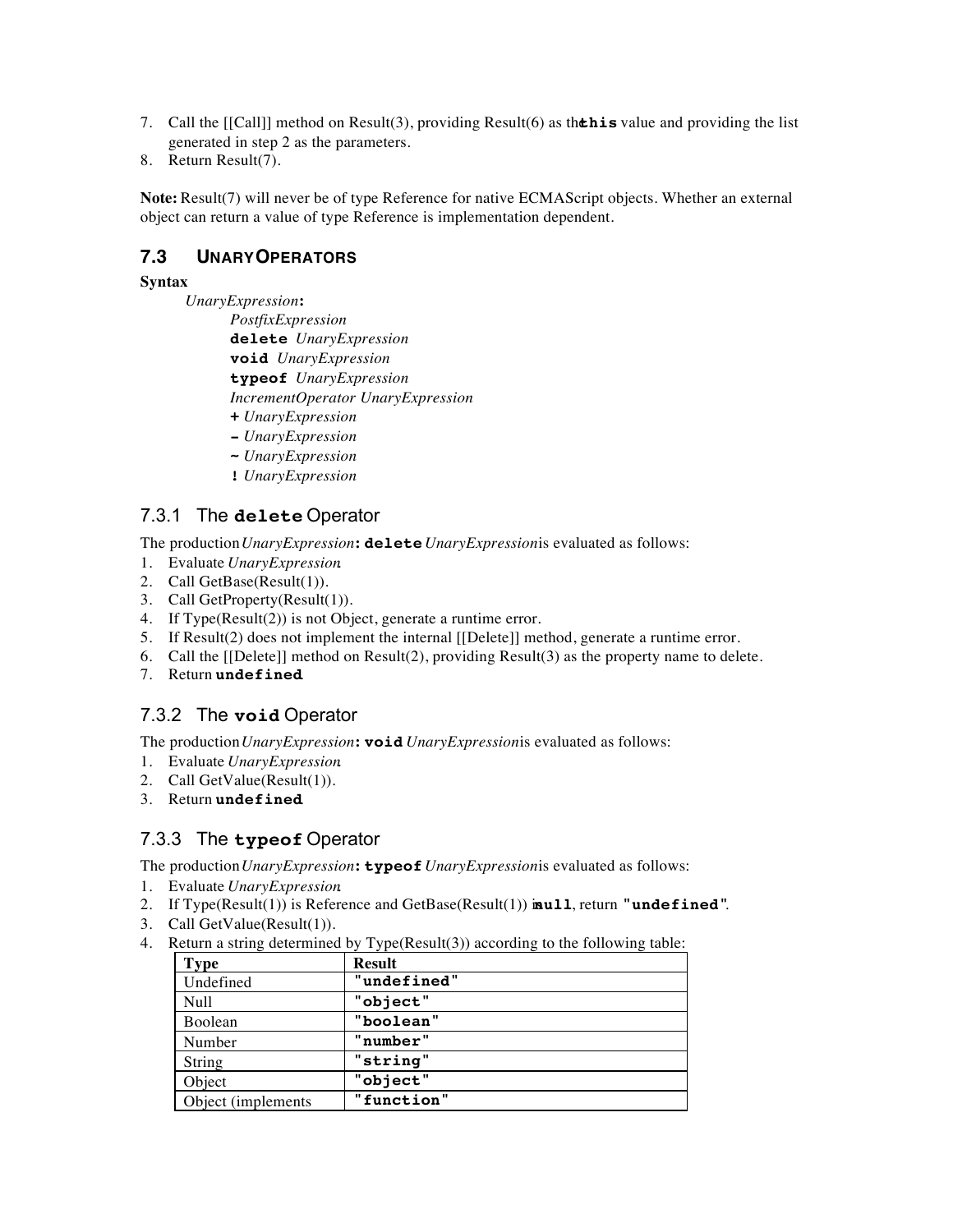- 7. Call the  $[[Call]]$  method on Result(3), providing Result(6) as the **this** value and providing the list generated in step 2 as the parameters.
- 8. Return Result(7).

**Note:** Result(7) will never be of type Reference for native ECMAScript objects. Whether an external object can return a value of type Reference is implementation dependent.

#### **7.3 UNARY OPERATORS**

#### **Syntax**

*UnaryExpression* **:**

*PostfixExpression* **delete** *UnaryExpression* **void** *UnaryExpression* **typeof** *UnaryExpression IncrementOperator UnaryExpression*

- **+** *UnaryExpression*
- **-** *UnaryExpression*
- **~** *UnaryExpression*
- **!** *UnaryExpression*

### 7.3.1 The **delete** Operator

The production *UnaryExpression* **: delete** *UnaryExpression* is evaluated as follows:

- 1. Evaluate *UnaryExpression*.
- 2. Call GetBase(Result(1)).
- 3. Call GetProperty(Result(1)).
- 4. If Type(Result(2)) is not Object, generate a runtime error.
- 5. If Result(2) does not implement the internal [[Delete]] method, generate a runtime error.
- 6. Call the [[Delete]] method on Result(2), providing Result(3) as the property name to delete.
- 7. Return **undefined**.

## 7.3.2 The **void** Operator

The production *UnaryExpression*: **void** *UnaryExpression* is evaluated as follows:

- 1. Evaluate *UnaryExpression*.
- 2. Call GetValue(Result(1)).
- 3. Return **undefined**.

## 7.3.3 The **typeof** Operator

The production *UnaryExpression* **: typeof** *UnaryExpression* is evaluated as follows:

- 1. Evaluate *UnaryExpression*.
- 2. If Type(Result(1)) is Reference and GetBase(Result(1)) is **null**, return **"undefined"**.
- 3. Call GetValue(Result(1)).
- 4. Return a string determined by Type(Result(3)) according to the following table:

| <b>Type</b>         | <b>Result</b> |
|---------------------|---------------|
| Undefined           | "undefined"   |
| Null                | "object"      |
| Boolean             | "boolean"     |
| Number              | "number"      |
| String              | "string"      |
| Object              | "object"      |
| Object (implements) | "function"    |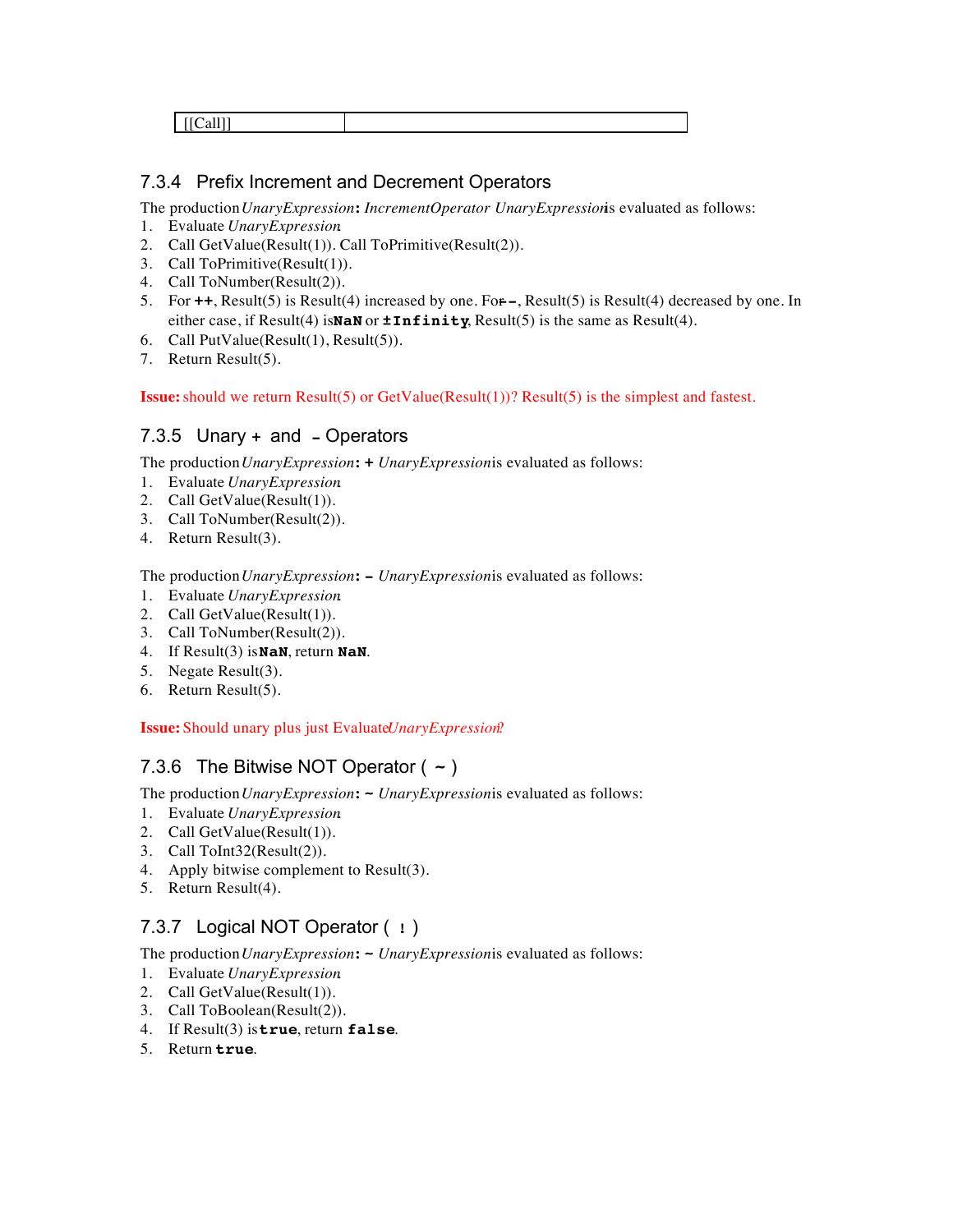|--|

### 7.3.4 Prefix Increment and Decrement Operators

The production *UnaryExpression* **:** *IncrementOperator UnaryExpression* is evaluated as follows:

- 1. Evaluate *UnaryExpression*.
- 2. Call GetValue(Result(1)). Call ToPrimitive(Result(2)).
- 3. Call ToPrimitive(Result(1)).
- 4. Call ToNumber(Result(2)).
- 5. For **++**, Result(5) is Result(4) increased by one. For **--**, Result(5) is Result(4) decreased by one. In either case, if  $Result(4)$  is **NaN** or  $\pm$ **Infinity**,  $Result(5)$  is the same as  $Result(4)$ .
- 6. Call PutValue(Result(1), Result(5)).
- 7. Return Result(5).

**Issue:** should we return Result(5) or GetValue(Result(1))? Result(5) is the simplest and fastest.

### 7.3.5 Unary **+** and **-** Operators

The production *UnaryExpression*: **+** *UnaryExpressionis* evaluated as follows:

- 1. Evaluate *UnaryExpression*.
- 2. Call GetValue(Result(1)).
- 3. Call ToNumber(Result(2)).
- 4. Return Result(3).

The production *UnaryExpression* **: -** *UnaryExpression* is evaluated as follows:

- 1. Evaluate *UnaryExpression*.
- 2. Call GetValue(Result(1)).
- 3. Call ToNumber(Result(2)).
- 4. If Result(3) is **NaN**, return **NaN**.
- 5. Negate Result(3).
- 6. Return Result(5).

**Issue:** Should unary plus just Evaluate *Unary Expression*?

## 7.3.6 The Bitwise NOT Operator ( **~** )

The production *UnaryExpression*: **-** *UnaryExpressionis* evaluated as follows:

- 1. Evaluate *UnaryExpression*.
- 2. Call GetValue(Result(1)).
- 3. Call ToInt32(Result(2)).
- 4. Apply bitwise complement to Result(3).
- 5. Return Result(4).

## 7.3.7 Logical NOT Operator ( **!** )

The production *UnaryExpression*: **-** *UnaryExpressionis* evaluated as follows:

- 1. Evaluate *UnaryExpression*.
- 2. Call GetValue(Result(1)).
- 3. Call ToBoolean(Result(2)).
- 4. If Result(3) is **true**, return **false**.
- 5. Return **true**.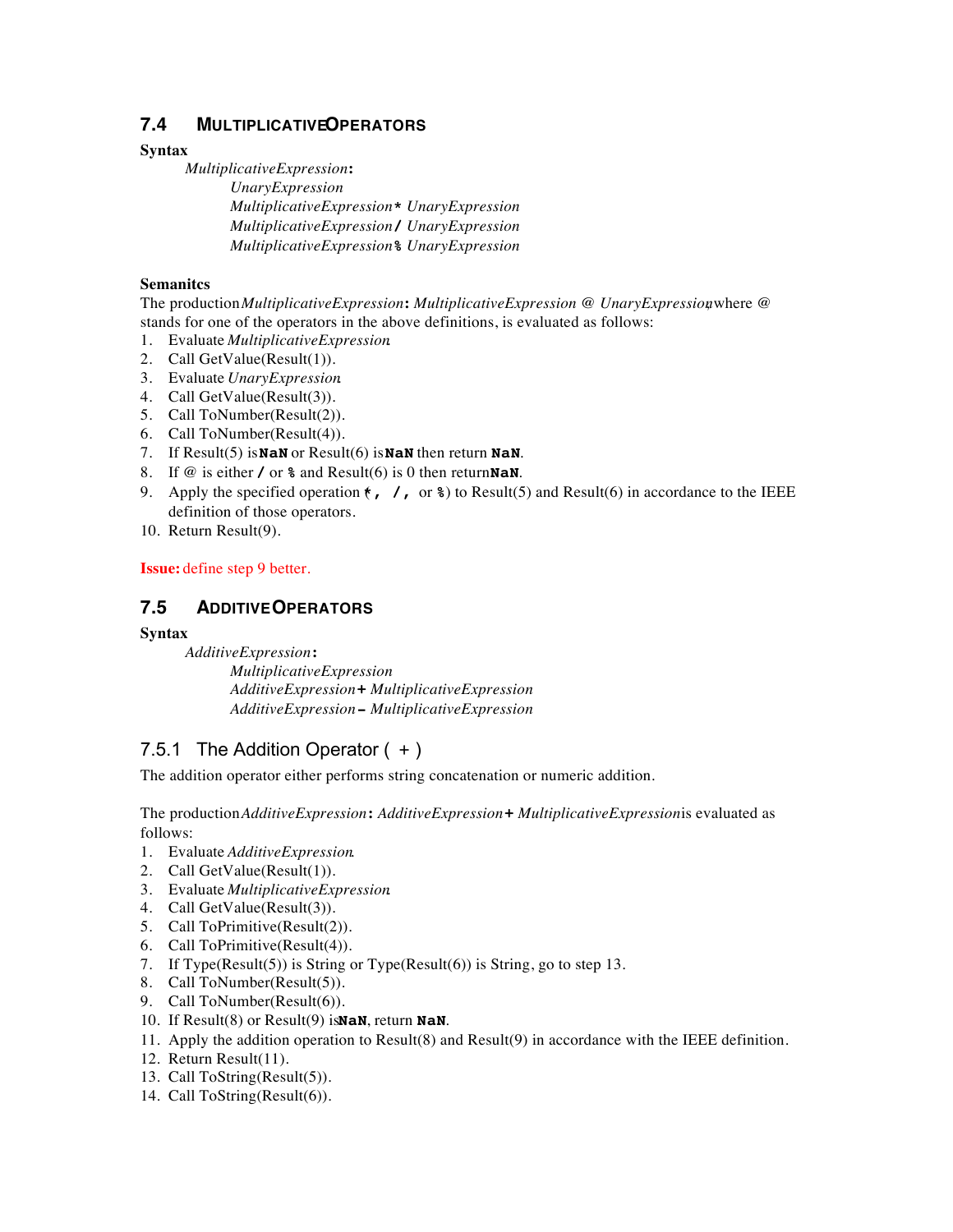### **7.4 MULTIPLICATIVEOPERATORS**

#### **Syntax**

*MultiplicativeExpression* **:** *UnaryExpression MultiplicativeExpression* **\*** *UnaryExpression MultiplicativeExpression* **/** *UnaryExpression MultiplicativeExpression* **%** *UnaryExpression*

#### **Semanitcs**

The production *MultiplicativeExpression* **:** *MultiplicativeExpression @ UnaryExpression*, where @ stands for one of the operators in the above definitions, is evaluated as follows:

- 1. Evaluate *MultiplicativeExpression*.
- 2. Call GetValue(Result(1)).
- 3. Evaluate *UnaryExpression*.
- 4. Call GetValue(Result(3)).
- 5. Call ToNumber(Result(2)).
- 6. Call ToNumber(Result(4)).
- 7. If Result(5) is **NaN** or Result(6) is **NaN** then return **NaN**.
- 8. If @ is either **/** or **%** and Result(6) is 0 then return **NaN**.
- 9. Apply the specified operation  $\epsilon$ ,  $\ell$ , or  $\epsilon$ ) to Result(5) and Result(6) in accordance to the IEEE definition of those operators.
- 10. Return Result(9).

**Issue:** define step 9 better.

#### **7.5 ADDITIVE OPERATORS**

#### **Syntax**

*AdditiveExpression* **:** *MultiplicativeExpression AdditiveExpression* **+** *MultiplicativeExpression AdditiveExpression* **-** *MultiplicativeExpression*

## 7.5.1 The Addition Operator  $( + )$

The addition operator either performs string concatenation or numeric addition.

The production *AdditiveExpression* **:** *AdditiveExpression* **+** *MultiplicativeExpression* is evaluated as follows:

- 1. Evaluate *AdditiveExpression*.
- 2. Call GetValue(Result(1)).
- 3. Evaluate *MultiplicativeExpression*.
- 4. Call GetValue(Result(3)).
- 5. Call ToPrimitive(Result(2)).
- 6. Call ToPrimitive(Result(4)).
- 7. If Type(Result(5)) is String or Type(Result(6)) is String, go to step 13.
- 8. Call ToNumber(Result(5)).
- 9. Call ToNumber(Result(6)).
- 10. If Result(8) or Result(9) is **NaN**, return **NaN**.
- 11. Apply the addition operation to Result(8) and Result(9) in accordance with the IEEE definition.
- 12. Return Result(11).
- 13. Call ToString(Result(5)).
- 14. Call ToString(Result(6)).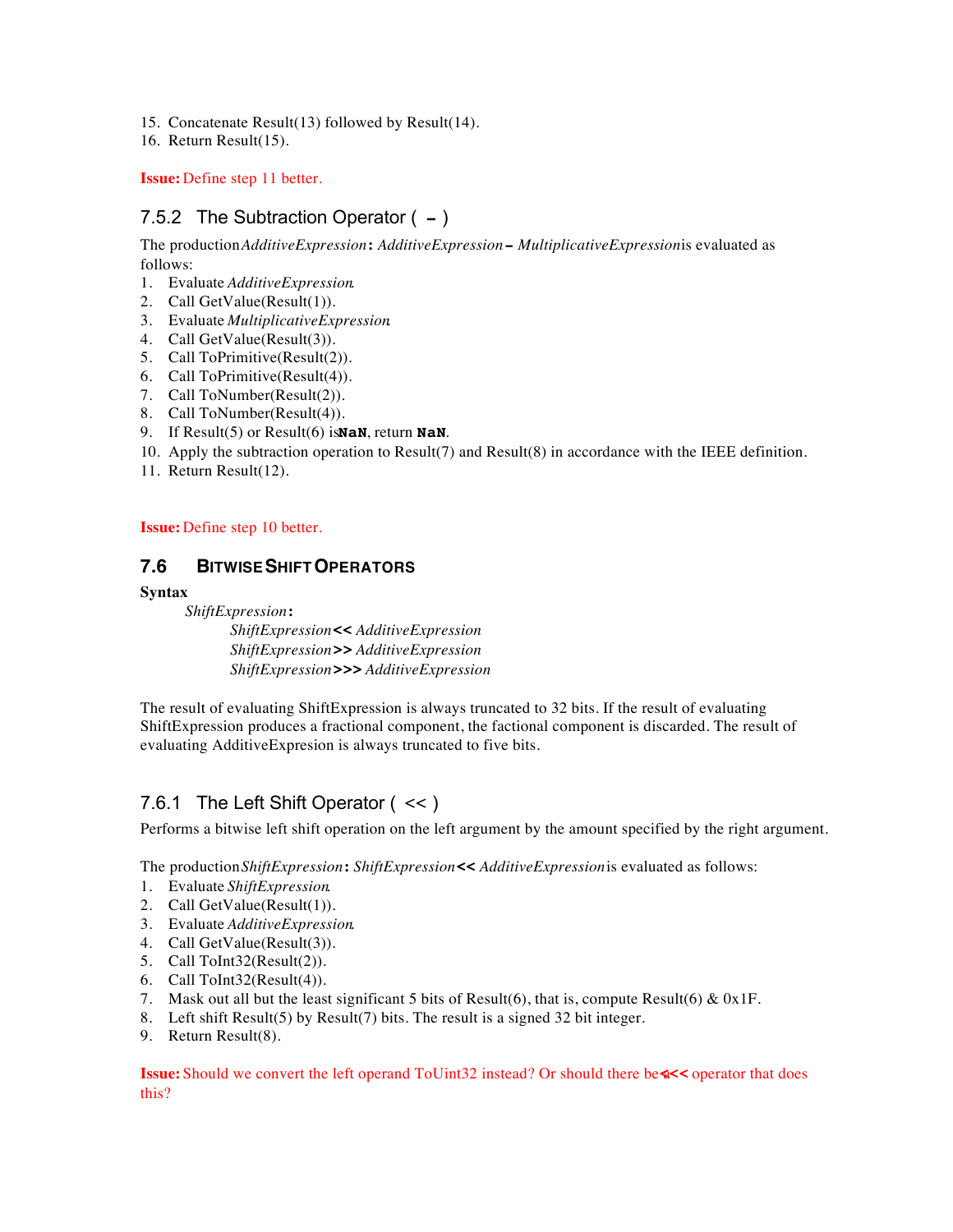- 15. Concatenate Result(13) followed by Result(14).
- 16. Return Result(15).

**Issue:** Define step 11 better.

## 7.5.2 The Subtraction Operator ( **-** )

The production *AdditiveExpression* **:** *AdditiveExpression* **-** *MultiplicativeExpression* is evaluated as follows:

- 1. Evaluate *AdditiveExpression*.
- 2. Call GetValue(Result(1)).
- 3. Evaluate *MultiplicativeExpression*.
- 4. Call GetValue(Result(3)).
- 5. Call ToPrimitive(Result(2)).
- 6. Call ToPrimitive(Result(4)).
- 7. Call ToNumber(Result(2)).
- 8. Call ToNumber(Result(4)).
- 9. If Result(5) or Result(6) is **NaN**, return **NaN**.
- 10. Apply the subtraction operation to Result(7) and Result(8) in accordance with the IEEE definition.
- 11. Return Result(12).

#### **Issue:** Define step 10 better.

#### **7.6 BITWISE SHIFT OPERATORS**

#### **Syntax**

*ShiftExpression* **:**

*ShiftExpression* **<<** *AdditiveExpression ShiftExpression* **>>** *AdditiveExpression ShiftExpression* **>>>** *AdditiveExpression*

The result of evaluating ShiftExpression is always truncated to 32 bits. If the result of evaluating ShiftExpression produces a fractional component, the factional component is discarded. The result of evaluating AdditiveExpresion is always truncated to five bits.

## 7.6.1 The Left Shift Operator ( << )

Performs a bitwise left shift operation on the left argument by the amount specified by the right argument.

The production *ShiftExpression* **:** *ShiftExpression* **<<** *AdditiveExpression* is evaluated as follows:

- 1. Evaluate *ShiftExpression*.
- 2. Call GetValue(Result(1)).
- 3. Evaluate *AdditiveExpression*.
- 4. Call GetValue(Result(3)).
- 5. Call ToInt32(Result(2)).
- 6. Call ToInt32(Result(4)).
- 7. Mask out all but the least significant 5 bits of Result(6), that is, compute Result(6) &  $0x1F$ .
- 8. Left shift Result(5) by Result(7) bits. The result is a signed 32 bit integer.
- 9. Return Result(8).

**Issue:** Should we convert the left operand ToUint32 instead? Or should there be a **<<<** operator that does this?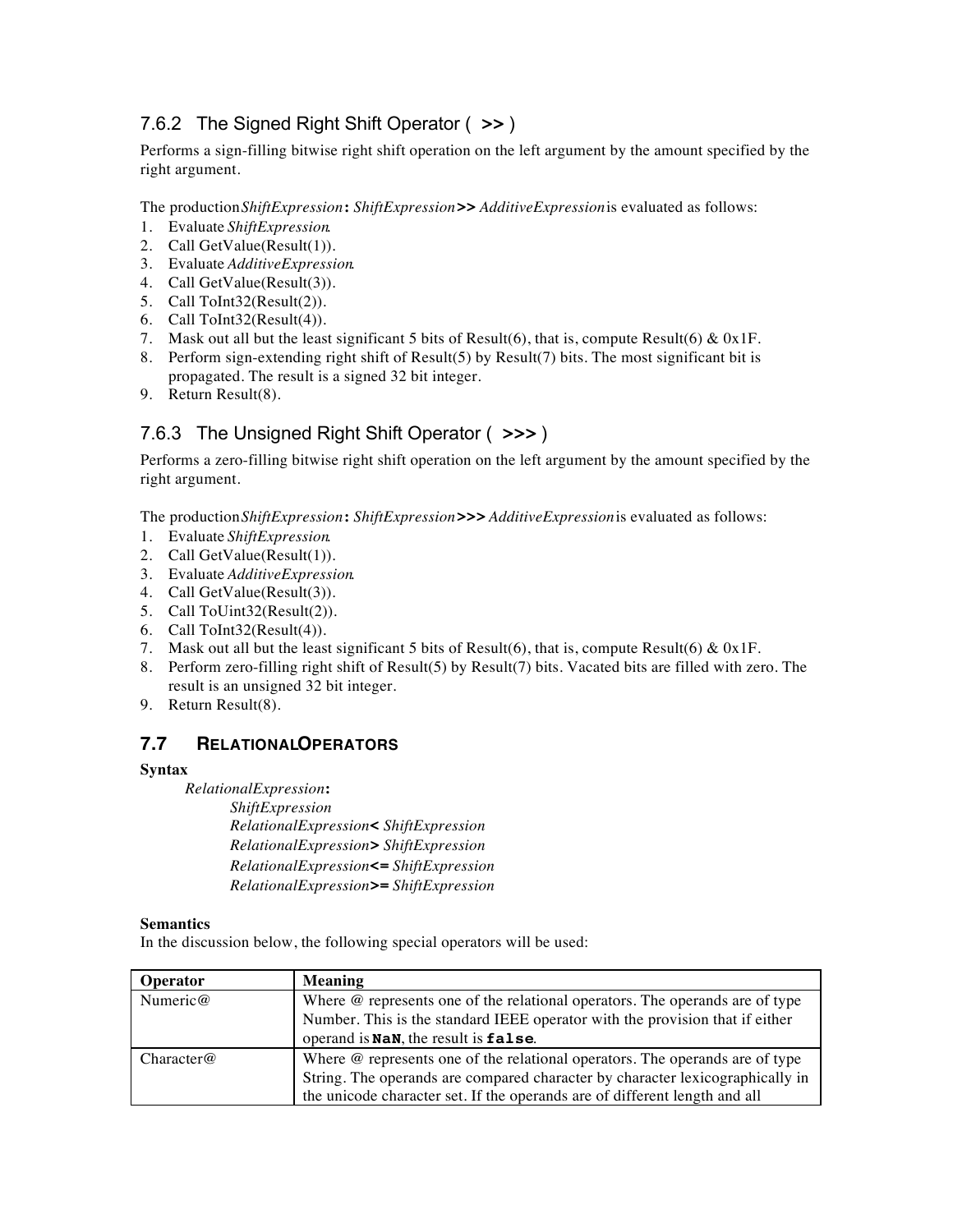## 7.6.2 The Signed Right Shift Operator ( **>>** )

Performs a sign-filling bitwise right shift operation on the left argument by the amount specified by the right argument.

The production *ShiftExpression* **:** *ShiftExpression* **>>** *AdditiveExpression* is evaluated as follows:

- 1. Evaluate *ShiftExpression*.
- 2. Call GetValue(Result(1)).
- 3. Evaluate *AdditiveExpression*.
- 4. Call GetValue(Result(3)).
- 5. Call ToInt32(Result(2)).
- 6. Call ToInt32(Result(4)).
- 7. Mask out all but the least significant 5 bits of Result(6), that is, compute Result(6) &  $0x1F$ .
- 8. Perform sign-extending right shift of Result(5) by Result(7) bits. The most significant bit is propagated. The result is a signed 32 bit integer.
- 9. Return Result(8).

## 7.6.3 The Unsigned Right Shift Operator ( **>>>** )

Performs a zero-filling bitwise right shift operation on the left argument by the amount specified by the right argument.

The production *ShiftExpression* **:** *ShiftExpression* **>>>** *AdditiveExpression* is evaluated as follows:

- 1. Evaluate *ShiftExpression*.
- 2. Call GetValue(Result(1)).
- 3. Evaluate *AdditiveExpression*.
- 4. Call GetValue(Result(3)).
- 5. Call ToUint32(Result(2)).
- 6. Call ToInt32(Result(4)).
- 7. Mask out all but the least significant 5 bits of Result(6), that is, compute Result(6) &  $0x1F$ .
- 8. Perform zero-filling right shift of Result(5) by Result(7) bits. Vacated bits are filled with zero. The result is an unsigned 32 bit integer.
- 9. Return Result(8).

#### **7.7 RELATIONAL OPERATORS**

#### **Syntax**

*RelationalExpression* **:**

*ShiftExpression RelationalExpression* **<** *ShiftExpression RelationalExpression* **>** *ShiftExpression RelationalExpression* **<=** *ShiftExpression RelationalExpression* **>=** *ShiftExpression*

#### **Semantics**

In the discussion below, the following special operators will be used:

| <b>Operator</b> | <b>Meaning</b>                                                                      |
|-----------------|-------------------------------------------------------------------------------------|
| Numeric $@$     | Where $\omega$ represents one of the relational operators. The operands are of type |
|                 | Number. This is the standard IEEE operator with the provision that if either        |
|                 | operand is NaN, the result is false.                                                |
| Character@      | Where $\omega$ represents one of the relational operators. The operands are of type |
|                 | String. The operands are compared character by character lexicographically in       |
|                 | the unicode character set. If the operands are of different length and all          |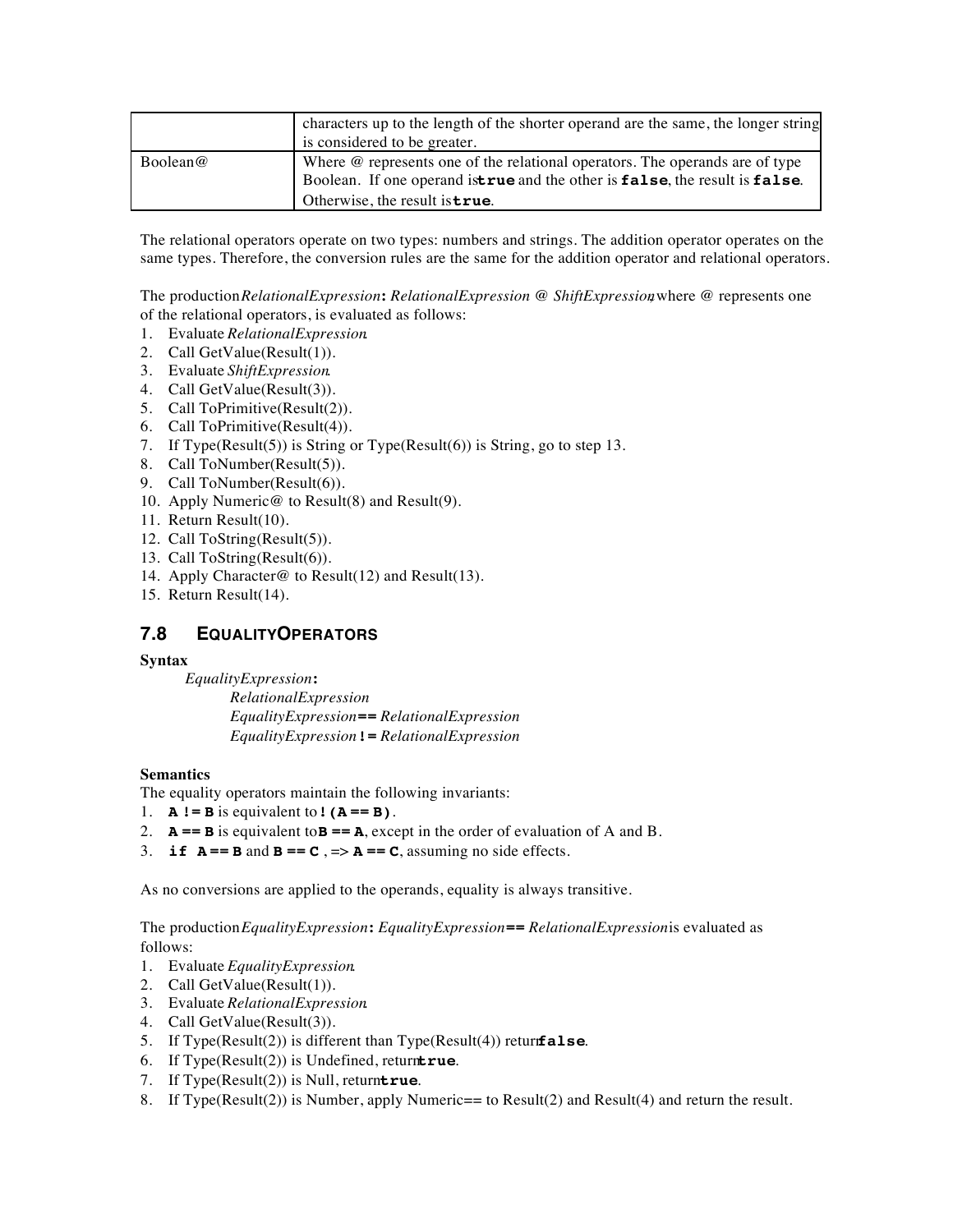|          | characters up to the length of the shorter operand are the same, the longer string<br>is considered to be greater.                                                                                           |
|----------|--------------------------------------------------------------------------------------------------------------------------------------------------------------------------------------------------------------|
| Boolean@ | Where $\omega$ represents one of the relational operators. The operands are of type<br>Boolean. If one operand istrue and the other is false, the result is false.<br>Otherwise, the result is <b>true</b> . |

The relational operators operate on two types: numbers and strings. The addition operator operates on the same types. Therefore, the conversion rules are the same for the addition operator and relational operators.

The production *RelationalExpression* **:** *RelationalExpression @ ShiftExpression*, where @ represents one of the relational operators, is evaluated as follows:

- 1. Evaluate *RelationalExpression*.
- 2. Call GetValue(Result(1)).
- 3. Evaluate *ShiftExpression*.
- 4. Call GetValue(Result(3)).
- 5. Call ToPrimitive(Result(2)).
- 6. Call ToPrimitive(Result(4)).
- 7. If Type(Result(5)) is String or Type(Result(6)) is String, go to step 13.
- 8. Call ToNumber(Result(5)).
- 9. Call ToNumber(Result(6)).
- 10. Apply Numeric@ to Result(8) and Result(9).
- 11. Return Result(10).
- 12. Call ToString(Result(5)).
- 13. Call ToString(Result(6)).
- 14. Apply Character@ to Result(12) and Result(13).
- 15. Return Result(14).

#### **7.8 EQUALITY OPERATORS**

#### **Syntax**

*EqualityExpression* **:** *RelationalExpression EqualityExpression* **==** *RelationalExpression EqualityExpression* **!=** *RelationalExpression*

#### **Semantics**

The equality operators maintain the following invariants:

- 1.  $A := B$  is equivalent to **!**  $(A == B)$ .
- 2.  $\mathbf{A} == \mathbf{B}$  is equivalent to  $\mathbf{B} == \mathbf{A}$ , except in the order of evaluation of A and B.
- 3. **if**  $A == B$  and  $B == C$ ,  $\Rightarrow A == C$ , assuming no side effects.

As no conversions are applied to the operands, equality is always transitive.

The production *EqualityExpression* **:** *EqualityExpression* **==** *RelationalExpression* is evaluated as follows:

- 1. Evaluate *EqualityExpression*.
- 2. Call GetValue(Result(1)).
- 3. Evaluate *RelationalExpression*.
- 4. Call GetValue(Result(3)).
- 5. If  $Type(Result(2))$  is different than  $Type(Result(4))$  return **false**.
- 6. If  $Type(Result(2))$  is Undefined, return**true**.
- 7. If  $Type(Result(2))$  is Null, return**true**.
- 8. If Type(Result(2)) is Number, apply Numeric== to Result(2) and Result(4) and return the result.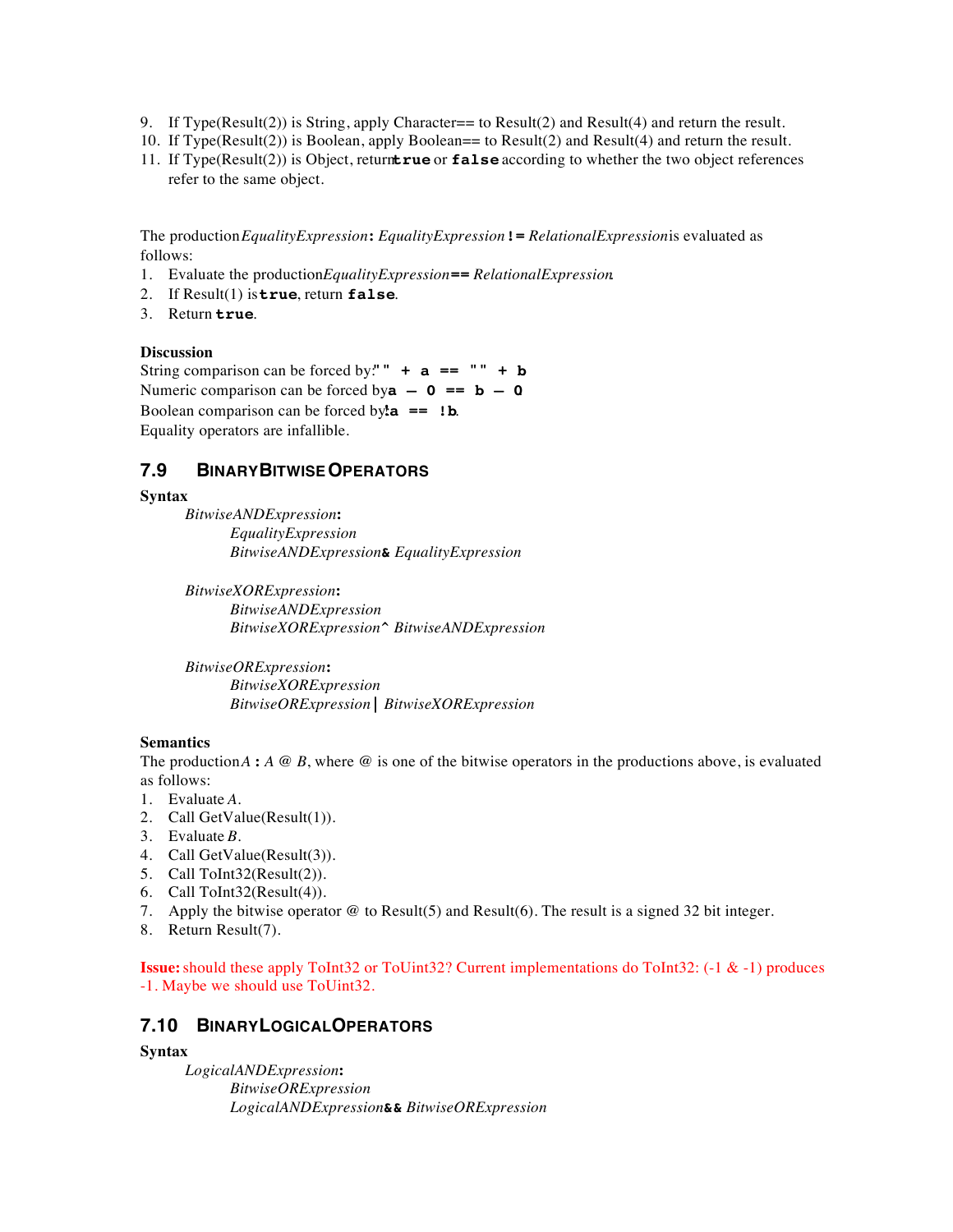- 9. If Type(Result(2)) is String, apply Character== to Result(2) and Result(4) and return the result.
- 10. If Type(Result(2)) is Boolean, apply Boolean== to Result(2) and Result(4) and return the result.
- 11. If Type(Result(2)) is Object, returntrue or false according to whether the two object references refer to the same object.

The production *EqualityExpression* **:** *EqualityExpression* **!=** *RelationalExpression* is evaluated as follows:

- 1. Evaluate the production *EqualityExpression* **==** *RelationalExpression*.
- 2. If Result(1) is **true**, return **false**.
- 3. Return **true**.

#### **Discussion**

String comparison can be forced by:"  $\mathbf{a} = \mathbf{a} \cdot \mathbf{b}$ Numeric comparison can be forced by $a - 0 = b - 0$ . Boolean comparison can be forced by: $\mathbf{a} = \mathbf{b}$ . Equality operators are infallible.

#### **7.9 BINARY BITWISE OPERATORS**

#### **Syntax**

*BitwiseANDExpression* **:** *EqualityExpression BitwiseANDExpression* **&** *EqualityExpression*

*BitwiseXORExpression* **:** *BitwiseANDExpression BitwiseXORExpression* **^** *BitwiseANDExpression*

*BitwiseORExpression* **:** *BitwiseXORExpression BitwiseORExpression* **|** *BitwiseXORExpression*

#### **Semantics**

The production  $A : A \otimes B$ , where  $\otimes$  is one of the bitwise operators in the productions above, is evaluated as follows:

- 1. Evaluate *A*.
- 2. Call GetValue(Result(1)).
- 3. Evaluate *B*.
- 4. Call GetValue(Result(3)).
- 5. Call ToInt32(Result(2)).
- 6. Call ToInt32(Result(4)).
- 7. Apply the bitwise operator @ to Result(5) and Result(6). The result is a signed 32 bit integer.
- 8. Return Result(7).

**Issue:** should these apply ToInt32 or ToUint32? Current implementations do ToInt32: (-1 & -1) produces -1. Maybe we should use ToUint32.

#### **7.10 BINARY LOGICAL OPERATORS**

#### **Syntax**

*LogicalANDExpression* **:** *BitwiseORExpression LogicalANDExpression* **&&** *BitwiseORExpression*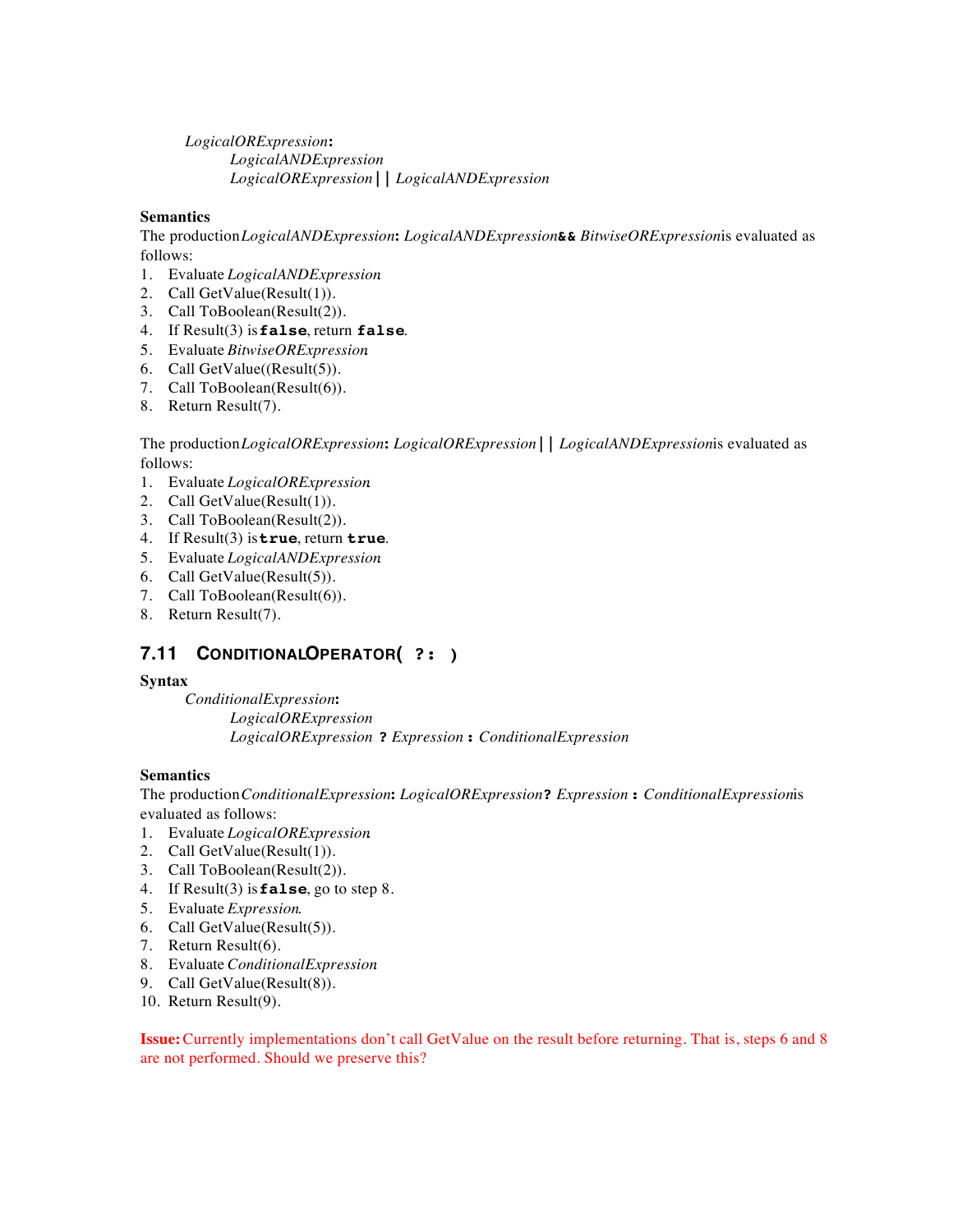*LogicalORExpression* **:** *LogicalANDExpression LogicalORExpression* **||** *LogicalANDExpression*

#### **Semantics**

The production *LogicalANDExpression* **:** *LogicalANDExpression* **&&** *BitwiseORExpression* is evaluated as follows:

- 1. Evaluate *LogicalANDExpression*.
- 2. Call GetValue(Result(1)).
- 3. Call ToBoolean(Result(2)).
- 4. If Result(3) is **false**, return **false**.
- 5. Evaluate *BitwiseORExpression*.
- 6. Call GetValue((Result(5)).
- 7. Call ToBoolean(Result(6)).
- 8. Return Result(7).

The production *LogicalORExpression* **:** *LogicalORExpression* **||** *LogicalANDExpression* is evaluated as follows:

- 1. Evaluate *LogicalORExpression*.
- 2. Call GetValue(Result(1)).
- 3. Call ToBoolean(Result(2)).
- 4. If Result(3) is **true**, return **true**.
- 5. Evaluate *LogicalANDExpression*.
- 6. Call GetValue(Result(5)).
- 7. Call ToBoolean(Result(6)).
- 8. Return Result(7).

## **7.11 CONDITIONAL OPERATOR ( ?: )**

#### **Syntax**

*ConditionalExpression* **:** *LogicalORExpression LogicalORExpression* **?** *Expression* **:** *ConditionalExpression*

#### **Semantics**

The production *ConditionalExpression* **:** *LogicalORExpression* **?** *Expression* **:** *ConditionalExpression* is evaluated as follows:

- 1. Evaluate *LogicalORExpression*.
- 2. Call GetValue(Result(1)).
- 3. Call ToBoolean(Result(2)).
- 4. If Result(3) is **false**, go to step 8.
- 5. Evaluate *Expression*.
- 6. Call GetValue(Result(5)).
- 7. Return Result(6).
- 8. Evaluate *ConditionalExpression*.
- 9. Call GetValue(Result(8)).
- 10. Return Result(9).

**Issue:** Currently implementations don't call GetValue on the result before returning. That is, steps 6 and 8 are not performed. Should we preserve this?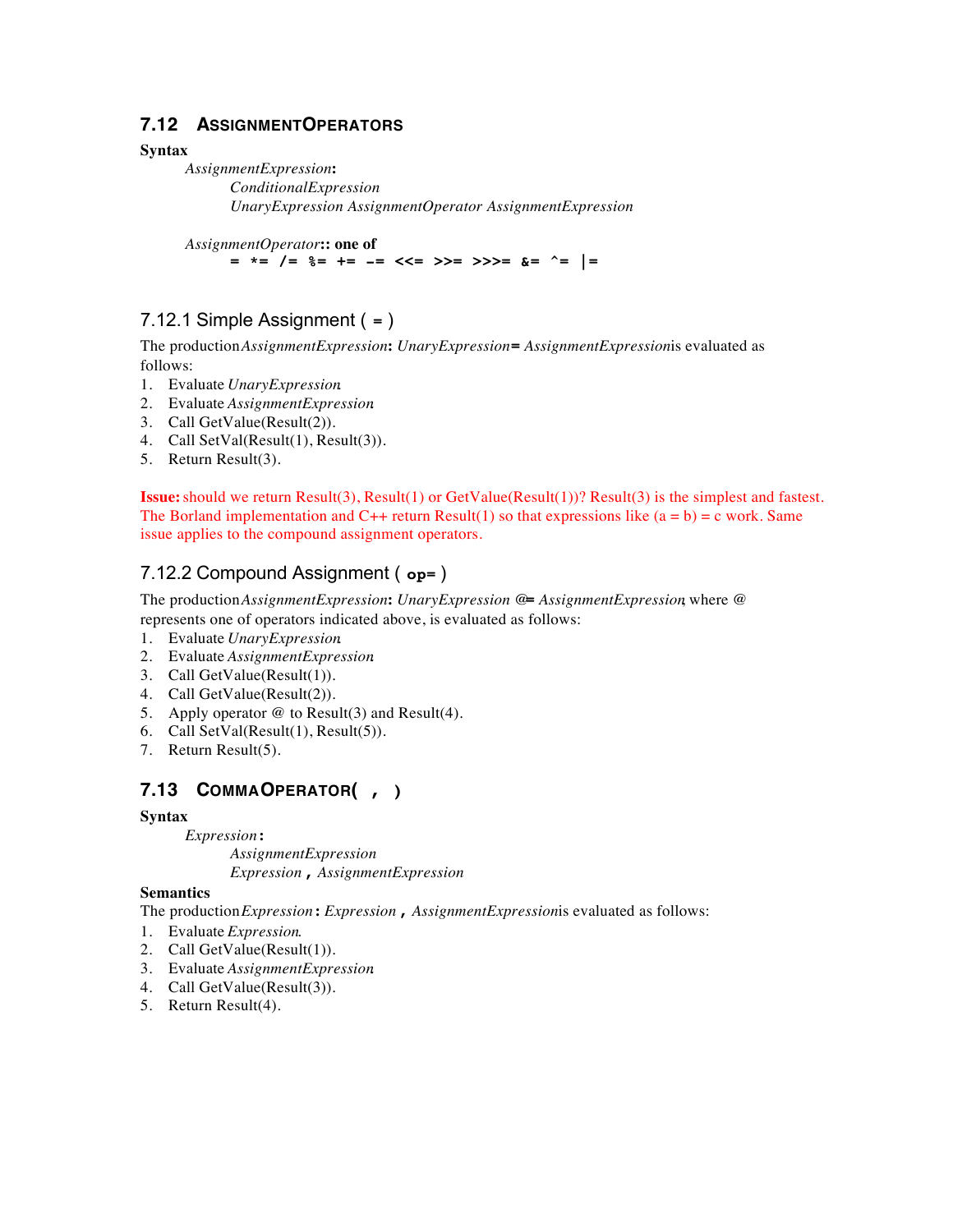### **7.12 ASSIGNMENT OPERATORS**

#### **Syntax**

*AssignmentExpression* **:** *ConditionalExpression UnaryExpression AssignmentOperator AssignmentExpression*

*AssignmentOperator* **:: one of**

**= \*= /= %= += -= <<= >>= >>>= &= ^= |=**

## 7.12.1 Simple Assignment ( **=** )

The production *AssignmentExpression* **:** *UnaryExpression* **=** *AssignmentExpression* is evaluated as follows:

- 1. Evaluate *UnaryExpression*.
- 2. Evaluate *AssignmentExpression*.
- 3. Call GetValue(Result(2)).
- 4. Call SetVal(Result(1), Result(3)).
- 5. Return Result(3).

**Issue:** should we return Result(3), Result(1) or GetValue(Result(1))? Result(3) is the simplest and fastest. The Borland implementation and  $C_{++}$  return Result(1) so that expressions like  $(a = b) = c$  work. Same issue applies to the compound assignment operators.

## 7.12.2 Compound Assignment ( **op=** )

The production *AssignmentExpression* **:** *UnaryExpression @***=** *AssignmentExpression*, where @ represents one of operators indicated above, is evaluated as follows:

- 1. Evaluate *UnaryExpression*.
- 2. Evaluate *AssignmentExpression*.
- 3. Call GetValue(Result(1)).
- 4. Call GetValue(Result(2)).
- 5. Apply operator  $\omega$  to Result(3) and Result(4).
- 6. Call SetVal(Result(1), Result(5)).
- 7. Return Result(5).

## **7.13 COMMA OPERATOR ( , )**

#### **Syntax**

*Expression* **:** *AssignmentExpression Expression* **,** *AssignmentExpression*

#### **Semantics**

The production *Expression* **:** *Expression* **,** *AssignmentExpression* is evaluated as follows:

- 1. Evaluate *Expression*.
- 2. Call GetValue(Result(1)).
- 3. Evaluate *AssignmentExpression*.
- 4. Call GetValue(Result(3)).
- 5. Return Result(4).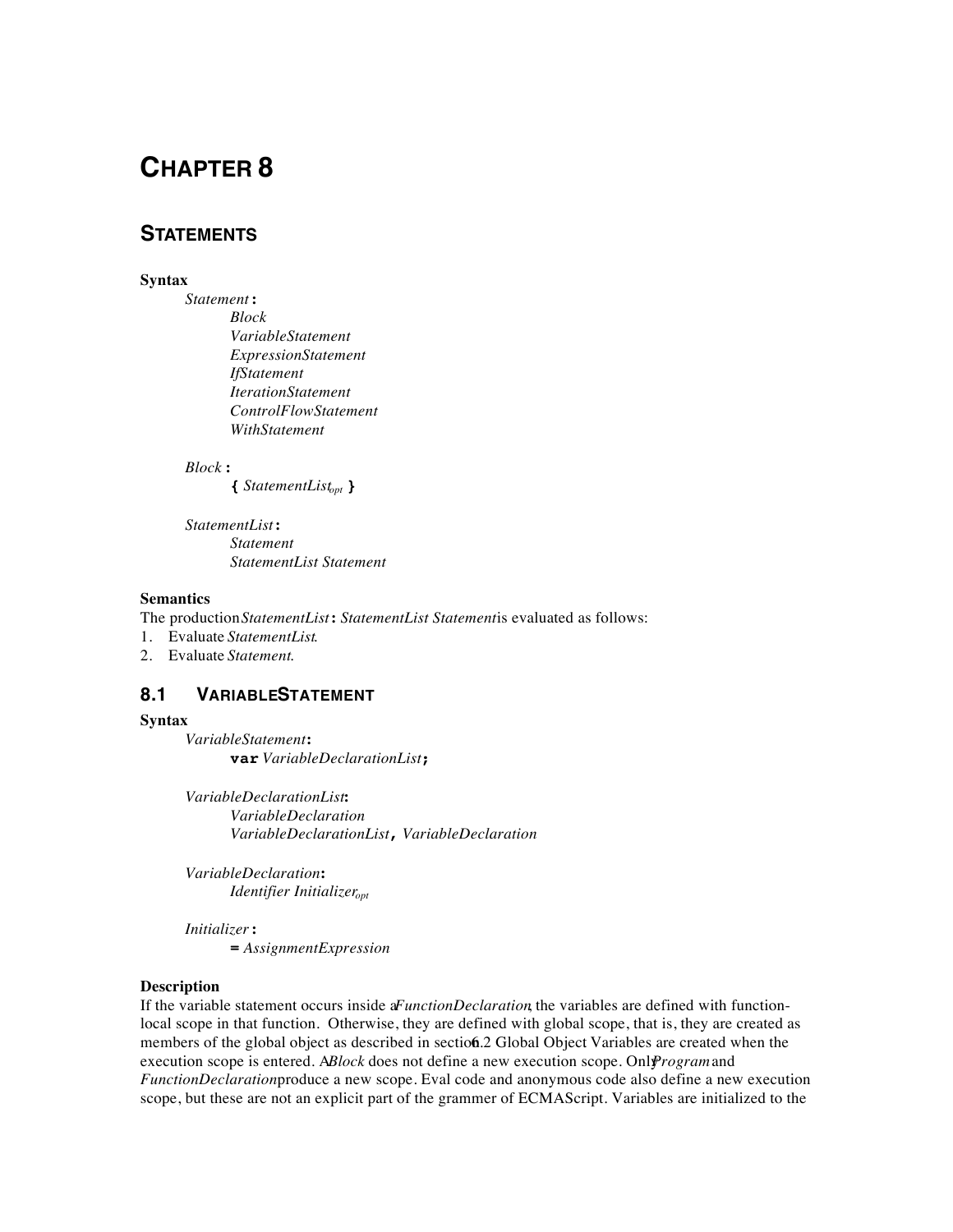### **STATEMENTS**

#### **Syntax**

*Statement* **:**

*Block VariableStatement ExpressionStatement IfStatement IterationStatement ControlFlowStatement WithStatement*

#### *Block* **:**

**{** *StatementListopt* **}**

*StatementList* **:** *Statement StatementList Statement*

#### **Semantics**

The production *StatementList*: *StatementList Statementis* evaluated as follows:

1. Evaluate *StatementList*.

2. Evaluate *Statement*.

#### 8.1 **VARIABLESTATEMENT**

#### **Syntax**

*VariableStatement* **: var** *VariableDeclarationList* **;**

*VariableDeclarationList* **:** *VariableDeclaration VariableDeclarationList* **,** *VariableDeclaration*

*VariableDeclaration* **:** *Identifier Initializer*<sub>opt</sub>

*Initializer* **: =** *AssignmentExpression*

#### **Description**

If the variable statement occurs inside a *FunctionDeclaration*, the variables are defined with functionlocal scope in that function. Otherwise, they are defined with global scope, that is, they are created as members of the global object as described in section 6.2 Global Object Variables are created when the execution scope is entered. ABlock does not define a new execution scope. Only *Program* and *FunctionDeclaration* produce a new scope. Eval code and anonymous code also define a new execution scope, but these are not an explicit part of the grammer of ECMAScript. Variables are initialized to the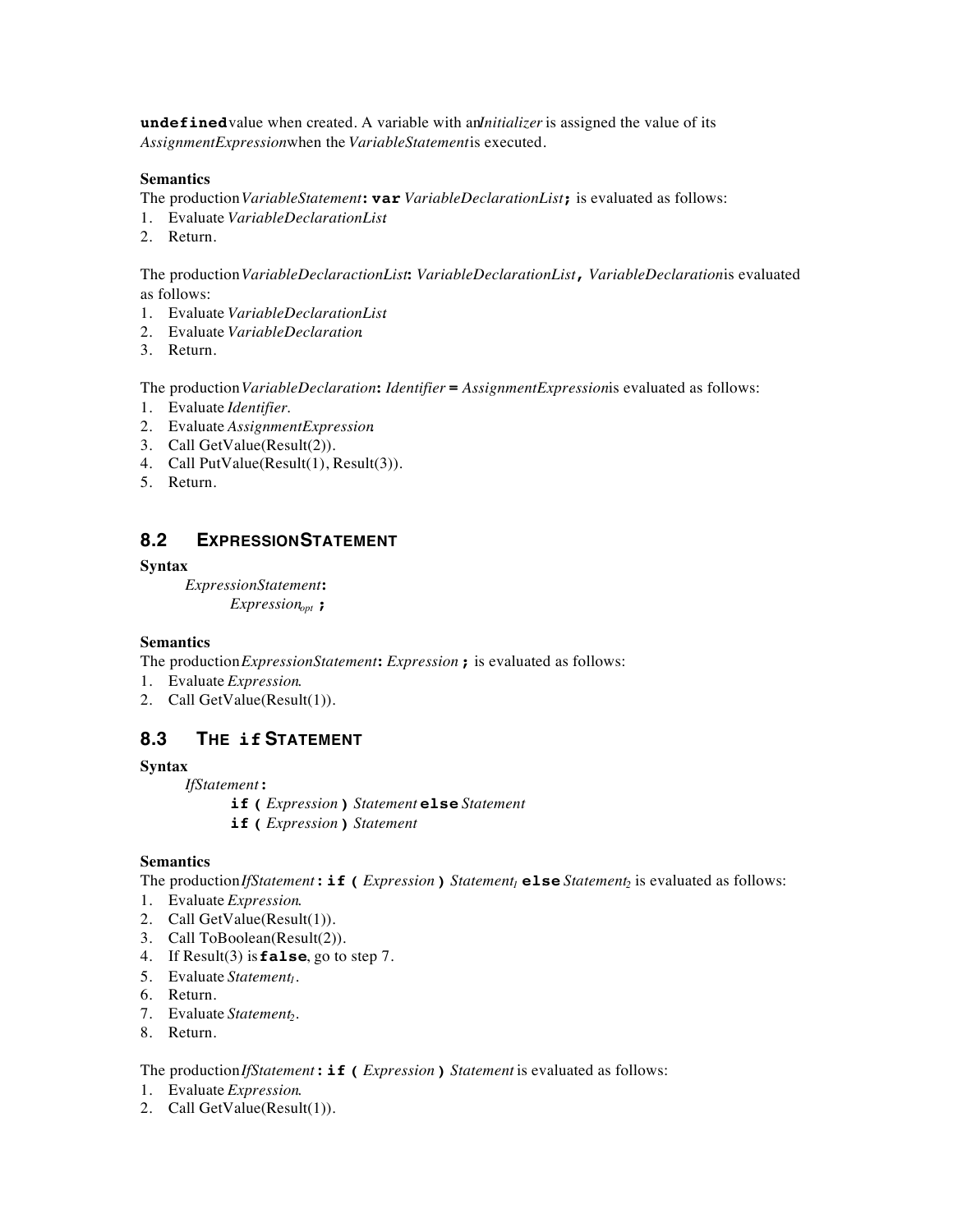**undefined** value when created. A variable with an*lnitializer* is assigned the value of its AssignmentExpressionwhen the *VariableStatementis* executed.

#### **Semantics**

The production *VariableStatement* **: var** *VariableDeclarationList* **;** is evaluated as follows:

- 1. Evaluate *VariableDeclarationList*.
- 2. Return.

The production *VariableDeclaractionList* **:** *VariableDeclarationList* **,** *VariableDeclaration* is evaluated as follows:

- 1. Evaluate *VariableDeclarationList*.
- 2. Evaluate *VariableDeclaration*.
- 3. Return.

The production *VariableDeclaration* **:** *Identifier* **=** *AssignmentExpression* is evaluated as follows:

- 1. Evaluate *Identifier*.
- 2. Evaluate *AssignmentExpression*.
- 3. Call GetValue(Result(2)).
- 4. Call PutValue(Result(1), Result(3)).
- 5. Return.

#### **8.2 EXPRESSION STATEMENT**

#### **Syntax**

*ExpressionStatement* **:** *Expressionopt* **;**

#### **Semantics**

The production *ExpressionStatement* **:** *Expression* **;** is evaluated as follows:

- 1. Evaluate *Expression*.
- 2. Call GetValue(Result(1)).

#### **8.3 THE if STATEMENT**

#### **Syntax**

*IfStatement* **:**

- **if (** *Expression* **)** *Statement* **else** *Statement*
- **if (** *Expression* **)** *Statement*

#### **Semantics**

The production *If*Statement: **if** (*Expression*) *Statement<sub>1</sub>* **else** *Statement<sub>2</sub> is evaluated as follows:* 

- 1. Evaluate *Expression*.
- 2. Call GetValue(Result(1)).
- 3. Call ToBoolean(Result(2)).
- 4. If Result(3) is **false**, go to step 7.
- 5. Evaluate *Statement<sub>1</sub>*.
- 6. Return.
- 7. Evaluate *Statement*<sub>2</sub>.
- 8. Return.

The production *IfStatement* **: if (** *Expression* **)** *Statement* is evaluated as follows:

- 1. Evaluate *Expression*.
- 2. Call GetValue(Result(1)).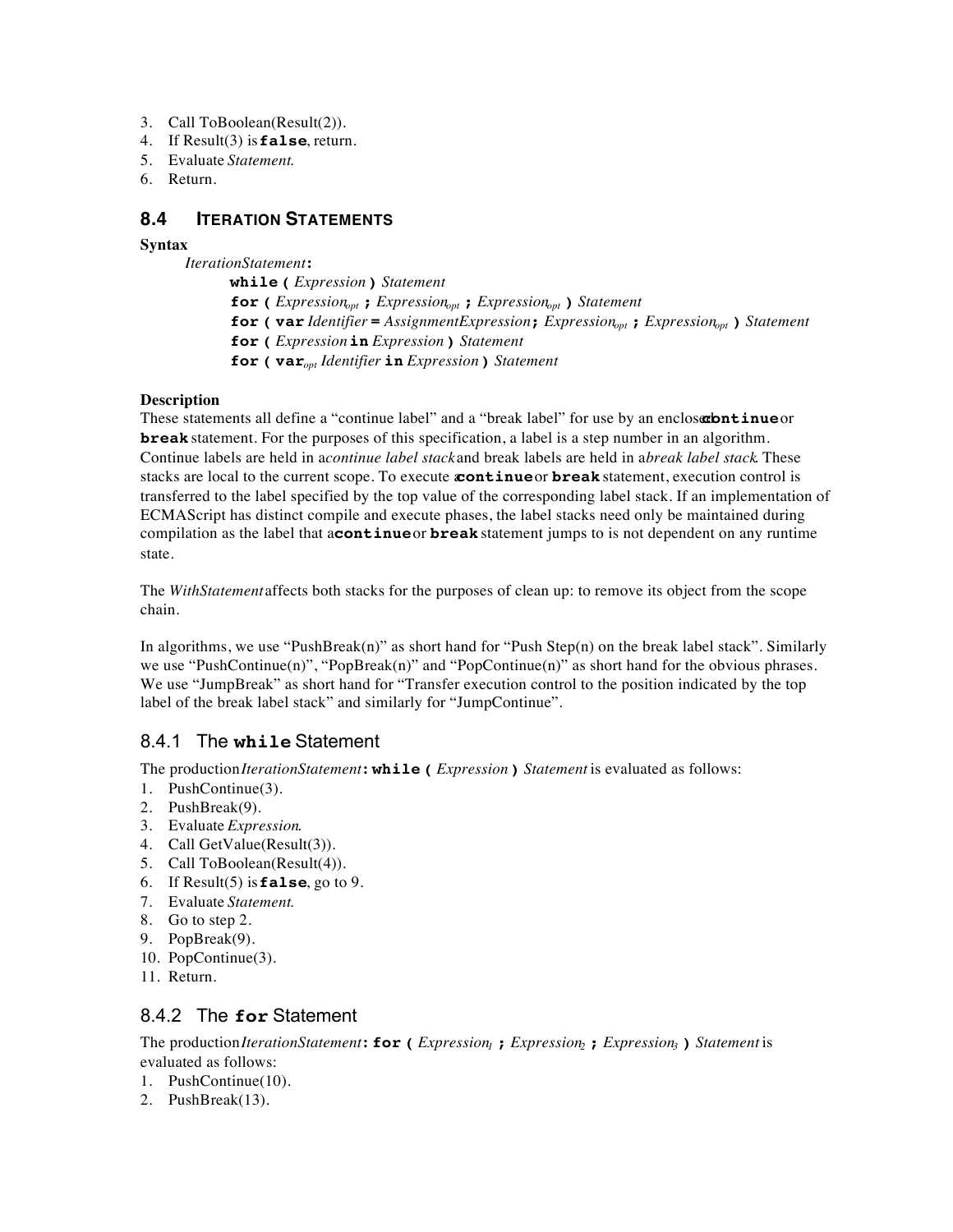- 3. Call ToBoolean(Result(2)).
- 4. If Result(3) is **false**, return.
- 5. Evaluate *Statement*.
- 6. Return.

### **8.4 ITERATION STATEMENTS**

#### **Syntax**

*IterationStatement* **:**

**while (** *Expression* **)** *Statement* **for (** *Expressionopt* **;** *Expressionopt* **;** *Expressionopt* **)** *Statement* **for ( var** *Identifier* **=** *AssignmentExpression* **;** *Expressionopt* **;** *Expressionopt* **)** *Statement* **for (** *Expression* **in** *Expression* **)** *Statement* **for ( var***opt Identifier* **in** *Expression* **)** *Statement*

#### **Description**

These statements all define a "continue label" and a "break label" for use by an enclosarbutinue or **break** statement. For the purposes of this specification, a label is a step number in an algorithm. Continue labels are held in acontinue label stack and break labels are held in abreak label stack. These stacks are local to the current scope. To execute **continue** or **break** statement, execution control is transferred to the label specified by the top value of the corresponding label stack. If an implementation of ECMAScript has distinct compile and execute phases, the label stacks need only be maintained during compilation as the label that a **continue** or **break** statement jumps to is not dependent on any runtime state.

The *WithStatement* affects both stacks for the purposes of clean up: to remove its object from the scope chain.

In algorithms, we use "PushBreak(n)" as short hand for "Push Step(n) on the break label stack". Similarly we use "PushContinue(n)", "PopBreak(n)" and "PopContinue(n)" as short hand for the obvious phrases. We use "JumpBreak" as short hand for "Transfer execution control to the position indicated by the top label of the break label stack" and similarly for "JumpContinue".

#### 8.4.1 The **while** Statement

The production *IterationStatement* **: while (** *Expression* **)** *Statement* is evaluated as follows:

- 1. PushContinue(3).
- 2. PushBreak(9).
- 3. Evaluate *Expression*.
- 4. Call GetValue(Result(3)).
- 5. Call ToBoolean(Result(4)).
- 6. If Result(5) is **false**, go to 9.
- 7. Evaluate *Statement*.
- 8. Go to step 2.
- 9. PopBreak(9).
- 10. PopContinue(3).
- 11. Return.

#### 8.4.2 The **for** Statement

The production *IterationStatement* **: for (** *Expression1* **;** *Expression2* **;** *Expression3* **)** *Statement* is evaluated as follows:

- 1. PushContinue(10).
- 2. PushBreak(13).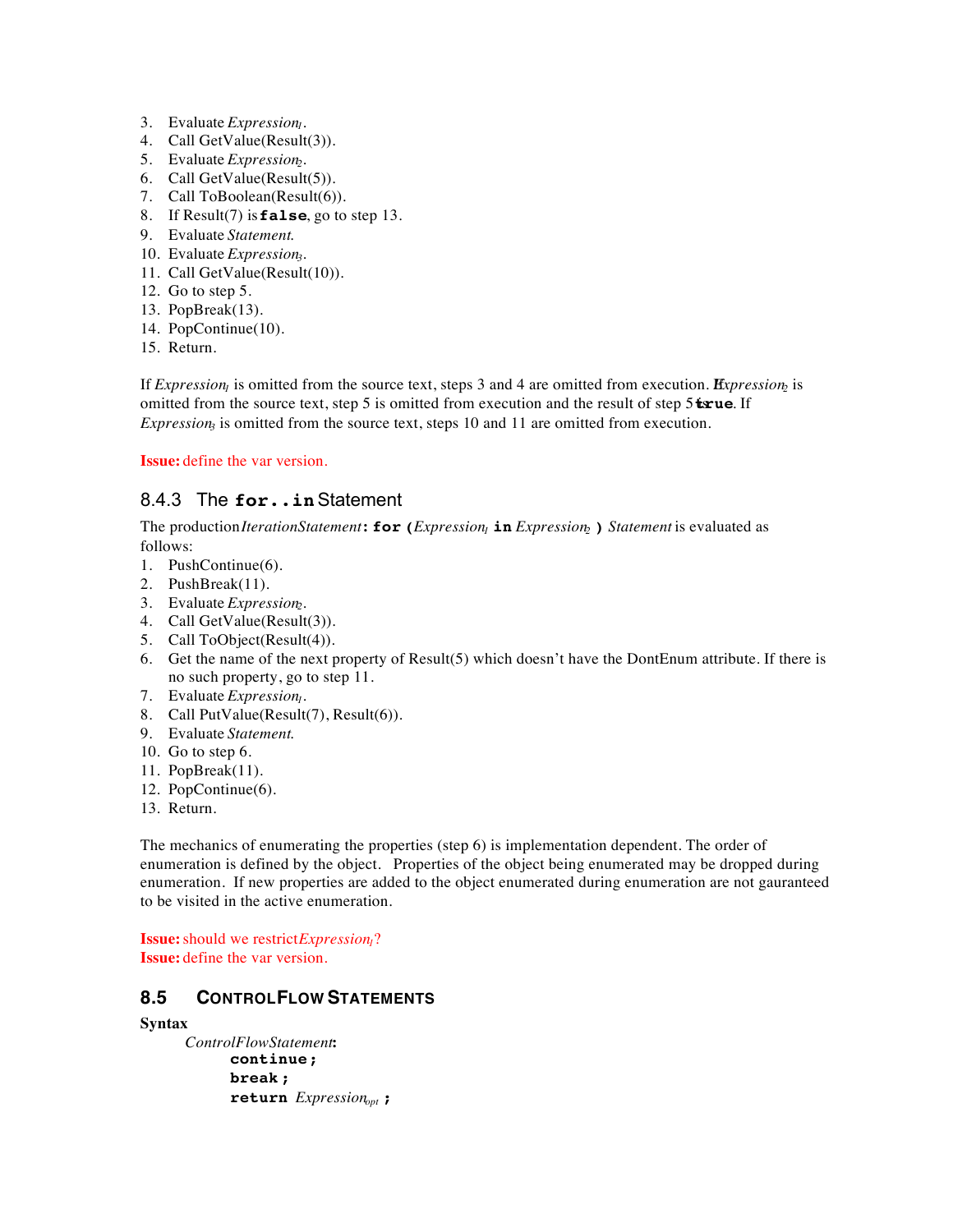- 3. Evaluate *Expression*<sub>1</sub>.
- 4. Call GetValue(Result(3)).
- 5. Evaluate *Expression*<sub>2</sub>.
- 6. Call GetValue(Result(5)).
- 7. Call ToBoolean(Result(6)).
- 8. If Result(7) is **false**, go to step 13.
- 9. Evaluate *Statement*.
- 10. Evaluate *Expression*<sub>3</sub>.
- 11. Call GetValue(Result(10)).
- 12. Go to step 5.
- 13. PopBreak(13).
- 14. PopContinue(10).
- 15. Return.

If *Expression<sub>1</sub>* is omitted from the source text, steps 3 and 4 are omitted from execution. *Expression*<sub>2</sub> is omitted from the source text, step 5 is omitted from execution and the result of step 5 **txue**. If *Expression<sub>3</sub>* is omitted from the source text, steps 10 and 11 are omitted from execution.

**Issue:** define the var version.

## 8.4.3 The **for..in** Statement

The production *Iteration Statement*: **for** (*Expression<sub>l</sub>* **in** *Expression<sub>2</sub>) Statement* is evaluated as follows:

- 1. PushContinue(6).
- 2. PushBreak(11).
- 3. Evaluate *Expression*<sub>2</sub>.
- 4. Call GetValue(Result(3)).
- 5. Call ToObject(Result(4)).
- 6. Get the name of the next property of Result(5) which doesn't have the DontEnum attribute. If there is no such property, go to step 11.
- 7. Evaluate *Expression<sub>1</sub>*.
- 8. Call PutValue(Result(7), Result(6)).
- 9. Evaluate *Statement*.
- 10. Go to step 6.
- 11. PopBreak(11).
- 12. PopContinue(6).
- 13. Return.

The mechanics of enumerating the properties (step 6) is implementation dependent. The order of enumeration is defined by the object. Properties of the object being enumerated may be dropped during enumeration. If new properties are added to the object enumerated during enumeration are not gauranteed to be visited in the active enumeration.

**Issue:** should we restrict *Expression*<sub>1</sub>? **Issue:** define the var version.

## **8.5 CONTROL FLOW STATEMENTS**

#### **Syntax**

*ControlFlowStatement* **: continue; break ; return** *Expressionopt* **;**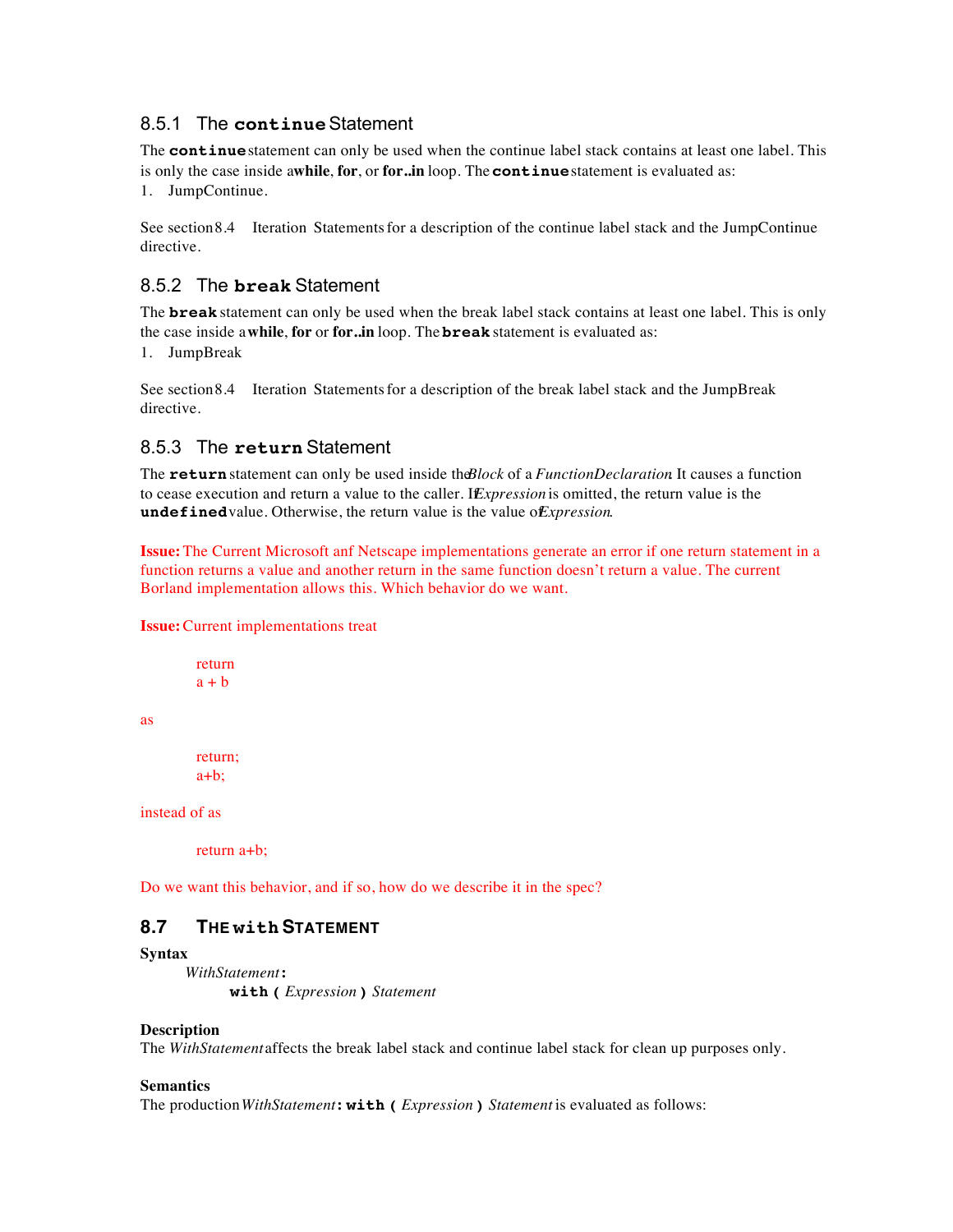### 8.5.1 The **continue** Statement

The **continue** statement can only be used when the continue label stack contains at least one label. This is only the case inside a while, for, or for..in loop. The **continue** statement is evaluated as:

1. JumpContinue.

See section 8.4 Iteration Statements for a description of the continue label stack and the JumpContinue directive.

## 8.5.2 The **break** Statement

The **break** statement can only be used when the break label stack contains at least one label. This is only the case inside a **while**, **for** or **for..in** loop. The **break** statement is evaluated as:

1. JumpBreak

See section 8.4 Iteration Statements for a description of the break label stack and the JumpBreak directive.

## 8.5.3 The **return** Statement

The **return** statement can only be used inside the *Block* of a *FunctionDeclaration* It causes a function to cease execution and return a value to the caller. If *Expression* is omitted, the return value is the **undefined** value. Otherwise, the return value is the value o*Expression*.

**Issue:** The Current Microsoft anf Netscape implementations generate an error if one return statement in a function returns a value and another return in the same function doesn't return a value. The current Borland implementation allows this. Which behavior do we want.

#### **Issue:** Current implementations treat

return  $a + b$ 

as

return;  $a+b$ :

instead of as

return a+b;

Do we want this behavior, and if so, how do we describe it in the spec?

## **8.7 THE withSTATEMENT**

#### **Syntax**

*WithStatement* **: with (** *Expression* **)** *Statement*

#### **Description**

The *WithStatement* affects the break label stack and continue label stack for clean up purposes only.

#### **Semantics**

The production *WithStatement* **: with (** *Expression* **)** *Statement* is evaluated as follows: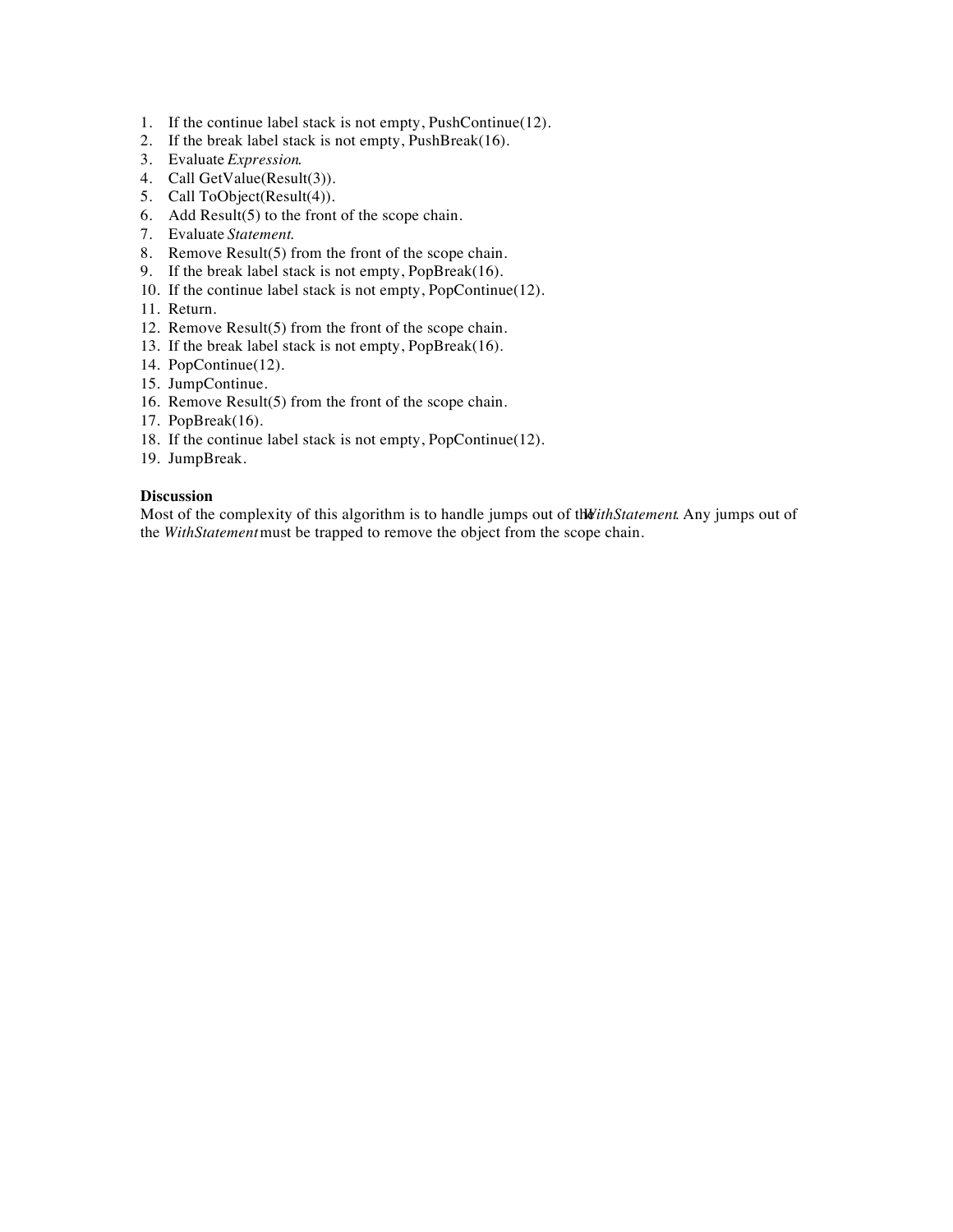- 1. If the continue label stack is not empty, PushContinue(12).
- 2. If the break label stack is not empty, PushBreak(16).
- 3. Evaluate *Expression*.
- 4. Call GetValue(Result(3)).
- 5. Call ToObject(Result(4)).
- 6. Add Result(5) to the front of the scope chain.
- 7. Evaluate *Statement*.
- 8. Remove Result(5) from the front of the scope chain.
- 9. If the break label stack is not empty, PopBreak(16).
- 10. If the continue label stack is not empty, PopContinue(12).
- 11. Return.
- 12. Remove Result(5) from the front of the scope chain.
- 13. If the break label stack is not empty, PopBreak(16).
- 14. PopContinue(12).
- 15. JumpContinue.
- 16. Remove Result(5) from the front of the scope chain.
- 17. PopBreak(16).
- 18. If the continue label stack is not empty, PopContinue(12).
- 19. JumpBreak.

#### **Discussion**

Most of the complexity of this algorithm is to handle jumps out of the *WithStatement*. Any jumps out of the *WithStatement* must be trapped to remove the object from the scope chain.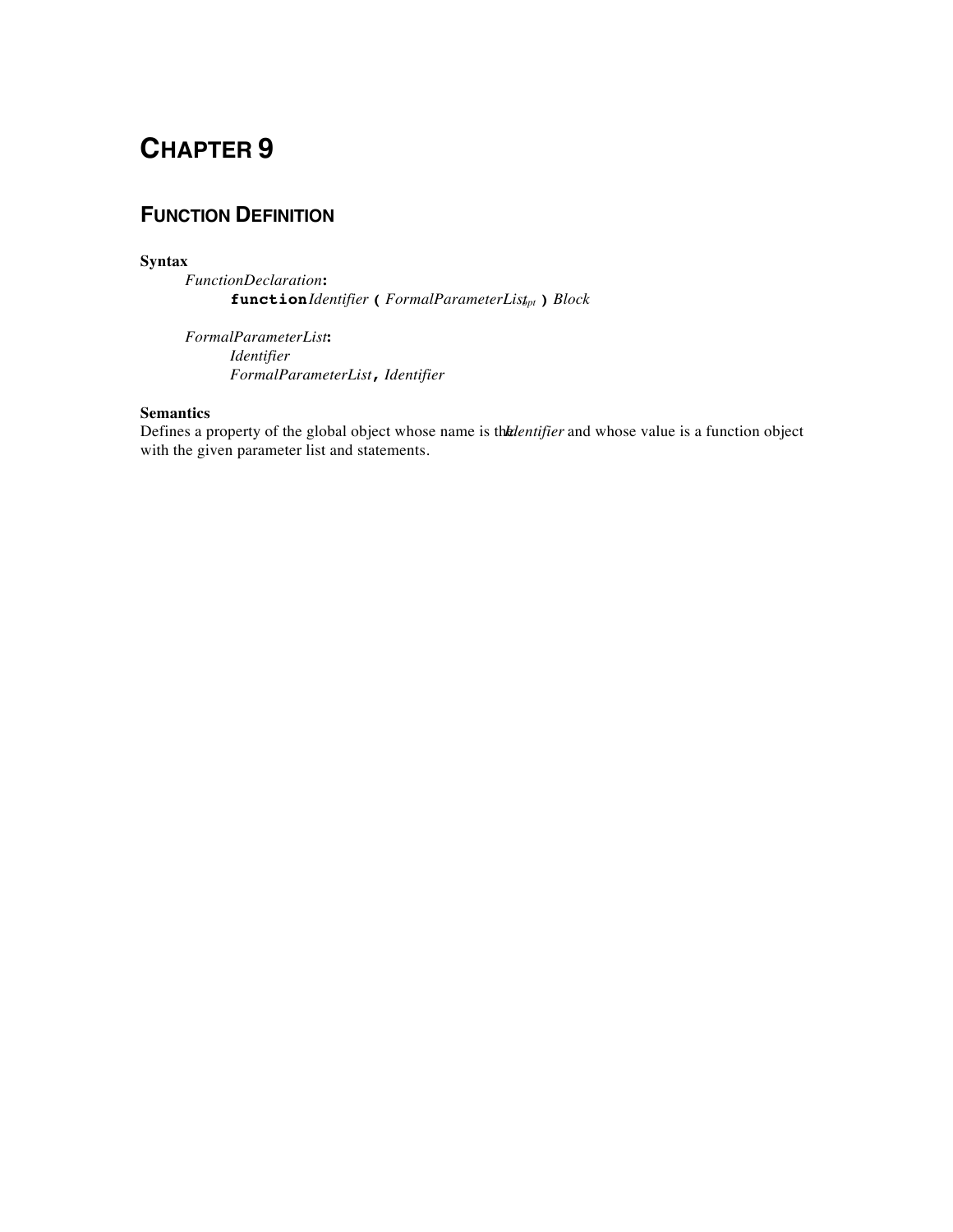## **FUNCTION DEFINITION**

#### **Syntax**

*FunctionDeclaration* **: function** *Identifier* **(** *FormalParameterListopt* **)** *Block*

*FormalParameterList* **:** *Identifier FormalParameterList* **,** *Identifier*

#### **Semantics**

Defines a property of the global object whose name is the *Intertifier* and whose value is a function object with the given parameter list and statements.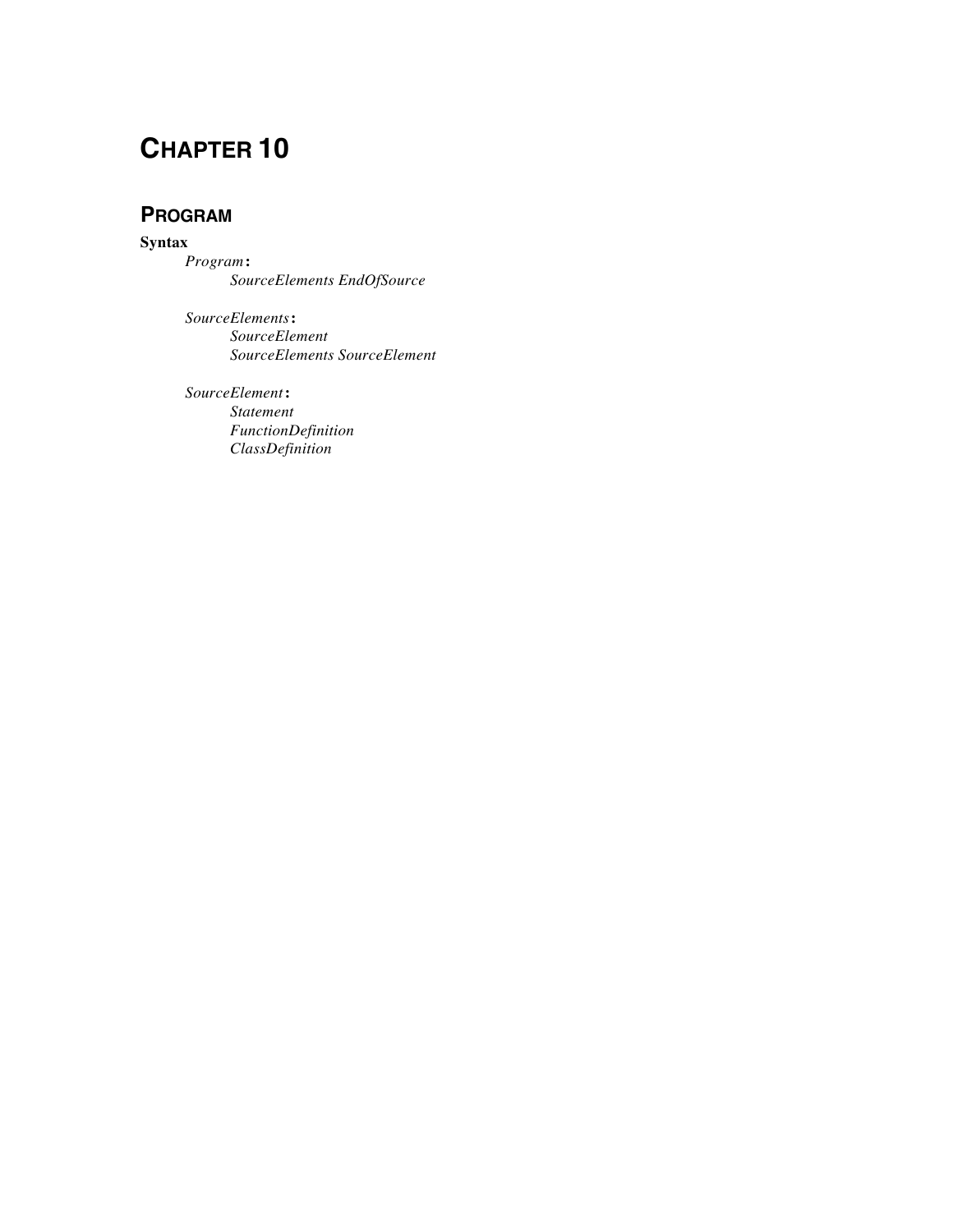## **PROGRAM**

**Syntax**

*Program* **:** *SourceElements EndOfSource*

*SourceElements* **:** *SourceElement SourceElements SourceElement*

*SourceElement* **:** *Statement FunctionDefinition ClassDefinition*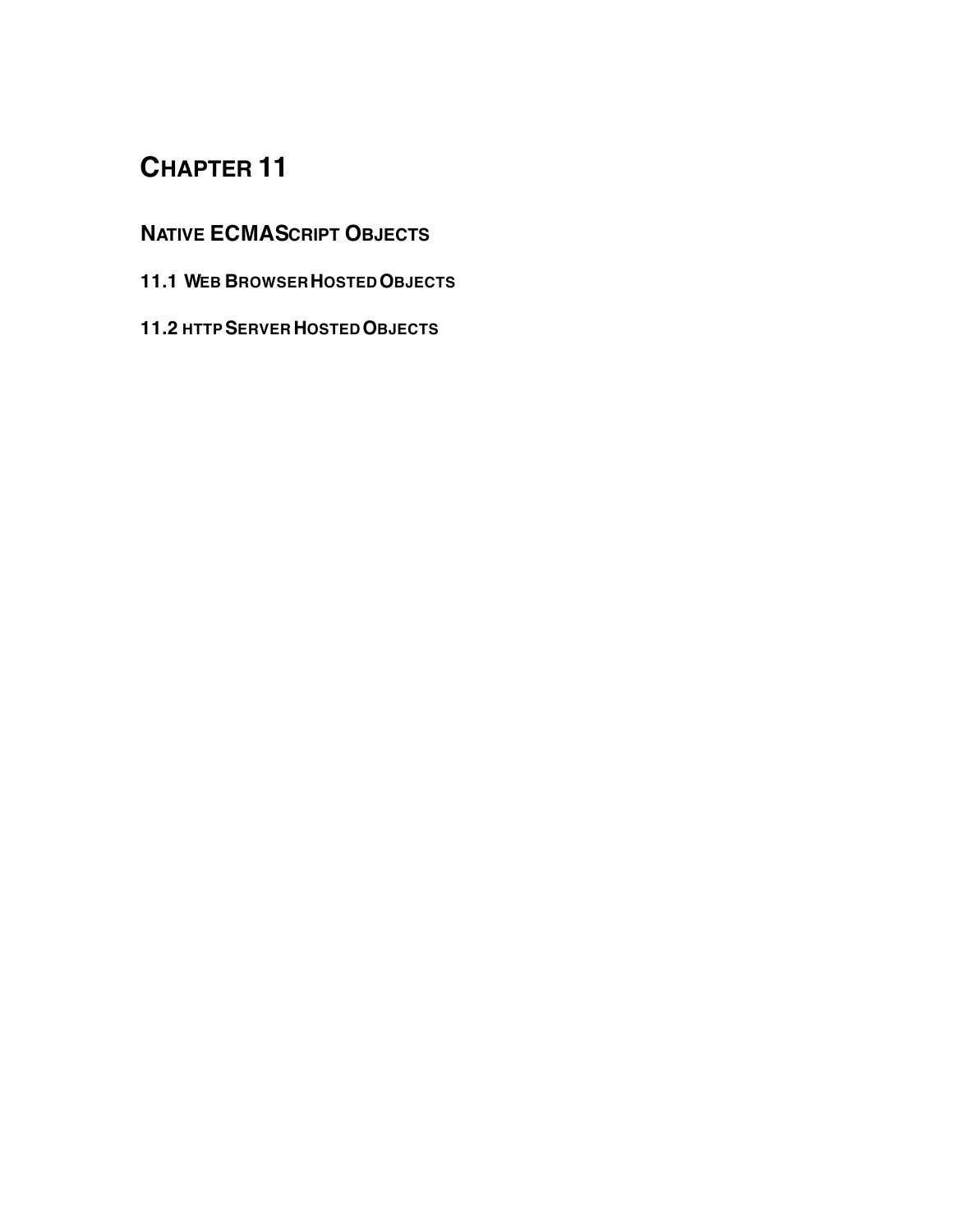## **NATIVE ECMASCRIPT OBJECTS**

- **11.1 WEB BROWSER HOSTED OBJECTS**
- **11.2 HTTP SERVER HOSTED OBJECTS**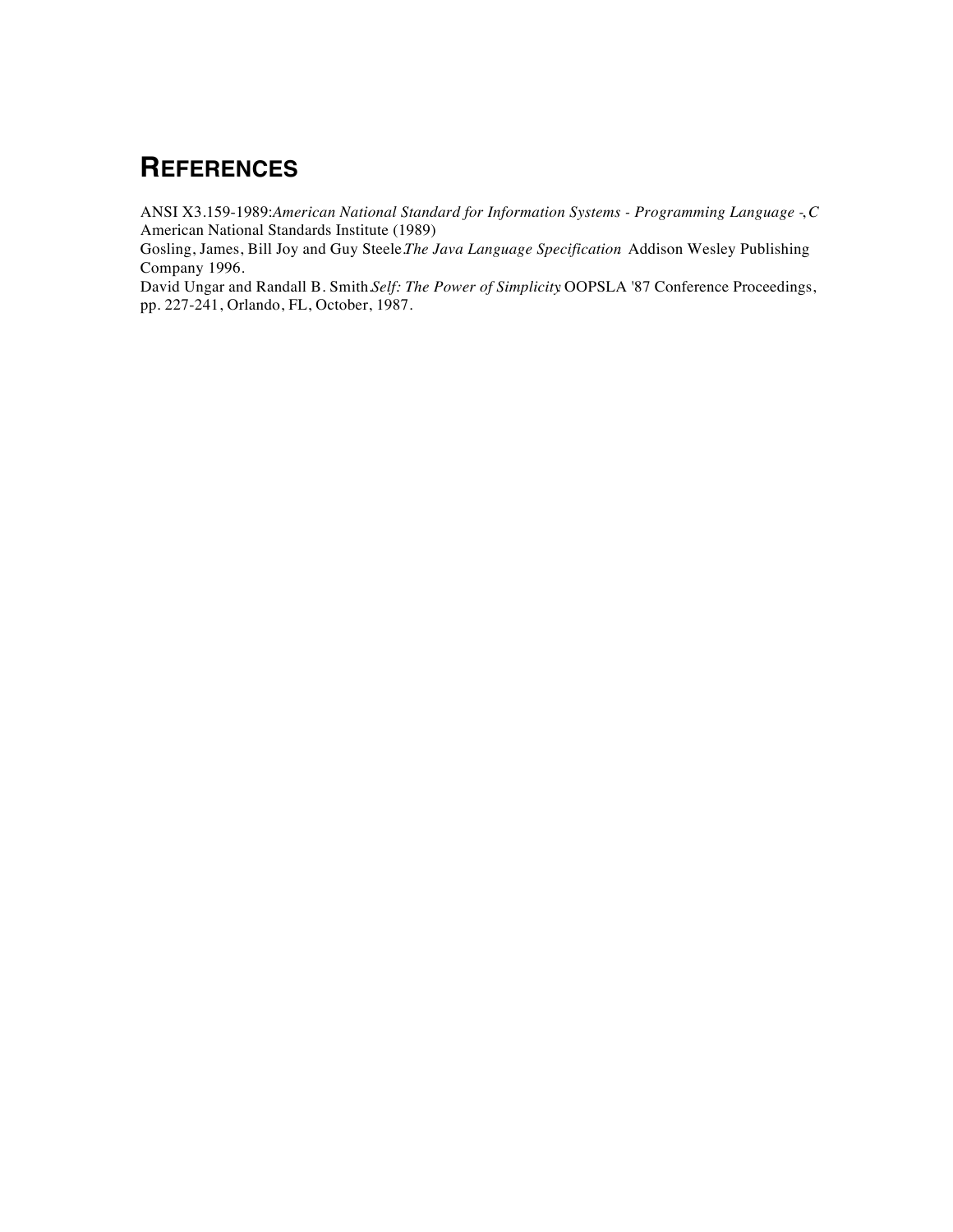# **REFERENCES**

ANSI X3.159-1989: *American National Standard for Information Systems - Programming Language - C*, American National Standards Institute (1989)

Gosling, James, Bill Joy and Guy Steele. *The Java Language Specification*. Addison Wesley Publishing Company 1996.

David Ungar and Randall B. Smith. *Self: The Power of Simplicity*. OOPSLA '87 Conference Proceedings, pp. 227-241, Orlando, FL, October, 1987.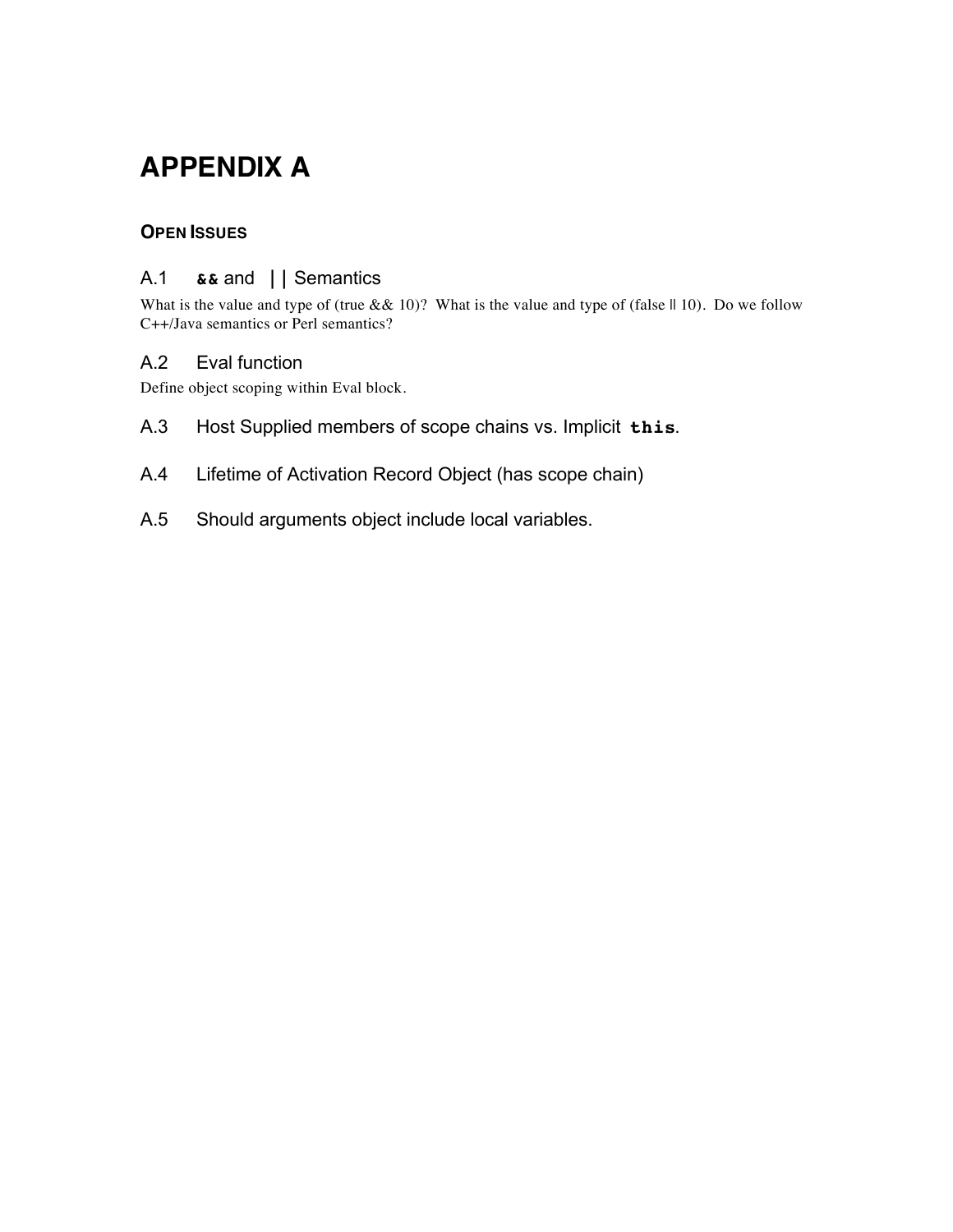# **APPENDIX A**

## **OPEN ISSUES**

## A.1 **&&** and **||** Semantics

What is the value and type of (true &  $(10)$ ? What is the value and type of (false  $|| 10$ ). Do we follow C++/Java semantics or Perl semantics?

### A.2 Eval function

Define object scoping within Eval block.

- A.3 Host Supplied members of scope chains vs. Implicit **this**.
- A.4 Lifetime of Activation Record Object (has scope chain)
- A.5 Should arguments object include local variables.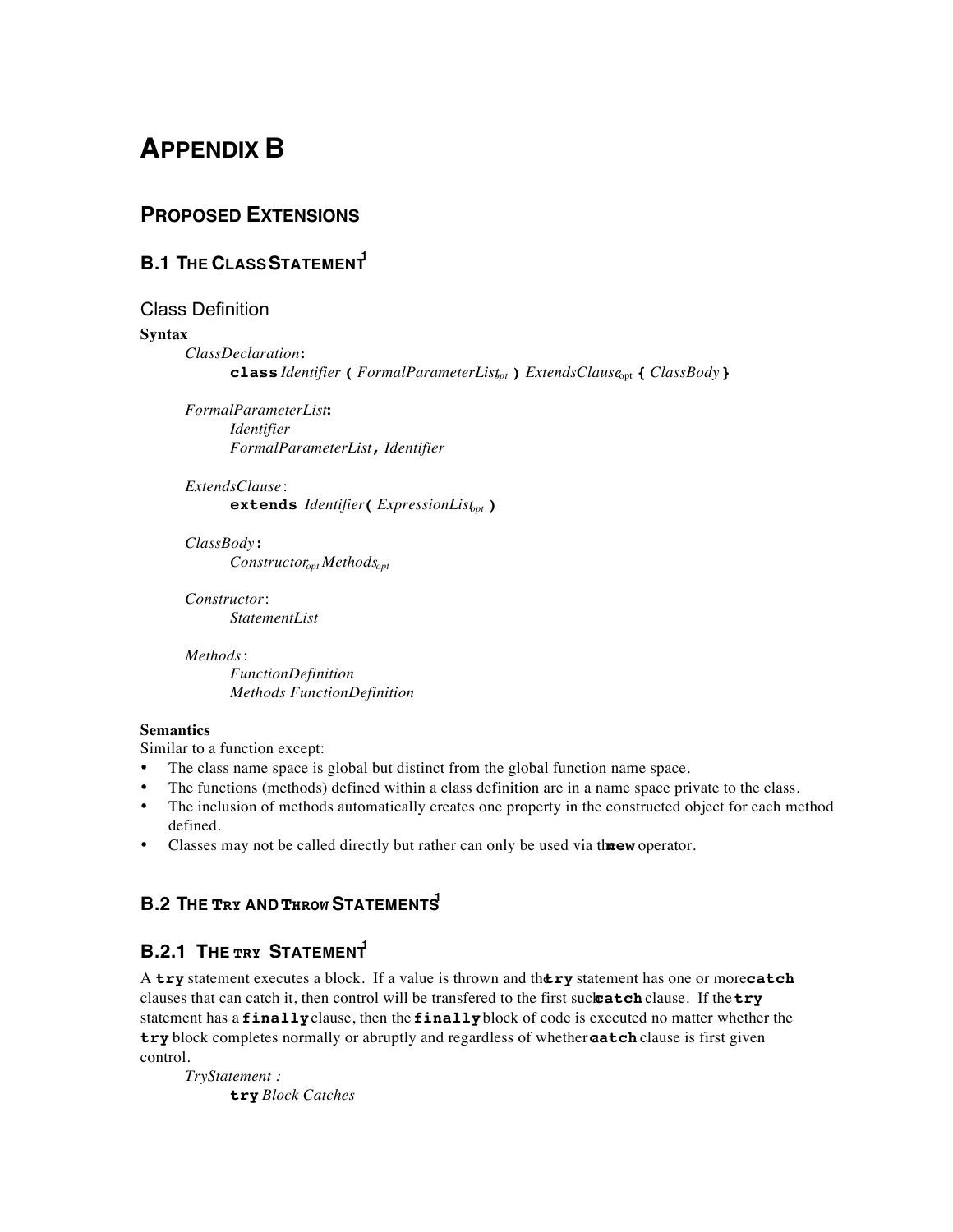# **APPENDIX B**

## **PROPOSED EXTENSIONS**

## **B.1 THE CLASS STATEMENT**

#### Class Definition

#### **Syntax**

*ClassDeclaration* **: class** *Identifier* **(** *FormalParameterListopt* **)** *ExtendsClause*opt **{** *ClassBody* **}**

*FormalParameterList* **:** *Identifier FormalParameterList* **,** *Identifier*

*ExtendsClause* : **extends** *Identifier***(** *ExpressionListopt* **)**

*ClassBody* **:** *Constructoropt Methodsopt*

*Constructor* : *StatementList*

#### *Methods* :

*FunctionDefinition Methods FunctionDefinition*

#### **Semantics**

Similar to a function except:

- The class name space is global but distinct from the global function name space.
- The functions (methods) defined within a class definition are in a name space private to the class.
- The inclusion of methods automatically creates one property in the constructed object for each method defined.
- Classes may not be called directly but rather can only be used via the **new** operator.

## **B.2 THE TRY AND THROW STATEMENTS**

## **B.2.1 THE TRY STATEMENT**

A **try** statement executes a block. If a value is thrown and the **try** statement has one or more **catch** clauses that can catch it, then control will be transfered to the first suck **catch** clause. If the **try** statement has a **finally** clause, then the **finally** block of code is executed no matter whether the try block completes normally or abruptly and regardless of whether **aatch** clause is first given control.

*TryStatement :* **try** *Block Catches*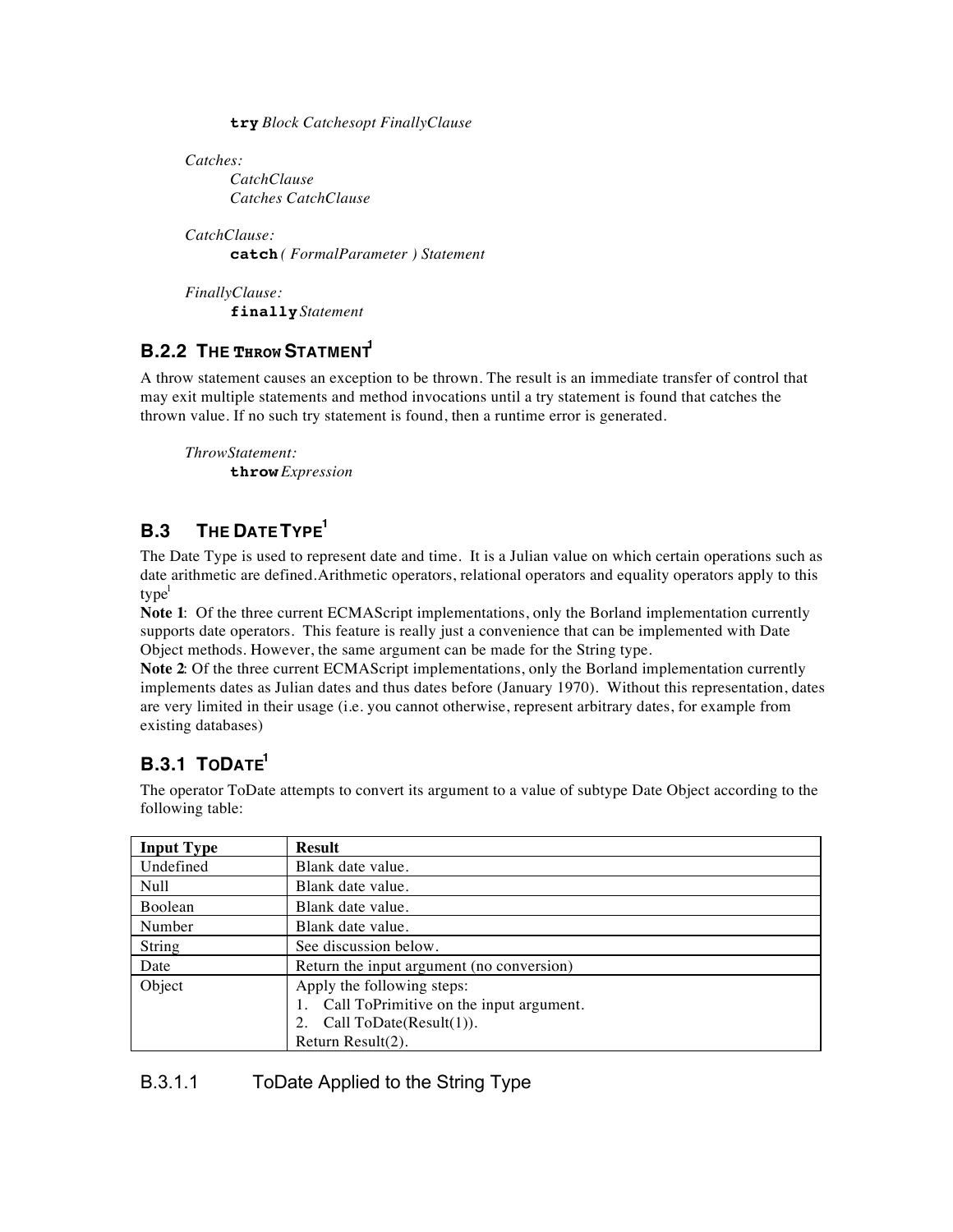**try** *Block Catchesopt FinallyClause*

*Catches: CatchClause Catches CatchClause*

*CatchClause:* **catch** *( FormalParameter ) Statement*

*FinallyClause:* **finally** *Statement*

## **B.2.2 THE THROW STATMENT**

A throw statement causes an exception to be thrown. The result is an immediate transfer of control that may exit multiple statements and method invocations until a try statement is found that catches the thrown value. If no such try statement is found, then a runtime error is generated.

*ThrowStatement:* **throw** *Expression*

## **B.3 THE DATE TYPE1**

The Date Type is used to represent date and time. It is a Julian value on which certain operations such as date arithmetic are defined. Arithmetic operators, relational operators and equality operators apply to this  $type<sup>1</sup>$ 

**Note 1**: Of the three current ECMAScript implementations, only the Borland implementation currently supports date operators. This feature is really just a convenience that can be implemented with Date Object methods. However, the same argument can be made for the String type.

**Note 2**: Of the three current ECMAScript implementations, only the Borland implementation currently implements dates as Julian dates and thus dates before (January 1970). Without this representation, dates are very limited in their usage (i.e. you cannot otherwise, represent arbitrary dates, for example from existing databases)

## **B.3.1 TODATE**

The operator ToDate attempts to convert its argument to a value of subtype Date Object according to the following table:

| <b>Input Type</b> | <b>Result</b>                              |
|-------------------|--------------------------------------------|
| Undefined         | Blank date value.                          |
| Null              | Blank date value.                          |
| Boolean           | Blank date value.                          |
| Number            | Blank date value.                          |
| String            | See discussion below.                      |
| Date              | Return the input argument (no conversion)  |
| Object            | Apply the following steps:                 |
|                   | 1. Call ToPrimitive on the input argument. |
|                   | 2. Call ToDate(Result(1)).                 |
|                   | Return Result $(2)$ .                      |

## B.3.1.1 ToDate Applied to the String Type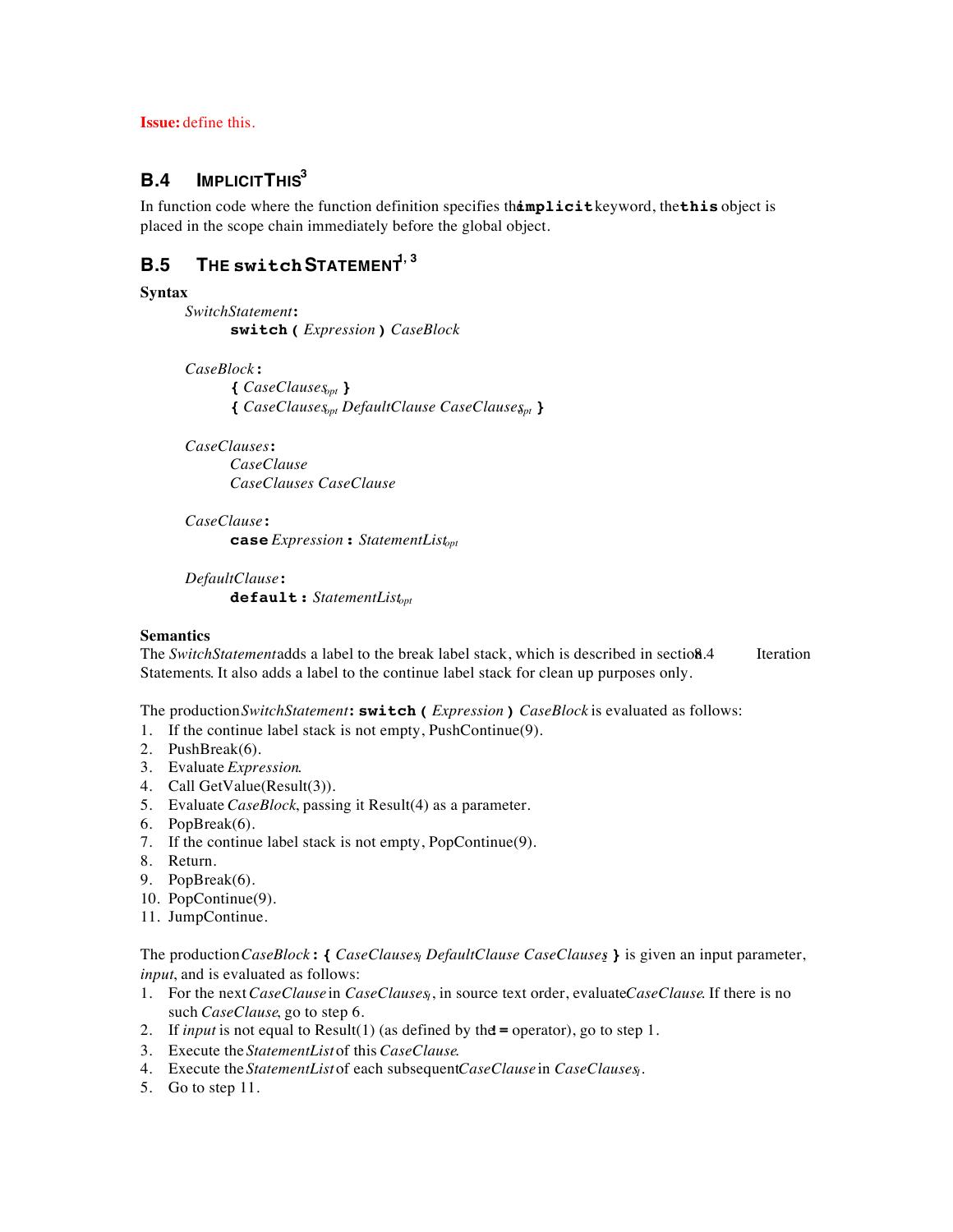**Issue:** define this.

## **B.4 IMPLICIT THIS3**

In function code where the function definition specifies thamplicitleyword, thethis object is placed in the scope chain immediately before the global object.

## **B.5 THE switch STATEMENT**<sup>1, 3</sup>

#### **Syntax**

*SwitchStatement* **: switch(** *Expression* **)** *CaseBlock*

*CaseBlock* **:**

**{** *CaseClausesopt* **} {** *CaseClausesopt DefaultClause CaseClausesopt* **}**

*CaseClauses* **:**

*CaseClause CaseClauses CaseClause*

*CaseClause* **: case** *Expression* **:** *StatementListopt*

*DefaultClause* **: default:** *StatementListopt*

#### **Semantics**

The *SwitchStatement* adds a label to the break label stack, which is described in section 8.4 Iteration Statements. It also adds a label to the continue label stack for clean up purposes only.

The production *SwitchStatement* **: switch(** *Expression* **)** *CaseBlock* is evaluated as follows:

- 1. If the continue label stack is not empty, PushContinue(9).
- 2. PushBreak(6).
- 3. Evaluate *Expression*.
- 4. Call GetValue(Result(3)).
- 5. Evaluate *CaseBlock*, passing it Result(4) as a parameter.
- 6. PopBreak(6).
- 7. If the continue label stack is not empty, PopContinue(9).
- 8. Return.
- 9. PopBreak(6).
- 10. PopContinue(9).
- 11. JumpContinue.

The production *CaseBlock* **:** { *CaseClauses DefaultClause CaseClauses* } is given an input parameter, *input*, and is evaluated as follows:

- 1. For the next *CaseClause* in *CaseClauses*, in source text order, evaluate *CaseClause*. If there is no such *CaseClause*, go to step 6.
- 2. If *input* is not equal to Result(1) (as defined by the  $=$  operator), go to step 1.
- 3. Execute the *StatementList* of this *CaseClause*.
- 4. Execute the *StatementList* of each subsequent *CaseClause* in *CaseClauses<sub>1</sub>*.
- 5. Go to step 11.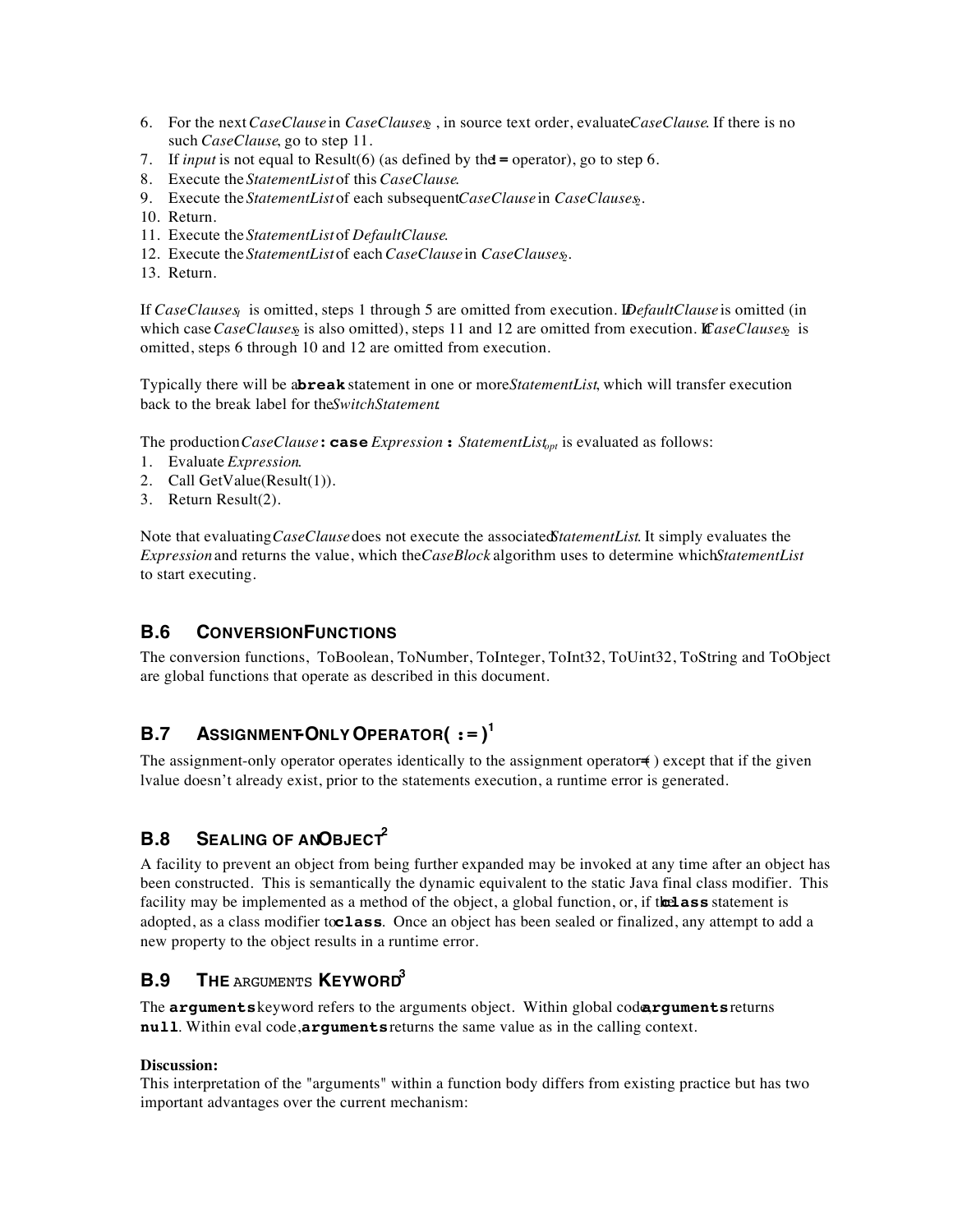- 6. For the next *CaseClause* in *CaseClauses*, in source text order, evaluate *CaseClause*. If there is no such *CaseClause*, go to step 11.
- 7. If *input* is not equal to Result(6) (as defined by the  $=$  operator), go to step 6.
- 8. Execute the *StatementList* of this *CaseClause*.
- 9. Execute the *StatementList* of each subsequent *CaseClause* in *CaseClauses*.
- 10. Return.
- 11. Execute the *StatementList* of *DefaultClause*.
- 12. Execute the *StatementList* of each *CaseClause* in *CaseClauses*.
- 13. Return.

If *CaseClauses<sub>1</sub>* is omitted, steps 1 through 5 are omitted from execution. *IDefaultClause* is omitted (in which case *CaseClauses* is also omitted), steps 11 and 12 are omitted from execution. *CaseClauses* is omitted, steps 6 through 10 and 12 are omitted from execution.

Typically there will be abreak statement in one or more *Statement List*, which will transfer execution back to the break label for the *SwitchStatement*.

The production *CaseClause***: case** *Expression* **:** *StatementListopt* is evaluated as follows:

- 1. Evaluate *Expression*.
- 2. Call GetValue(Result(1)).
- 3. Return Result(2).

Note that evaluating *CaseClause* does not execute the associated *StatementList*. It simply evaluates the *Expression* and returns the value, which the *CaseBlock* algorithm uses to determine which *StatementList* to start executing.

## **B.6 CONVERSION FUNCTIONS**

The conversion functions, ToBoolean, ToNumber, ToInteger, ToInt32, ToUint32, ToString and ToObject are global functions that operate as described in this document.

## **B.7** ASSIGNMENT-ONLY OPERATOR( $:=$ )<sup>1</sup>

The assignment-only operator operates identically to the assignment operator (a) except that if the given lvalue doesn't already exist, prior to the statements execution, a runtime error is generated.

## **B.8 SEALING OF ANOBJECT<sup>2</sup>**

A facility to prevent an object from being further expanded may be invoked at any time after an object has been constructed. This is semantically the dynamic equivalent to the static Java final class modifier. This facility may be implemented as a method of the object, a global function, or, if the lass statement is adopted, as a class modifier to**class**. Once an object has been sealed or finalized, any attempt to add a new property to the object results in a runtime error.

## **B.9 THE** ARGUMENTS **KEYWORD3**

The **arguments** keyword refers to the arguments object. Within global code, **arguments** returns **null**. Within eval code, **arguments** returns the same value as in the calling context.

#### **Discussion:**

This interpretation of the "arguments" within a function body differs from existing practice but has two important advantages over the current mechanism: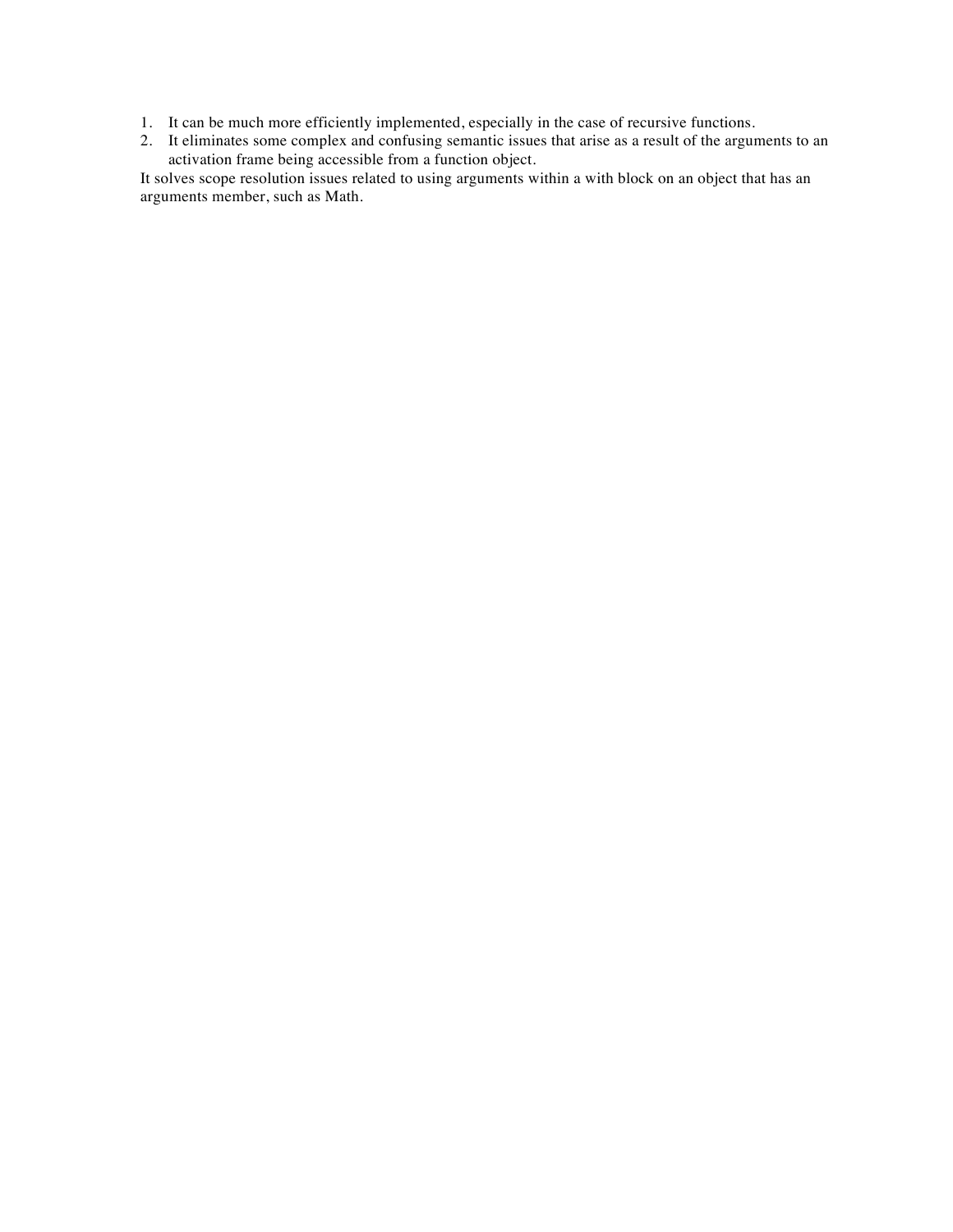- 1. It can be much more efficiently implemented, especially in the case of recursive functions.
- 2. It eliminates some complex and confusing semantic issues that arise as a result of the arguments to an activation frame being accessible from a function object.

It solves scope resolution issues related to using arguments within a with block on an object that has an arguments member, such as Math.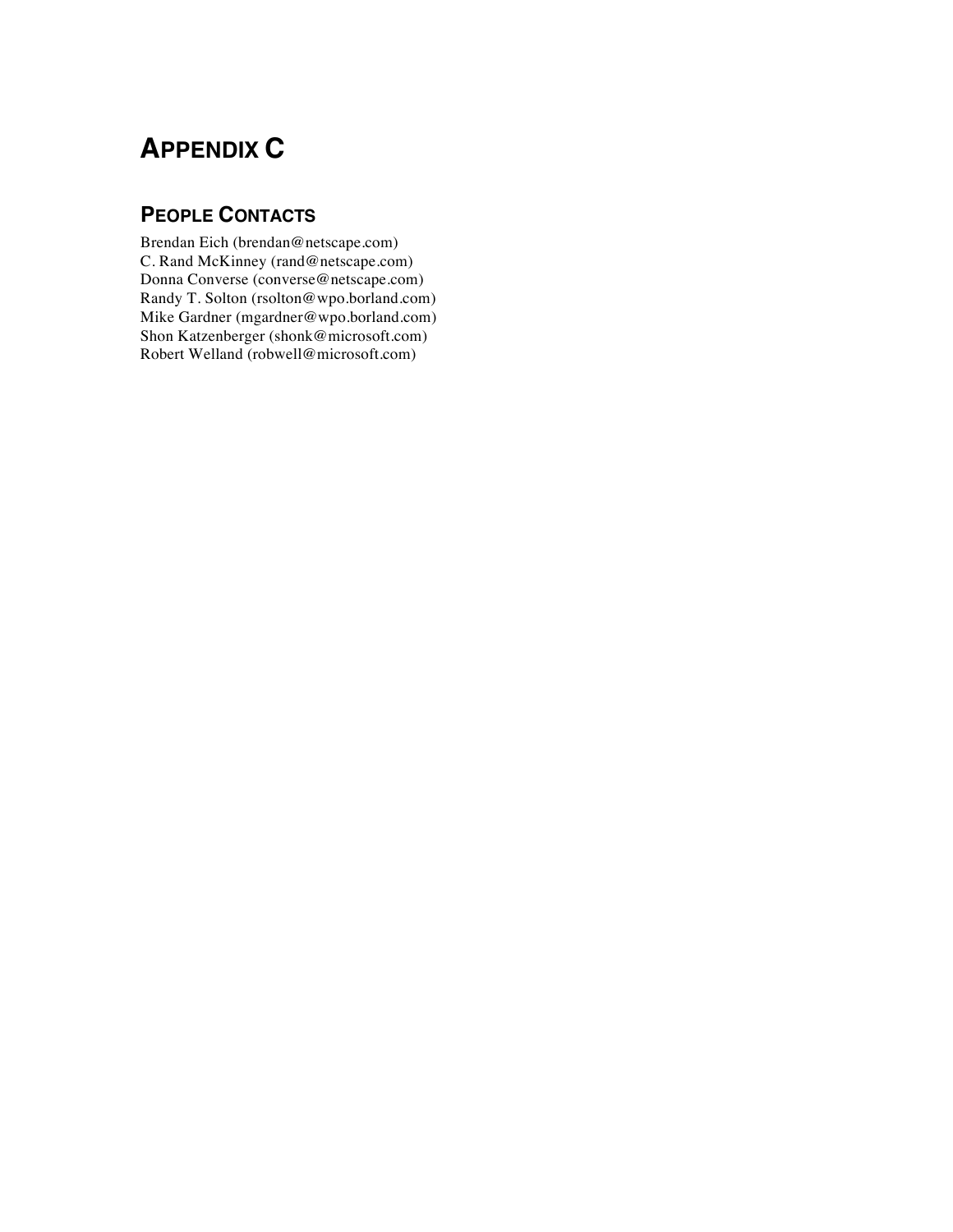# **APPENDIX C**

## **PEOPLE CONTACTS**

Brendan Eich (brendan@netscape.com) C. Rand McKinney (rand@netscape.com) Donna Converse (converse@netscape.com) Randy T. Solton (rsolton@wpo.borland.com) Mike Gardner (mgardner@wpo.borland.com) Shon Katzenberger (shonk@microsoft.com) Robert Welland (robwell@microsoft.com)